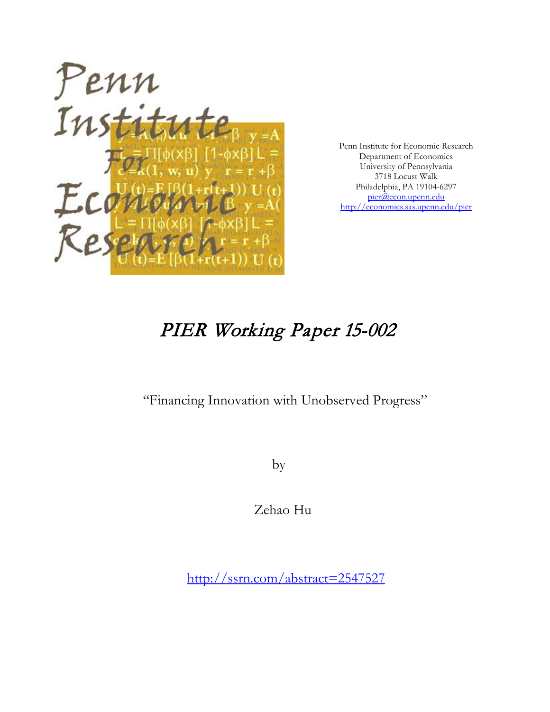

Penn Institute for Economic Research Department of Economics University of Pennsylvania 3718 Locust Walk Philadelphia, PA 19104-6297 [pier@econ.upenn.edu](mailto:pier@econ.upenn.edu) <http://economics.sas.upenn.edu/pier>

# PIER Working Paper 15-002

"Financing Innovation with Unobserved Progress"

by

Zehao Hu

[http://ssrn.com/abstract=2](http://ssrn.com/abstract_id=)547527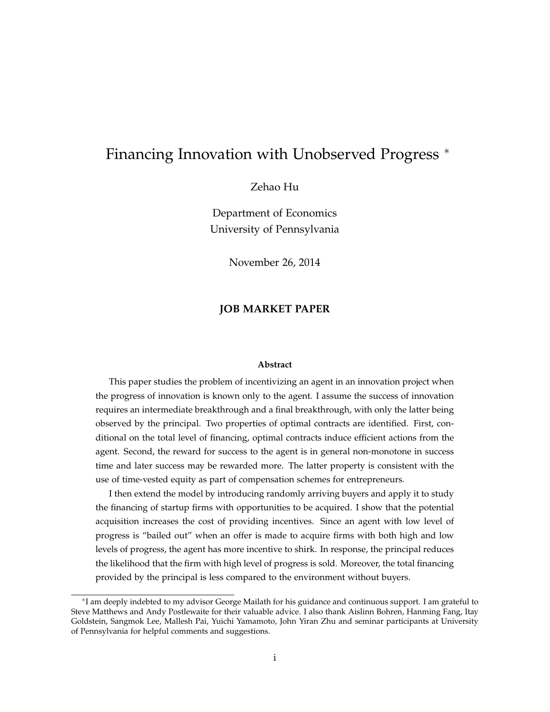### Financing Innovation with Unobserved Progress <sup>∗</sup>

### Zehao Hu

Department of Economics University of Pennsylvania

November 26, 2014

### **JOB MARKET PAPER**

#### **Abstract**

This paper studies the problem of incentivizing an agent in an innovation project when the progress of innovation is known only to the agent. I assume the success of innovation requires an intermediate breakthrough and a final breakthrough, with only the latter being observed by the principal. Two properties of optimal contracts are identified. First, conditional on the total level of financing, optimal contracts induce efficient actions from the agent. Second, the reward for success to the agent is in general non-monotone in success time and later success may be rewarded more. The latter property is consistent with the use of time-vested equity as part of compensation schemes for entrepreneurs.

I then extend the model by introducing randomly arriving buyers and apply it to study the financing of startup firms with opportunities to be acquired. I show that the potential acquisition increases the cost of providing incentives. Since an agent with low level of progress is "bailed out" when an offer is made to acquire firms with both high and low levels of progress, the agent has more incentive to shirk. In response, the principal reduces the likelihood that the firm with high level of progress is sold. Moreover, the total financing provided by the principal is less compared to the environment without buyers.

<sup>∗</sup> I am deeply indebted to my advisor George Mailath for his guidance and continuous support. I am grateful to Steve Matthews and Andy Postlewaite for their valuable advice. I also thank Aislinn Bohren, Hanming Fang, Itay Goldstein, Sangmok Lee, Mallesh Pai, Yuichi Yamamoto, John Yiran Zhu and seminar participants at University of Pennsylvania for helpful comments and suggestions.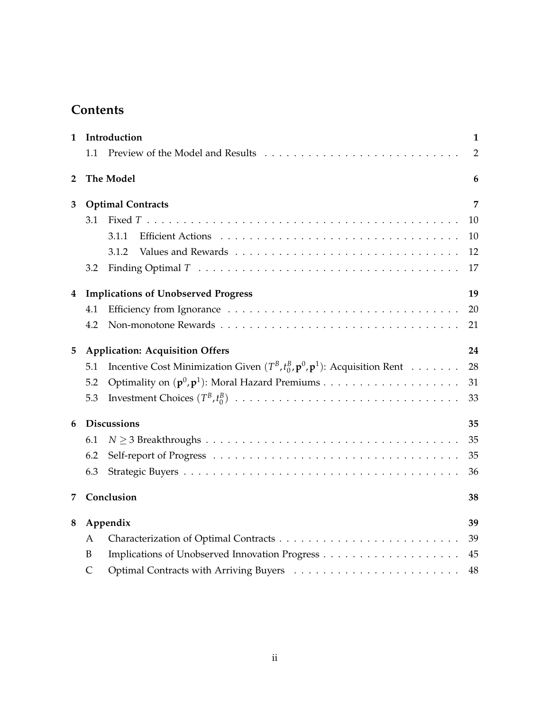## **Contents**

| 1            |                                            | Introduction                                                                                    |                |
|--------------|--------------------------------------------|-------------------------------------------------------------------------------------------------|----------------|
|              | 1.1                                        |                                                                                                 | $\overline{2}$ |
| $\mathbf{2}$ |                                            | <b>The Model</b>                                                                                | 6              |
| 3            | <b>Optimal Contracts</b>                   |                                                                                                 | 7              |
|              | 3.1                                        |                                                                                                 | 10             |
|              |                                            | 3.1.1                                                                                           | 10             |
|              |                                            | 3.1.2                                                                                           | 12             |
|              | 3.2                                        |                                                                                                 | 17             |
| 4            | <b>Implications of Unobserved Progress</b> |                                                                                                 | 19             |
|              | 4.1                                        |                                                                                                 | 20             |
|              | 4.2                                        |                                                                                                 | 21             |
| 5            | <b>Application: Acquisition Offers</b>     |                                                                                                 | 24             |
|              | 5.1                                        | Incentive Cost Minimization Given $(T^B, t^B_0, \mathbf{p}^0, \mathbf{p}^1)$ : Acquisition Rent | 28             |
|              | 5.2                                        |                                                                                                 | 31             |
|              | 5.3                                        |                                                                                                 | 33             |
| 6            | <b>Discussions</b>                         |                                                                                                 | 35             |
|              | 6.1                                        |                                                                                                 | 35             |
|              | 6.2                                        |                                                                                                 | 35             |
|              | 6.3                                        |                                                                                                 | 36             |
| 7            |                                            | Conclusion                                                                                      | 38             |
| 8            | Appendix                                   |                                                                                                 | 39             |
|              | A                                          |                                                                                                 | 39             |
|              | B                                          |                                                                                                 | 45             |
|              | $\mathsf{C}$                               |                                                                                                 | 48             |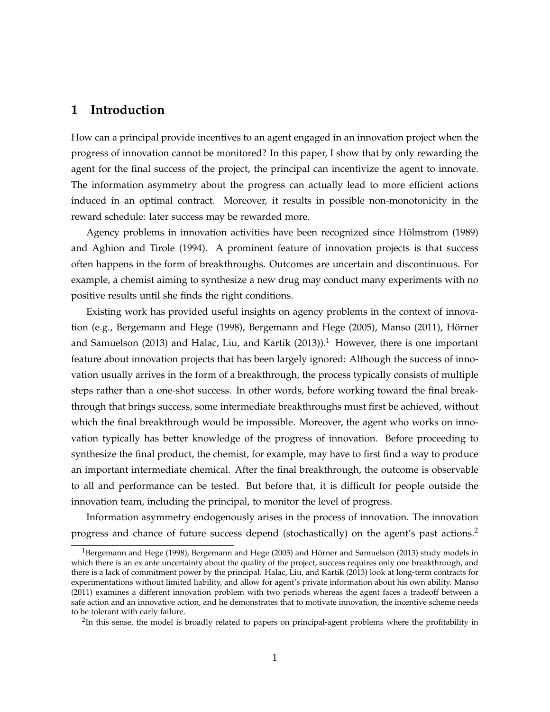### **1 Introduction**

How can a principal provide incentives to an agent engaged in an innovation project when the progress of innovation cannot be monitored? In this paper, I show that by only rewarding the agent for the final success of the project, the principal can incentivize the agent to innovate. The information asymmetry about the progress can actually lead to more efficient actions induced in an optimal contract. Moreover, it results in possible non-monotonicity in the reward schedule: later success may be rewarded more.

Agency problems in innovation activities have been recognized since Hölmstrom (1989) and Aghion and Tirole (1994). A prominent feature of innovation projects is that success often happens in the form of breakthroughs. Outcomes are uncertain and discontinuous. For example, a chemist aiming to synthesize a new drug may conduct many experiments with no positive results until she finds the right conditions.

Existing work has provided useful insights on agency problems in the context of innovation (e.g., Bergemann and Hege (1998), Bergemann and Hege (2005), Manso (2011), Hörner and Samuelson (2013) and Halac, Liu, and Kartik (2013)).<sup>1</sup> However, there is one important feature about innovation projects that has been largely ignored: Although the success of innovation usually arrives in the form of a breakthrough, the process typically consists of multiple steps rather than a one-shot success. In other words, before working toward the final breakthrough that brings success, some intermediate breakthroughs must first be achieved, without which the final breakthrough would be impossible. Moreover, the agent who works on innovation typically has better knowledge of the progress of innovation. Before proceeding to synthesize the final product, the chemist, for example, may have to first find a way to produce an important intermediate chemical. After the final breakthrough, the outcome is observable to all and performance can be tested. But before that, it is difficult for people outside the innovation team, including the principal, to monitor the level of progress.

Information asymmetry endogenously arises in the process of innovation. The innovation progress and chance of future success depend (stochastically) on the agent's past actions.<sup>2</sup>

 $^{2}$ In this sense, the model is broadly related to papers on principal-agent problems where the profitability in

<sup>&</sup>lt;sup>1</sup>Bergemann and Hege (1998), Bergemann and Hege (2005) and Hörner and Samuelson (2013) study models in which there is an ex ante uncertainty about the quality of the project, success requires only one breakthrough, and there is a lack of commitment power by the principal. Halac, Liu, and Kartik (2013) look at long-term contracts for experimentations without limited liability, and allow for agent's private information about his own ability. Manso (2011) examines a different innovation problem with two periods whereas the agent faces a tradeoff between a safe action and an innovative action, and he demonstrates that to motivate innovation, the incentive scheme needs to be tolerant with early failure.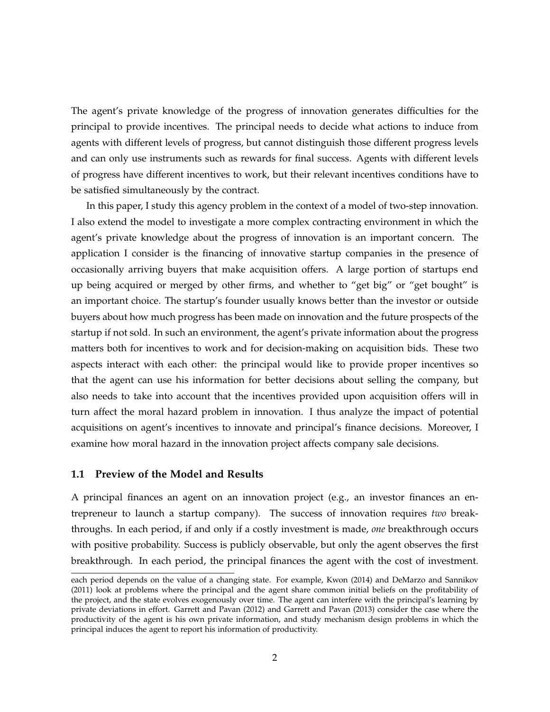The agent's private knowledge of the progress of innovation generates difficulties for the principal to provide incentives. The principal needs to decide what actions to induce from agents with different levels of progress, but cannot distinguish those different progress levels and can only use instruments such as rewards for final success. Agents with different levels of progress have different incentives to work, but their relevant incentives conditions have to be satisfied simultaneously by the contract.

In this paper, I study this agency problem in the context of a model of two-step innovation. I also extend the model to investigate a more complex contracting environment in which the agent's private knowledge about the progress of innovation is an important concern. The application I consider is the financing of innovative startup companies in the presence of occasionally arriving buyers that make acquisition offers. A large portion of startups end up being acquired or merged by other firms, and whether to "get big" or "get bought" is an important choice. The startup's founder usually knows better than the investor or outside buyers about how much progress has been made on innovation and the future prospects of the startup if not sold. In such an environment, the agent's private information about the progress matters both for incentives to work and for decision-making on acquisition bids. These two aspects interact with each other: the principal would like to provide proper incentives so that the agent can use his information for better decisions about selling the company, but also needs to take into account that the incentives provided upon acquisition offers will in turn affect the moral hazard problem in innovation. I thus analyze the impact of potential acquisitions on agent's incentives to innovate and principal's finance decisions. Moreover, I examine how moral hazard in the innovation project affects company sale decisions.

### **1.1 Preview of the Model and Results**

A principal finances an agent on an innovation project (e.g., an investor finances an entrepreneur to launch a startup company). The success of innovation requires *two* breakthroughs. In each period, if and only if a costly investment is made, *one* breakthrough occurs with positive probability. Success is publicly observable, but only the agent observes the first breakthrough. In each period, the principal finances the agent with the cost of investment.

each period depends on the value of a changing state. For example, Kwon (2014) and DeMarzo and Sannikov (2011) look at problems where the principal and the agent share common initial beliefs on the profitability of the project, and the state evolves exogenously over time. The agent can interfere with the principal's learning by private deviations in effort. Garrett and Pavan (2012) and Garrett and Pavan (2013) consider the case where the productivity of the agent is his own private information, and study mechanism design problems in which the principal induces the agent to report his information of productivity.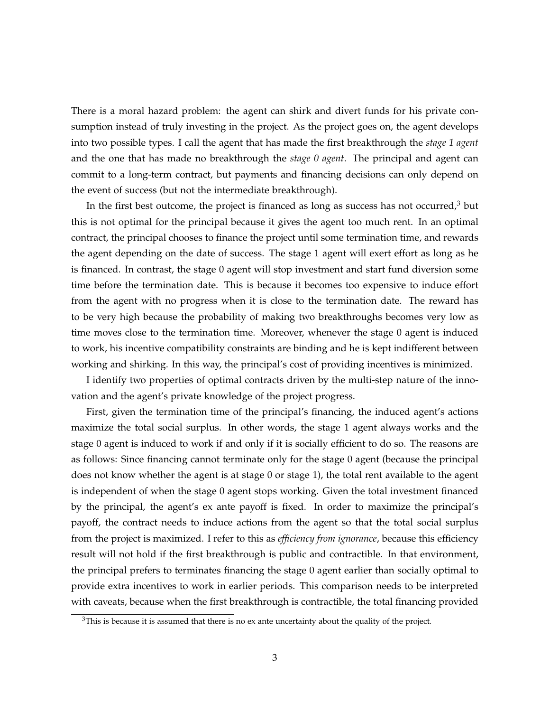There is a moral hazard problem: the agent can shirk and divert funds for his private consumption instead of truly investing in the project. As the project goes on, the agent develops into two possible types. I call the agent that has made the first breakthrough the *stage 1 agent* and the one that has made no breakthrough the *stage 0 agent*. The principal and agent can commit to a long-term contract, but payments and financing decisions can only depend on the event of success (but not the intermediate breakthrough).

In the first best outcome, the project is financed as long as success has not occurred, $3$  but this is not optimal for the principal because it gives the agent too much rent. In an optimal contract, the principal chooses to finance the project until some termination time, and rewards the agent depending on the date of success. The stage 1 agent will exert effort as long as he is financed. In contrast, the stage 0 agent will stop investment and start fund diversion some time before the termination date. This is because it becomes too expensive to induce effort from the agent with no progress when it is close to the termination date. The reward has to be very high because the probability of making two breakthroughs becomes very low as time moves close to the termination time. Moreover, whenever the stage 0 agent is induced to work, his incentive compatibility constraints are binding and he is kept indifferent between working and shirking. In this way, the principal's cost of providing incentives is minimized.

I identify two properties of optimal contracts driven by the multi-step nature of the innovation and the agent's private knowledge of the project progress.

First, given the termination time of the principal's financing, the induced agent's actions maximize the total social surplus. In other words, the stage 1 agent always works and the stage 0 agent is induced to work if and only if it is socially efficient to do so. The reasons are as follows: Since financing cannot terminate only for the stage 0 agent (because the principal does not know whether the agent is at stage 0 or stage 1), the total rent available to the agent is independent of when the stage 0 agent stops working. Given the total investment financed by the principal, the agent's ex ante payoff is fixed. In order to maximize the principal's payoff, the contract needs to induce actions from the agent so that the total social surplus from the project is maximized. I refer to this as *efficiency from ignorance*, because this efficiency result will not hold if the first breakthrough is public and contractible. In that environment, the principal prefers to terminates financing the stage 0 agent earlier than socially optimal to provide extra incentives to work in earlier periods. This comparison needs to be interpreted with caveats, because when the first breakthrough is contractible, the total financing provided

 $3$ This is because it is assumed that there is no ex ante uncertainty about the quality of the project.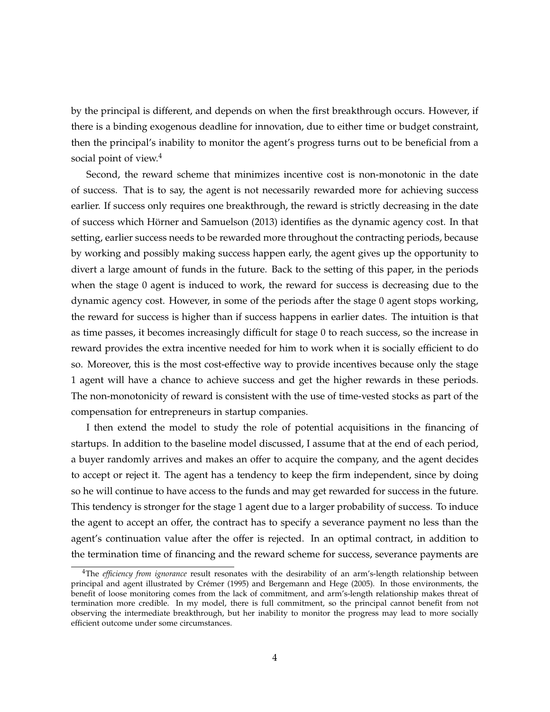by the principal is different, and depends on when the first breakthrough occurs. However, if there is a binding exogenous deadline for innovation, due to either time or budget constraint, then the principal's inability to monitor the agent's progress turns out to be beneficial from a social point of view.<sup>4</sup>

Second, the reward scheme that minimizes incentive cost is non-monotonic in the date of success. That is to say, the agent is not necessarily rewarded more for achieving success earlier. If success only requires one breakthrough, the reward is strictly decreasing in the date of success which Hörner and Samuelson (2013) identifies as the dynamic agency cost. In that setting, earlier success needs to be rewarded more throughout the contracting periods, because by working and possibly making success happen early, the agent gives up the opportunity to divert a large amount of funds in the future. Back to the setting of this paper, in the periods when the stage 0 agent is induced to work, the reward for success is decreasing due to the dynamic agency cost. However, in some of the periods after the stage 0 agent stops working, the reward for success is higher than if success happens in earlier dates. The intuition is that as time passes, it becomes increasingly difficult for stage 0 to reach success, so the increase in reward provides the extra incentive needed for him to work when it is socially efficient to do so. Moreover, this is the most cost-effective way to provide incentives because only the stage 1 agent will have a chance to achieve success and get the higher rewards in these periods. The non-monotonicity of reward is consistent with the use of time-vested stocks as part of the compensation for entrepreneurs in startup companies.

I then extend the model to study the role of potential acquisitions in the financing of startups. In addition to the baseline model discussed, I assume that at the end of each period, a buyer randomly arrives and makes an offer to acquire the company, and the agent decides to accept or reject it. The agent has a tendency to keep the firm independent, since by doing so he will continue to have access to the funds and may get rewarded for success in the future. This tendency is stronger for the stage 1 agent due to a larger probability of success. To induce the agent to accept an offer, the contract has to specify a severance payment no less than the agent's continuation value after the offer is rejected. In an optimal contract, in addition to the termination time of financing and the reward scheme for success, severance payments are

<sup>4</sup>The *efficiency from ignorance* result resonates with the desirability of an arm's-length relationship between principal and agent illustrated by Crémer (1995) and Bergemann and Hege (2005). In those environments, the benefit of loose monitoring comes from the lack of commitment, and arm's-length relationship makes threat of termination more credible. In my model, there is full commitment, so the principal cannot benefit from not observing the intermediate breakthrough, but her inability to monitor the progress may lead to more socially efficient outcome under some circumstances.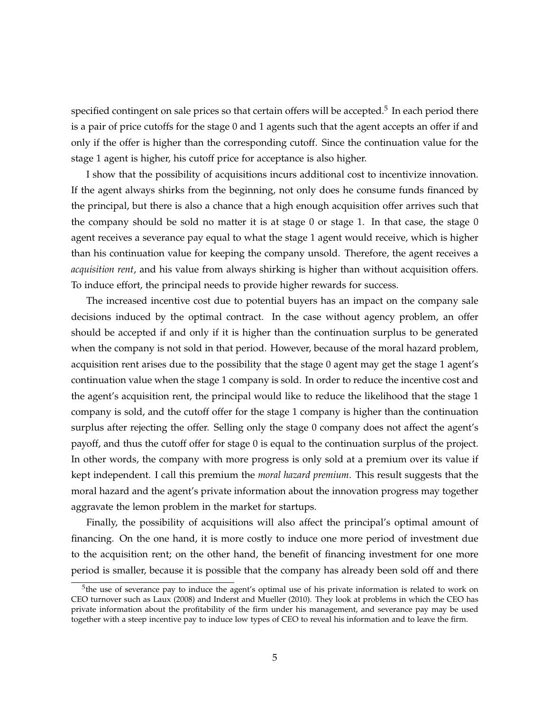specified contingent on sale prices so that certain offers will be accepted.<sup>5</sup> In each period there is a pair of price cutoffs for the stage 0 and 1 agents such that the agent accepts an offer if and only if the offer is higher than the corresponding cutoff. Since the continuation value for the stage 1 agent is higher, his cutoff price for acceptance is also higher.

I show that the possibility of acquisitions incurs additional cost to incentivize innovation. If the agent always shirks from the beginning, not only does he consume funds financed by the principal, but there is also a chance that a high enough acquisition offer arrives such that the company should be sold no matter it is at stage 0 or stage 1. In that case, the stage 0 agent receives a severance pay equal to what the stage 1 agent would receive, which is higher than his continuation value for keeping the company unsold. Therefore, the agent receives a *acquisition rent*, and his value from always shirking is higher than without acquisition offers. To induce effort, the principal needs to provide higher rewards for success.

The increased incentive cost due to potential buyers has an impact on the company sale decisions induced by the optimal contract. In the case without agency problem, an offer should be accepted if and only if it is higher than the continuation surplus to be generated when the company is not sold in that period. However, because of the moral hazard problem, acquisition rent arises due to the possibility that the stage 0 agent may get the stage 1 agent's continuation value when the stage 1 company is sold. In order to reduce the incentive cost and the agent's acquisition rent, the principal would like to reduce the likelihood that the stage 1 company is sold, and the cutoff offer for the stage 1 company is higher than the continuation surplus after rejecting the offer. Selling only the stage 0 company does not affect the agent's payoff, and thus the cutoff offer for stage 0 is equal to the continuation surplus of the project. In other words, the company with more progress is only sold at a premium over its value if kept independent. I call this premium the *moral hazard premium*. This result suggests that the moral hazard and the agent's private information about the innovation progress may together aggravate the lemon problem in the market for startups.

Finally, the possibility of acquisitions will also affect the principal's optimal amount of financing. On the one hand, it is more costly to induce one more period of investment due to the acquisition rent; on the other hand, the benefit of financing investment for one more period is smaller, because it is possible that the company has already been sold off and there

<sup>&</sup>lt;sup>5</sup>the use of severance pay to induce the agent's optimal use of his private information is related to work on CEO turnover such as Laux (2008) and Inderst and Mueller (2010). They look at problems in which the CEO has private information about the profitability of the firm under his management, and severance pay may be used together with a steep incentive pay to induce low types of CEO to reveal his information and to leave the firm.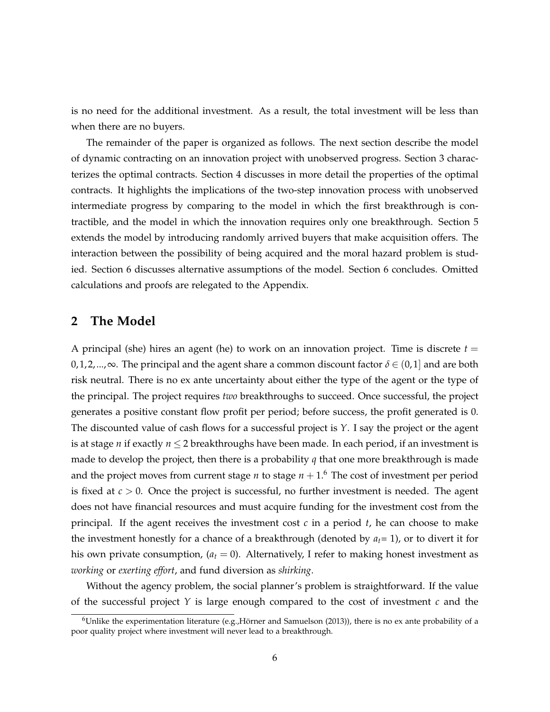is no need for the additional investment. As a result, the total investment will be less than when there are no buyers.

The remainder of the paper is organized as follows. The next section describe the model of dynamic contracting on an innovation project with unobserved progress. Section 3 characterizes the optimal contracts. Section 4 discusses in more detail the properties of the optimal contracts. It highlights the implications of the two-step innovation process with unobserved intermediate progress by comparing to the model in which the first breakthrough is contractible, and the model in which the innovation requires only one breakthrough. Section 5 extends the model by introducing randomly arrived buyers that make acquisition offers. The interaction between the possibility of being acquired and the moral hazard problem is studied. Section 6 discusses alternative assumptions of the model. Section 6 concludes. Omitted calculations and proofs are relegated to the Appendix.

### **2 The Model**

A principal (she) hires an agent (he) to work on an innovation project. Time is discrete  $t =$  $0, 1, 2, \ldots, \infty$ . The principal and the agent share a common discount factor  $\delta \in (0, 1]$  and are both risk neutral. There is no ex ante uncertainty about either the type of the agent or the type of the principal. The project requires *two* breakthroughs to succeed. Once successful, the project generates a positive constant flow profit per period; before success, the profit generated is 0. The discounted value of cash flows for a successful project is *Y*. I say the project or the agent is at stage *n* if exactly  $n \leq 2$  breakthroughs have been made. In each period, if an investment is made to develop the project, then there is a probability *q* that one more breakthrough is made and the project moves from current stage *n* to stage  $n + 1.6$  The cost of investment per period is fixed at *c* > 0. Once the project is successful, no further investment is needed. The agent does not have financial resources and must acquire funding for the investment cost from the principal. If the agent receives the investment cost *c* in a period *t*, he can choose to make the investment honestly for a chance of a breakthrough (denoted by *at*= 1), or to divert it for his own private consumption,  $(a_t = 0)$ . Alternatively, I refer to making honest investment as *working* or *exerting effort*, and fund diversion as *shirking*.

Without the agency problem, the social planner's problem is straightforward. If the value of the successful project *Y* is large enough compared to the cost of investment *c* and the

 $6$ Unlike the experimentation literature (e.g.,Hörner and Samuelson (2013)), there is no ex ante probability of a poor quality project where investment will never lead to a breakthrough.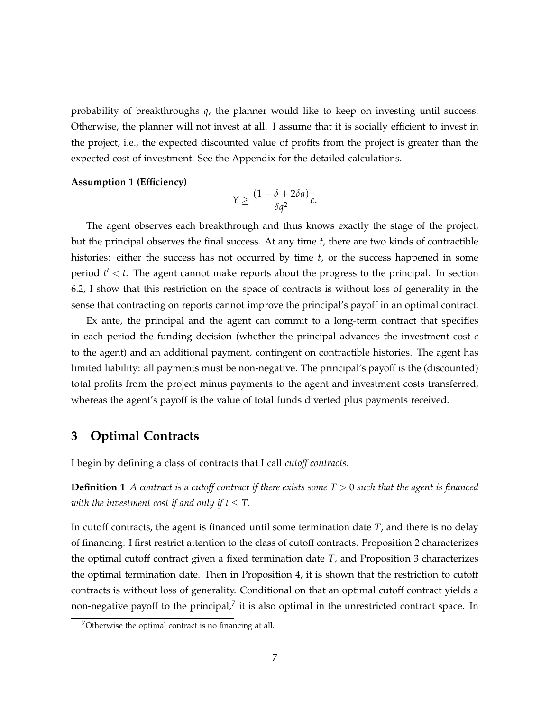probability of breakthroughs *q*, the planner would like to keep on investing until success. Otherwise, the planner will not invest at all. I assume that it is socially efficient to invest in the project, i.e., the expected discounted value of profits from the project is greater than the expected cost of investment. See the Appendix for the detailed calculations.

#### **Assumption 1 (Efficiency)**

$$
Y \ge \frac{(1-\delta+2\delta q)}{\delta q^2}c.
$$

The agent observes each breakthrough and thus knows exactly the stage of the project, but the principal observes the final success. At any time *t*, there are two kinds of contractible histories: either the success has not occurred by time *t*, or the success happened in some period  $t' < t$ . The agent cannot make reports about the progress to the principal. In section 6.2, I show that this restriction on the space of contracts is without loss of generality in the sense that contracting on reports cannot improve the principal's payoff in an optimal contract.

Ex ante, the principal and the agent can commit to a long-term contract that specifies in each period the funding decision (whether the principal advances the investment cost *c* to the agent) and an additional payment, contingent on contractible histories. The agent has limited liability: all payments must be non-negative. The principal's payoff is the (discounted) total profits from the project minus payments to the agent and investment costs transferred, whereas the agent's payoff is the value of total funds diverted plus payments received.

### **3 Optimal Contracts**

I begin by defining a class of contracts that I call *cutoff contracts*.

**Definition 1** *A contract is a cutoff contract if there exists some T* > 0 *such that the agent is financed with the investment cost if and only if*  $t \leq T$ *.* 

In cutoff contracts, the agent is financed until some termination date *T*, and there is no delay of financing. I first restrict attention to the class of cutoff contracts. Proposition 2 characterizes the optimal cutoff contract given a fixed termination date *T*, and Proposition 3 characterizes the optimal termination date. Then in Proposition 4, it is shown that the restriction to cutoff contracts is without loss of generality. Conditional on that an optimal cutoff contract yields a non-negative payoff to the principal,<sup>7</sup> it is also optimal in the unrestricted contract space. In

 $7$ Otherwise the optimal contract is no financing at all.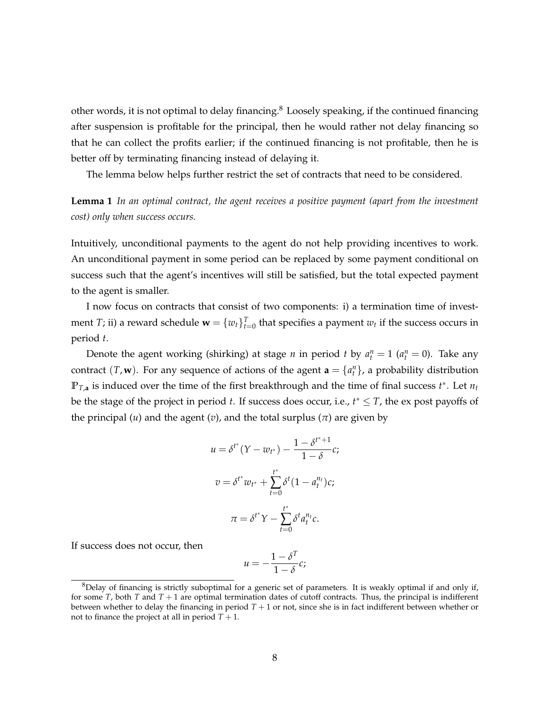other words, it is not optimal to delay financing.<sup>8</sup> Loosely speaking, if the continued financing after suspension is profitable for the principal, then he would rather not delay financing so that he can collect the profits earlier; if the continued financing is not profitable, then he is better off by terminating financing instead of delaying it.

The lemma below helps further restrict the set of contracts that need to be considered.

**Lemma 1** *In an optimal contract, the agent receives a positive payment (apart from the investment cost) only when success occurs.*

Intuitively, unconditional payments to the agent do not help providing incentives to work. An unconditional payment in some period can be replaced by some payment conditional on success such that the agent's incentives will still be satisfied, but the total expected payment to the agent is smaller.

I now focus on contracts that consist of two components: i) a termination time of investment *T*; ii) a reward schedule  $\mathbf{w} = \{w_t\}_{t=0}^T$  that specifies a payment  $w_t$  if the success occurs in period *t*.

Denote the agent working (shirking) at stage *n* in period *t* by  $a_t^n = 1$  ( $a_t^n = 0$ ). Take any contract  $(T, \mathbf{w})$ . For any sequence of actions of the agent  $\mathbf{a} = \{a_t^n\}$ , a probability distribution  $\mathbb{P}_{T,a}$  is induced over the time of the first breakthrough and the time of final success  $t^*$ . Let  $n_t$ be the stage of the project in period *t*. If success does occur, i.e.,  $t^* \leq T$ , the ex post payoffs of the principal  $(u)$  and the agent  $(v)$ , and the total surplus  $(\pi)$  are given by

$$
u = \delta^{t^*} (Y - w_{t^*}) - \frac{1 - \delta^{t^* + 1}}{1 - \delta} c;
$$
  

$$
v = \delta^{t^*} w_{t^*} + \sum_{t=0}^{t^*} \delta^t (1 - a_t^{n_t}) c;
$$
  

$$
\pi = \delta^{t^*} Y - \sum_{t=0}^{t^*} \delta^t a_t^{n_t} c.
$$

If success does not occur, then

$$
u=-\frac{1-\delta^T}{1-\delta}c;
$$

 $8$ Delay of financing is strictly suboptimal for a generic set of parameters. It is weakly optimal if and only if, for some  $T$ , both  $T$  and  $T + 1$  are optimal termination dates of cutoff contracts. Thus, the principal is indifferent between whether to delay the financing in period *T* + 1 or not, since she is in fact indifferent between whether or not to finance the project at all in period  $T + 1$ .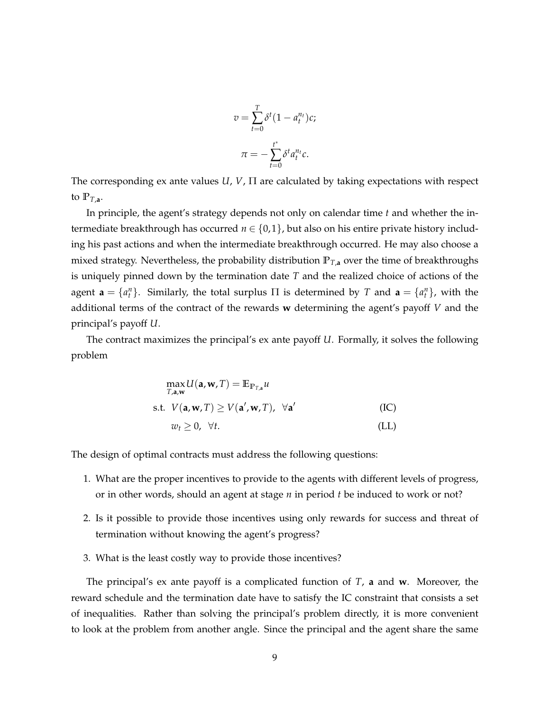$$
v = \sum_{t=0}^{T} \delta^t (1 - a_t^{n_t}) c;
$$

$$
\pi = -\sum_{t=0}^{t^*} \delta^t a_t^{n_t} c.
$$

The corresponding ex ante values *U*, *V*, Π are calculated by taking expectations with respect to  $\mathbb{P}_{T,a}$ .

In principle, the agent's strategy depends not only on calendar time *t* and whether the intermediate breakthrough has occurred *n* ∈ {0, 1}, but also on his entire private history including his past actions and when the intermediate breakthrough occurred. He may also choose a mixed strategy. Nevertheless, the probability distribution  $\mathbb{P}_{T,\mathbf{a}}$  over the time of breakthroughs is uniquely pinned down by the termination date *T* and the realized choice of actions of the agent  $\mathbf{a} = \{a_t^n\}$ . Similarly, the total surplus  $\Pi$  is determined by  $T$  and  $\mathbf{a} = \{a_t^n\}$ , with the additional terms of the contract of the rewards **w** determining the agent's payoff *V* and the principal's payoff *U*.

The contract maximizes the principal's ex ante payoff *U*. Formally, it solves the following problem

$$
\max_{T,a,w} U(\mathbf{a}, \mathbf{w}, T) = \mathbb{E}_{\mathbb{P}_{T,a}} u
$$
  
s.t.  $V(\mathbf{a}, \mathbf{w}, T) \ge V(\mathbf{a}', \mathbf{w}, T), \ \forall \mathbf{a}'$  (IC)  
 $w_t \ge 0, \ \forall t.$  (LL)

The design of optimal contracts must address the following questions:

- 1. What are the proper incentives to provide to the agents with different levels of progress, or in other words, should an agent at stage *n* in period *t* be induced to work or not?
- 2. Is it possible to provide those incentives using only rewards for success and threat of termination without knowing the agent's progress?
- 3. What is the least costly way to provide those incentives?

The principal's ex ante payoff is a complicated function of *T*, **a** and **w**. Moreover, the reward schedule and the termination date have to satisfy the IC constraint that consists a set of inequalities. Rather than solving the principal's problem directly, it is more convenient to look at the problem from another angle. Since the principal and the agent share the same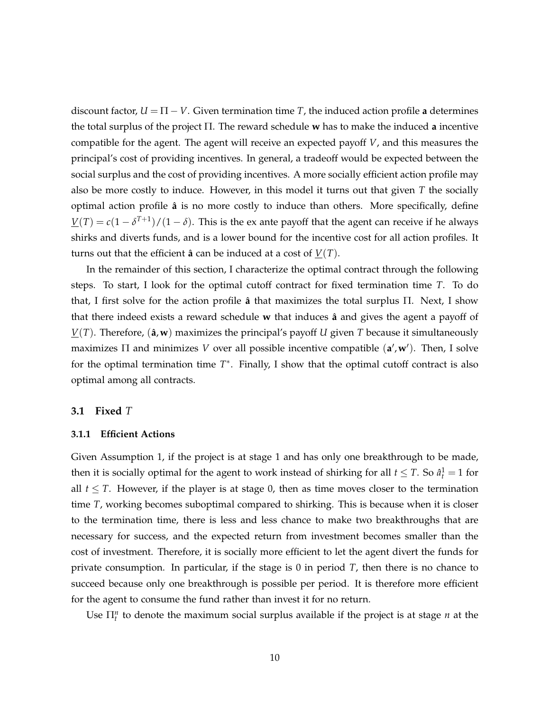discount factor,  $U = \Pi - V$ . Given termination time *T*, the induced action profile **a** determines the total surplus of the project Π. The reward schedule **w** has to make the induced **a** incentive compatible for the agent. The agent will receive an expected payoff *V*, and this measures the principal's cost of providing incentives. In general, a tradeoff would be expected between the social surplus and the cost of providing incentives. A more socially efficient action profile may also be more costly to induce. However, in this model it turns out that given *T* the socially optimal action profile **a**ˆ is no more costly to induce than others. More specifically, define  $\underline{V}(T) = c(1 - \delta^{T+1})/(1 - \delta)$ . This is the ex ante payoff that the agent can receive if he always shirks and diverts funds, and is a lower bound for the incentive cost for all action profiles. It turns out that the efficient  $\hat{a}$  can be induced at a cost of  $V(T)$ .

In the remainder of this section, I characterize the optimal contract through the following steps. To start, I look for the optimal cutoff contract for fixed termination time *T*. To do that, I first solve for the action profile **a**ˆ that maximizes the total surplus Π. Next, I show that there indeed exists a reward schedule **w** that induces **a**ˆ and gives the agent a payoff of  $V(T)$ . Therefore, ( $\hat{a}$ , $\bf{w}$ ) maximizes the principal's payoff *U* given *T* because it simultaneously maximizes Π and minimizes *V* over all possible incentive compatible (a',w'). Then, I solve for the optimal termination time  $T^*$ . Finally, I show that the optimal cutoff contract is also optimal among all contracts.

### **3.1 Fixed** *T*

### **3.1.1 Efficient Actions**

Given Assumption 1, if the project is at stage 1 and has only one breakthrough to be made, then it is socially optimal for the agent to work instead of shirking for all  $t \leq T$ . So  $\hat{a}_t^1 = 1$  for all  $t \leq T$ . However, if the player is at stage 0, then as time moves closer to the termination time *T*, working becomes suboptimal compared to shirking. This is because when it is closer to the termination time, there is less and less chance to make two breakthroughs that are necessary for success, and the expected return from investment becomes smaller than the cost of investment. Therefore, it is socially more efficient to let the agent divert the funds for private consumption. In particular, if the stage is 0 in period *T*, then there is no chance to succeed because only one breakthrough is possible per period. It is therefore more efficient for the agent to consume the fund rather than invest it for no return.

Use  $\prod_{t=1}^{n}$  to denote the maximum social surplus available if the project is at stage *n* at the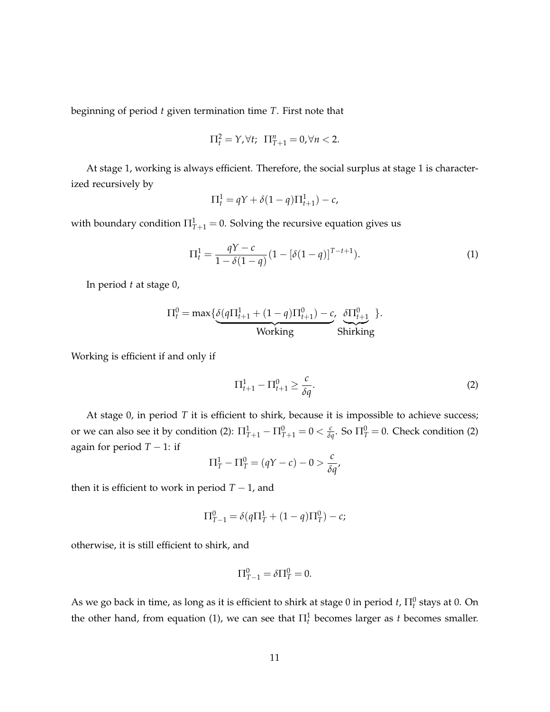beginning of period *t* given termination time *T*. First note that

$$
\Pi_t^2 = Y, \forall t; \ \Pi_{T+1}^n = 0, \forall n < 2.
$$

At stage 1, working is always efficient. Therefore, the social surplus at stage 1 is characterized recursively by

$$
\Pi_t^1 = qY + \delta(1-q)\Pi_{t+1}^1) - c,
$$

with boundary condition  $\Pi^1_{T+1}=0$ . Solving the recursive equation gives us

$$
\Pi_t^1 = \frac{qY - c}{1 - \delta(1 - q)} (1 - [\delta(1 - q)]^{T - t + 1}).
$$
\n(1)

In period *t* at stage 0,

$$
\Pi_t^0 = \max \{ \underbrace{\delta(q\Pi_{t+1}^1 + (1-q)\Pi_{t+1}^0) - c, \underbrace{\delta\Pi_{t+1}^0}_{\text{Working}} \}.
$$

Working is efficient if and only if

$$
\Pi_{t+1}^1 - \Pi_{t+1}^0 \ge \frac{c}{\delta q}.\tag{2}
$$

At stage 0, in period *T* it is efficient to shirk, because it is impossible to achieve success; or we can also see it by condition (2):  $\Pi^1_{T+1} - \Pi^0_{T+1} = 0 < \frac{c}{\delta q}$ . So  $\Pi^0_{T} = 0$ . Check condition (2) again for period  $T - 1$ : if

$$
\Pi_T^1 - \Pi_T^0 = (qY - c) - 0 > \frac{c}{\delta q},
$$

then it is efficient to work in period  $T - 1$ , and

$$
\Pi_{T-1}^0 = \delta(q\Pi_T^1 + (1-q)\Pi_T^0) - c;
$$

otherwise, it is still efficient to shirk, and

$$
\Pi_{T-1}^0 = \delta \Pi_T^0 = 0.
$$

As we go back in time, as long as it is efficient to shirk at stage 0 in period  $t$ ,  $\Pi^0_t$  stays at 0. On the other hand, from equation (1), we can see that  $\Pi_t^1$  becomes larger as *t* becomes smaller.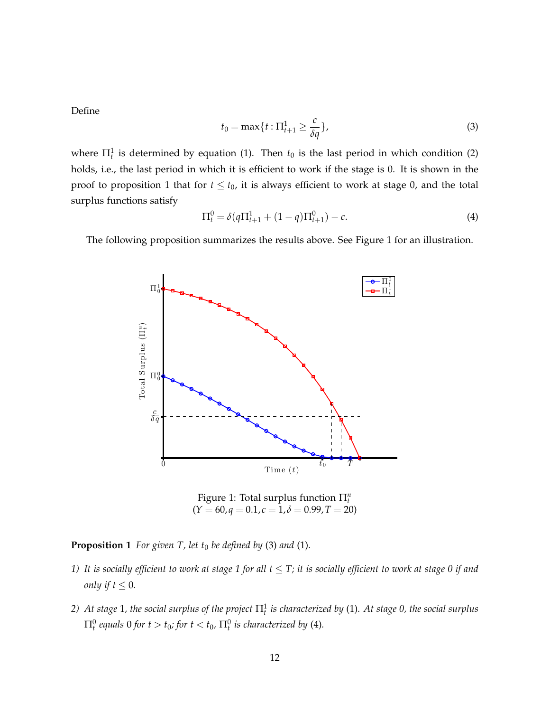Define

$$
t_0 = \max\{t : \Pi_{t+1}^1 \ge \frac{c}{\delta q}\},\tag{3}
$$

where  $\Pi_t^1$  is determined by equation (1). Then  $t_0$  is the last period in which condition (2) holds, i.e., the last period in which it is efficient to work if the stage is 0. It is shown in the proof to proposition 1 that for  $t \leq t_0$ , it is always efficient to work at stage 0, and the total surplus functions satisfy

$$
\Pi_t^0 = \delta(q \Pi_{t+1}^1 + (1-q) \Pi_{t+1}^0) - c. \tag{4}
$$

The following proposition summarizes the results above. See Figure 1 for an illustration.



Figure 1: Total surplus function Π*<sup>n</sup> t*  $(Y = 60, q = 0.1, c = 1, \delta = 0.99, T = 20)$ 

**Proposition 1** *For given T, let t<sub>0</sub> be defined by* (3) *and* (1)*.* 

- *1)* It is socially efficient to work at stage 1 for all  $t \leq T$ ; it is socially efficient to work at stage 0 if and *only if*  $t \leq 0$ *.*
- 2) At stage 1, the social surplus of the project  $\Pi^1_t$  is characterized by (1). At stage 0, the social surplus  $\Pi_t^0$  equals 0 for  $t > t_0$ ; for  $t < t_0$ ,  $\Pi_t^0$  is characterized by (4).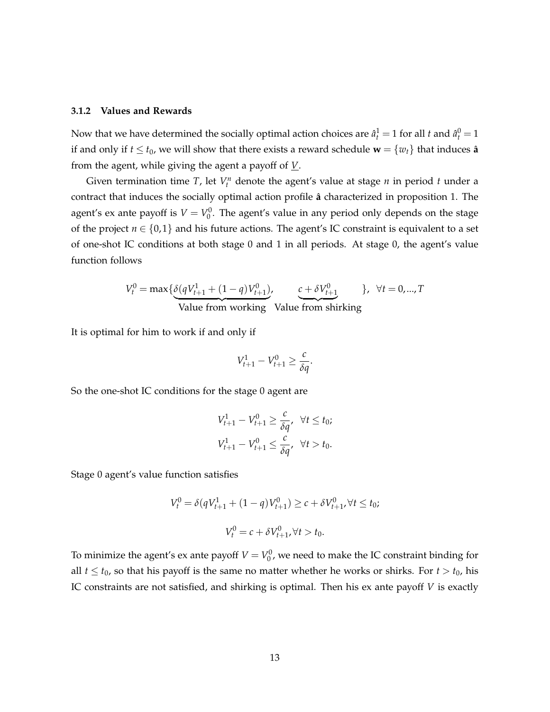#### **3.1.2 Values and Rewards**

Now that we have determined the socially optimal action choices are  $\hat{a}_t^1 = 1$  for all *t* and  $\hat{a}_t^0 = 1$ if and only if  $t \le t_0$ , we will show that there exists a reward schedule  $\mathbf{w} = \{w_t\}$  that induces  $\hat{\mathbf{a}}$ from the agent, while giving the agent a payoff of *V*.

Given termination time *T*, let  $V_t^n$  denote the agent's value at stage *n* in period *t* under a contract that induces the socially optimal action profile  $\hat{a}$  characterized in proposition 1. The agent's ex ante payoff is  $V = V_0^0$ . The agent's value in any period only depends on the stage of the project  $n \in \{0,1\}$  and his future actions. The agent's IC constraint is equivalent to a set of one-shot IC conditions at both stage 0 and 1 in all periods. At stage 0, the agent's value function follows

$$
V_t^0 = \max\{\underbrace{\delta(qV_{t+1}^1 + (1-q)V_{t+1}^0)}_{\text{Value from working}}\}, \quad \underbrace{c + \delta V_{t+1}^0}{\text{Value from shifting}}\}, \quad \forall t = 0,...,T
$$

It is optimal for him to work if and only if

$$
V_{t+1}^1 - V_{t+1}^0 \ge \frac{c}{\delta q}.
$$

So the one-shot IC conditions for the stage 0 agent are

$$
V_{t+1}^1 - V_{t+1}^0 \ge \frac{c}{\delta q}, \quad \forall t \le t_0;
$$
  

$$
V_{t+1}^1 - V_{t+1}^0 \le \frac{c}{\delta q}, \quad \forall t > t_0.
$$

Stage 0 agent's value function satisfies

$$
V_t^0 = \delta(qV_{t+1}^1 + (1-q)V_{t+1}^0) \ge c + \delta V_{t+1}^0, \forall t \le t_0;
$$
  

$$
V_t^0 = c + \delta V_{t+1}^0, \forall t > t_0.
$$

To minimize the agent's ex ante payoff  $V = V_0^0$ , we need to make the IC constraint binding for all  $t \le t_0$ , so that his payoff is the same no matter whether he works or shirks. For  $t > t_0$ , his IC constraints are not satisfied, and shirking is optimal. Then his ex ante payoff *V* is exactly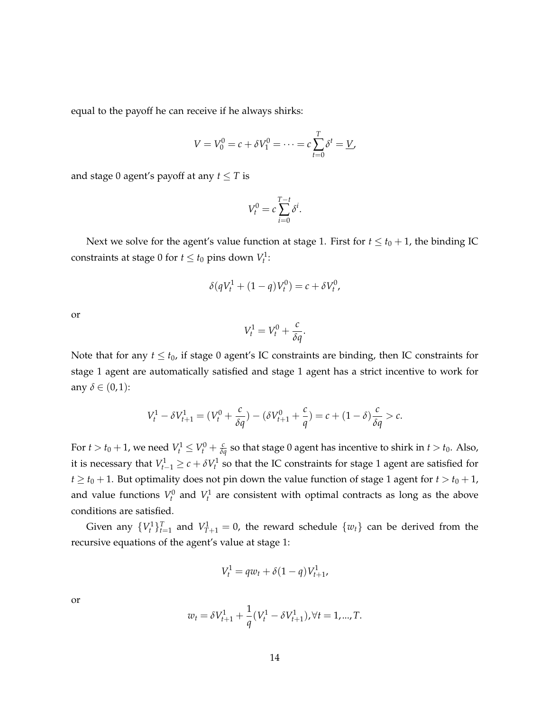equal to the payoff he can receive if he always shirks:

$$
V = V_0^0 = c + \delta V_1^0 = \dots = c \sum_{t=0}^{T} \delta^t = \underline{V},
$$

and stage 0 agent's payoff at any  $t \leq T$  is

$$
V_t^0 = c \sum_{i=0}^{T-t} \delta^i.
$$

Next we solve for the agent's value function at stage 1. First for  $t \le t_0 + 1$ , the binding IC constraints at stage 0 for  $t \le t_0$  pins down  $V_t^1$ :

$$
\delta(qV_t^1 + (1-q)V_t^0) = c + \delta V_t^0,
$$

or

$$
V_t^1 = V_t^0 + \frac{c}{\delta q}.
$$

Note that for any  $t \leq t_0$ , if stage 0 agent's IC constraints are binding, then IC constraints for stage 1 agent are automatically satisfied and stage 1 agent has a strict incentive to work for any  $\delta \in (0,1)$ :

$$
V_t^1 - \delta V_{t+1}^1 = (V_t^0 + \frac{c}{\delta q}) - (\delta V_{t+1}^0 + \frac{c}{q}) = c + (1 - \delta) \frac{c}{\delta q} > c.
$$

For  $t > t_0 + 1$ , we need  $V_t^1 \leq V_t^0 + \frac{c}{\delta q}$  so that stage 0 agent has incentive to shirk in  $t > t_0$ . Also, it is necessary that  $V_{t-1}^1 \ge c + \delta V_t^1$  so that the IC constraints for stage 1 agent are satisfied for  $t \ge t_0 + 1$ . But optimality does not pin down the value function of stage 1 agent for  $t > t_0 + 1$ , and value functions  $V_t^0$  and  $V_t^1$  are consistent with optimal contracts as long as the above conditions are satisfied.

Given any  $\{V_t^1\}_{t=1}^T$  and  $V_{T+1}^1 = 0$ , the reward schedule  $\{w_t\}$  can be derived from the recursive equations of the agent's value at stage 1:

$$
V_t^1 = q w_t + \delta (1 - q) V_{t+1}^1,
$$

or

$$
w_t = \delta V_{t+1}^1 + \frac{1}{q}(V_t^1 - \delta V_{t+1}^1), \forall t = 1, ..., T.
$$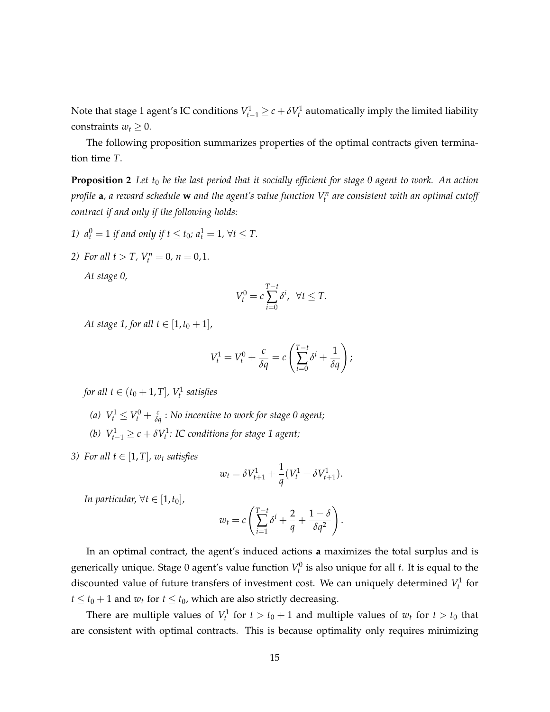Note that stage 1 agent's IC conditions  $V_{t-1}^1 \ge c + \delta V_t^1$  automatically imply the limited liability constraints  $w_t \geq 0$ .

The following proposition summarizes properties of the optimal contracts given termination time *T*.

**Proposition 2** Let  $t_0$  be the last period that it socially efficient for stage 0 agent to work. An action *profile* **a***, a reward schedule* **w** *and the agent's value function V<sup>n</sup> t are consistent with an optimal cutoff contract if and only if the following holds:*

- *1*)  $a_t^0 = 1$  *if and only if t*  $\le t_0$ *;*  $a_t^1 = 1$ *,*  $\forall t \le T$ *.*
- *2) For all*  $t > T$ *,*  $V_t^n = 0$ *,*  $n = 0, 1$ *.*

*At stage 0,*

$$
V_t^0 = c \sum_{i=0}^{T-t} \delta^i, \ \ \forall t \leq T.
$$

*At stage 1, for all t*  $\in$  [1,  $t_0 + 1$ ],

$$
V_t^1 = V_t^0 + \frac{c}{\delta q} = c \left( \sum_{i=0}^{T-t} \delta^i + \frac{1}{\delta q} \right);
$$

*for all*  $t \in (t_0 + 1, T]$ ,  $V_t^1$  satisfies

*(a)*  $V_t^1 \leq V_t^0 + \frac{c}{\delta q}$  : No incentive to work for stage 0 agent;

(b)  $V_{t-1}^1 \ge c + \delta V_t^1$ : IC conditions for stage 1 agent;

*3)* For all  $t \in [1, T]$ ,  $w_t$  satisfies

$$
w_t = \delta V_{t+1}^1 + \frac{1}{q}(V_t^1 - \delta V_{t+1}^1).
$$

*In particular,*  $\forall t \in [1, t_0]$ *,* 

$$
w_t = c \left( \sum_{i=1}^{T-t} \delta^i + \frac{2}{q} + \frac{1-\delta}{\delta q^2} \right).
$$

In an optimal contract, the agent's induced actions **a** maximizes the total surplus and is generically unique. Stage 0 agent's value function  $V_t^0$  is also unique for all *t*. It is equal to the discounted value of future transfers of investment cost. We can uniquely determined  $V_t^1$  for  $t \le t_0 + 1$  and  $w_t$  for  $t \le t_0$ , which are also strictly decreasing.

There are multiple values of  $V_t^1$  for  $t > t_0 + 1$  and multiple values of  $w_t$  for  $t > t_0$  that are consistent with optimal contracts. This is because optimality only requires minimizing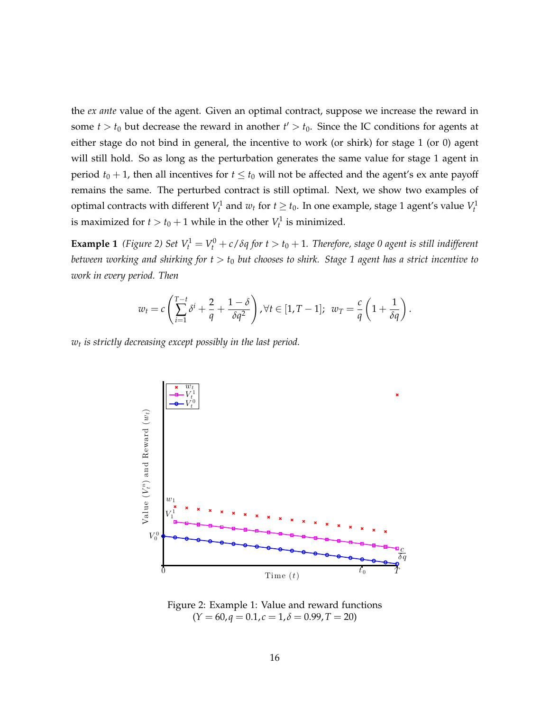the *ex ante* value of the agent. Given an optimal contract, suppose we increase the reward in some  $t > t_0$  but decrease the reward in another  $t' > t_0$ . Since the IC conditions for agents at either stage do not bind in general, the incentive to work (or shirk) for stage 1 (or 0) agent will still hold. So as long as the perturbation generates the same value for stage 1 agent in period  $t_0 + 1$ , then all incentives for  $t \leq t_0$  will not be affected and the agent's ex ante payoff remains the same. The perturbed contract is still optimal. Next, we show two examples of optimal contracts with different  $V_t^1$  and  $w_t$  for  $t \geq t_0$ . In one example, stage 1 agent's value  $V_t^1$ is maximized for  $t > t_0 + 1$  while in the other  $V_t^1$  is minimized.

**Example 1** (Figure 2) Set  $V_t^1 = V_t^0 + c/\delta q$  for  $t > t_0 + 1$ . Therefore, stage 0 agent is still indifferent *between working and shirking for t* > *t*<sup>0</sup> *but chooses to shirk. Stage 1 agent has a strict incentive to work in every period. Then*

$$
w_t = c \left( \sum_{i=1}^{T-t} \delta^i + \frac{2}{q} + \frac{1-\delta}{\delta q^2} \right), \forall t \in [1, T-1]; \ w_T = \frac{c}{q} \left( 1 + \frac{1}{\delta q} \right).
$$

*wt is strictly decreasing except possibly in the last period.*



Figure 2: Example 1: Value and reward functions  $(Y = 60, q = 0.1, c = 1, \delta = 0.99, T = 20)$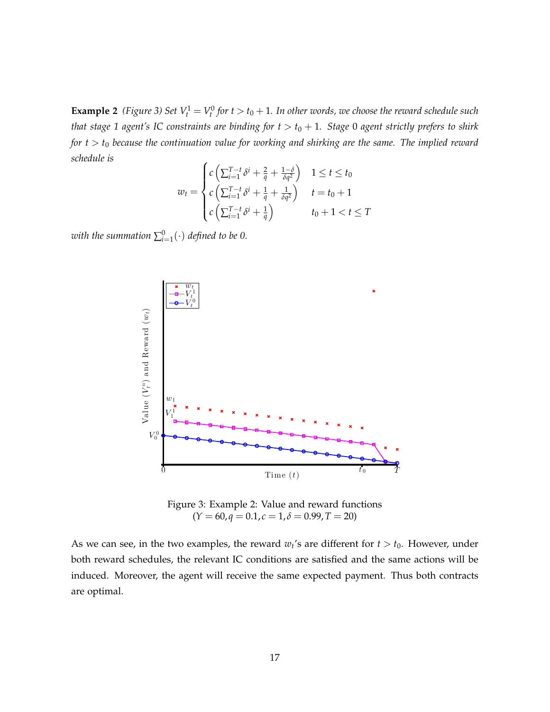**Example 2** (Figure 3) Set  $V_t^1 = V_t^0$  for  $t > t_0 + 1$ . In other words, we choose the reward schedule such *that stage 1 agent's IC constraints are binding for*  $t > t_0 + 1$ *. Stage 0 agent strictly prefers to shirk for t* > *t*<sup>0</sup> *because the continuation value for working and shirking are the same. The implied reward schedule is*

$$
w_t = \begin{cases} c\left(\sum_{i=1}^{T-t} \delta^i + \frac{2}{q} + \frac{1-\delta}{\delta q^2}\right) & 1 \le t \le t_0\\ c\left(\sum_{i=1}^{T-t} \delta^i + \frac{1}{q} + \frac{1}{\delta q^2}\right) & t = t_0 + 1\\ c\left(\sum_{i=1}^{T-t} \delta^i + \frac{1}{q}\right) & t_0 + 1 < t \le T \end{cases}
$$

with the summation  $\sum_{i=1}^0 (\cdot)$  defined to be 0.



Figure 3: Example 2: Value and reward functions  $(Y = 60, q = 0.1, c = 1, \delta = 0.99, T = 20)$ 

As we can see, in the two examples, the reward  $w_t$ 's are different for  $t > t_0$ . However, under both reward schedules, the relevant IC conditions are satisfied and the same actions will be induced. Moreover, the agent will receive the same expected payment. Thus both contracts are optimal.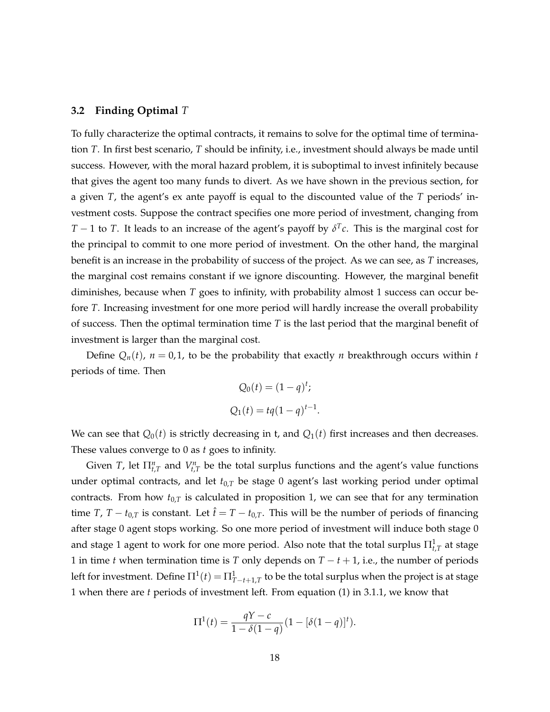### **3.2 Finding Optimal** *T*

To fully characterize the optimal contracts, it remains to solve for the optimal time of termination *T*. In first best scenario, *T* should be infinity, i.e., investment should always be made until success. However, with the moral hazard problem, it is suboptimal to invest infinitely because that gives the agent too many funds to divert. As we have shown in the previous section, for a given *T*, the agent's ex ante payoff is equal to the discounted value of the *T* periods' investment costs. Suppose the contract specifies one more period of investment, changing from *T* − 1 to *T*. It leads to an increase of the agent's payoff by  $\delta^T c$ . This is the marginal cost for the principal to commit to one more period of investment. On the other hand, the marginal benefit is an increase in the probability of success of the project. As we can see, as *T* increases, the marginal cost remains constant if we ignore discounting. However, the marginal benefit diminishes, because when *T* goes to infinity, with probability almost 1 success can occur before *T*. Increasing investment for one more period will hardly increase the overall probability of success. Then the optimal termination time *T* is the last period that the marginal benefit of investment is larger than the marginal cost.

Define  $Q_n(t)$ ,  $n = 0,1$ , to be the probability that exactly *n* breakthrough occurs within *t* periods of time. Then

$$
Q_0(t) = (1 - q)^t;
$$
  

$$
Q_1(t) = tq(1 - q)^{t-1}.
$$

We can see that  $Q_0(t)$  is strictly decreasing in t, and  $Q_1(t)$  first increases and then decreases. These values converge to 0 as *t* goes to infinity.

Given *T*, let  $\prod_{t,T}^n$  and  $V_{t,T}^n$  be the total surplus functions and the agent's value functions under optimal contracts, and let *t*0,*<sup>T</sup>* be stage 0 agent's last working period under optimal contracts. From how  $t_{0,T}$  is calculated in proposition 1, we can see that for any termination time *T*, *T* − *t*<sub>0,*T*</sub> is constant. Let  $\hat{t} = T - t_{0,T}$ . This will be the number of periods of financing after stage 0 agent stops working. So one more period of investment will induce both stage 0 and stage 1 agent to work for one more period. Also note that the total surplus  $\Pi_{t,T}^1$  at stage 1 in time *t* when termination time is *T* only depends on *T* − *t* + 1, i.e., the number of periods left for investment. Define  $\Pi^1(t)=\Pi^1_{T-t+1,T}$  to be the total surplus when the project is at stage 1 when there are *t* periods of investment left. From equation (1) in 3.1.1, we know that

$$
\Pi^{1}(t) = \frac{qY - c}{1 - \delta(1 - q)}(1 - [\delta(1 - q)]^{t}).
$$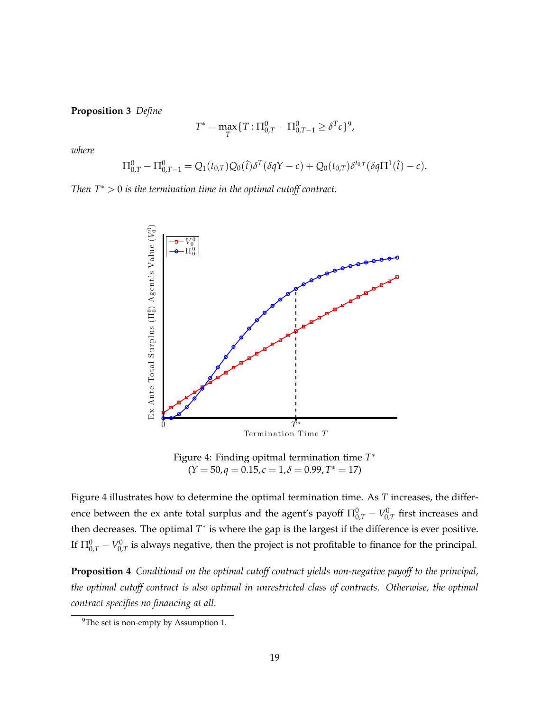**Proposition 3** *Define*

$$
T^* = \max_T \{ T : \Pi_{0,T}^0 - \Pi_{0,T-1}^0 \ge \delta^T c \}^9,
$$

*where*

$$
\Pi_{0,T}^0 - \Pi_{0,T-1}^0 = Q_1(t_{0,T})Q_0(\hat{t})\delta^T(\delta qY - c) + Q_0(t_{0,T})\delta^{t_{0,T}}(\delta q\Pi^1(\hat{t}) - c).
$$

*Then T*<sup>∗</sup> > 0 *is the termination time in the optimal cutoff contract.*



Figure 4: Finding opitmal termination time *T* ∗  $(Y = 50, q = 0.15, c = 1, \delta = 0.99, T^* = 17)$ 

Figure 4 illustrates how to determine the optimal termination time. As *T* increases, the difference between the ex ante total surplus and the agent's payoff  $\Pi^0_{0,T} - V^0_{0,T}$  first increases and then decreases. The optimal  $T^*$  is where the gap is the largest if the difference is ever positive. If  $\Pi^0_{0,T}-V^0_{0,T}$  is always negative, then the project is not profitable to finance for the principal.

**Proposition 4** *Conditional on the optimal cutoff contract yields non-negative payoff to the principal, the optimal cutoff contract is also optimal in unrestricted class of contracts. Otherwise, the optimal contract specifies no financing at all.*

 $9^9$ The set is non-empty by Assumption 1.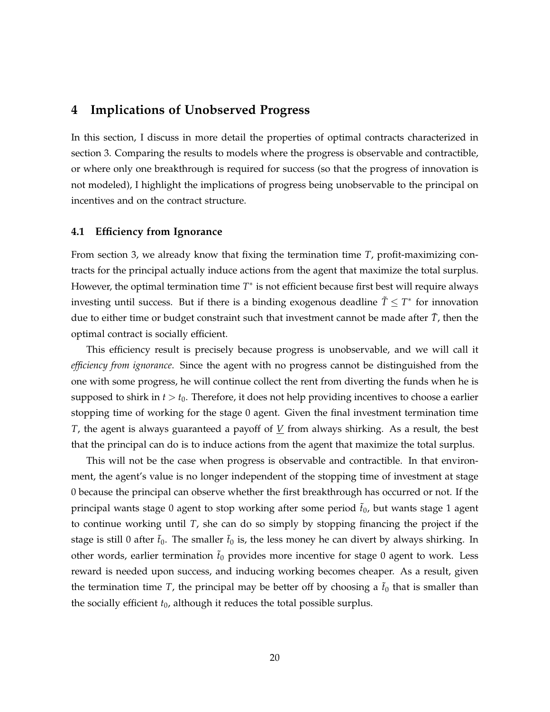### **4 Implications of Unobserved Progress**

In this section, I discuss in more detail the properties of optimal contracts characterized in section 3. Comparing the results to models where the progress is observable and contractible, or where only one breakthrough is required for success (so that the progress of innovation is not modeled), I highlight the implications of progress being unobservable to the principal on incentives and on the contract structure.

### **4.1 Efficiency from Ignorance**

From section 3, we already know that fixing the termination time *T*, profit-maximizing contracts for the principal actually induce actions from the agent that maximize the total surplus. However, the optimal termination time *T* ∗ is not efficient because first best will require always investing until success. But if there is a binding exogenous deadline  $\tilde{T} \leq T^*$  for innovation due to either time or budget constraint such that investment cannot be made after  $T$ , then the optimal contract is socially efficient.

This efficiency result is precisely because progress is unobservable, and we will call it *efficiency from ignorance*. Since the agent with no progress cannot be distinguished from the one with some progress, he will continue collect the rent from diverting the funds when he is supposed to shirk in  $t > t_0$ . Therefore, it does not help providing incentives to choose a earlier stopping time of working for the stage 0 agent. Given the final investment termination time *T*, the agent is always guaranteed a payoff of *V* from always shirking. As a result, the best that the principal can do is to induce actions from the agent that maximize the total surplus.

This will not be the case when progress is observable and contractible. In that environment, the agent's value is no longer independent of the stopping time of investment at stage 0 because the principal can observe whether the first breakthrough has occurred or not. If the principal wants stage 0 agent to stop working after some period ˜*t*0, but wants stage 1 agent to continue working until *T*, she can do so simply by stopping financing the project if the stage is still 0 after  $\tilde{t}_0$ . The smaller  $\tilde{t}_0$  is, the less money he can divert by always shirking. In other words, earlier termination  $\tilde{t}_0$  provides more incentive for stage 0 agent to work. Less reward is needed upon success, and inducing working becomes cheaper. As a result, given the termination time *T*, the principal may be better off by choosing a  $\tilde{t}_0$  that is smaller than the socially efficient  $t_0$ , although it reduces the total possible surplus.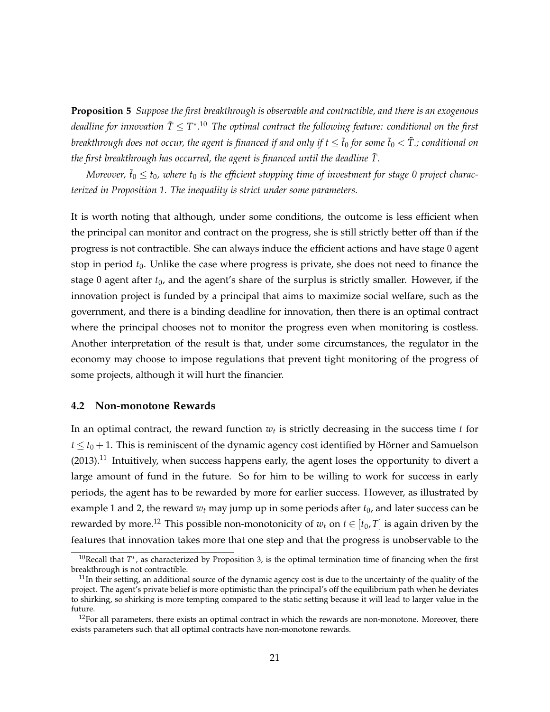**Proposition 5** *Suppose the first breakthrough is observable and contractible, and there is an exogenous* deadline for innovation  $\tilde{T} \leq T^{*,10}$  The optimal contract the following feature: conditional on the first *breakthrough does not occur, the agent is financed if and only if*  $t \leq \tilde{t}_0$  *for some*  $\tilde{t}_0 < \tilde{T}$ *.; conditional on the first breakthrough has occurred, the agent is financed until the deadline*  $\tilde{T}$ *.* 

*Moreover,*  $\tilde{t}_0 \le t_0$ , where  $t_0$  is the efficient stopping time of investment for stage 0 project charac*terized in Proposition 1. The inequality is strict under some parameters.*

It is worth noting that although, under some conditions, the outcome is less efficient when the principal can monitor and contract on the progress, she is still strictly better off than if the progress is not contractible. She can always induce the efficient actions and have stage 0 agent stop in period  $t_0$ . Unlike the case where progress is private, she does not need to finance the stage 0 agent after *t*0, and the agent's share of the surplus is strictly smaller. However, if the innovation project is funded by a principal that aims to maximize social welfare, such as the government, and there is a binding deadline for innovation, then there is an optimal contract where the principal chooses not to monitor the progress even when monitoring is costless. Another interpretation of the result is that, under some circumstances, the regulator in the economy may choose to impose regulations that prevent tight monitoring of the progress of some projects, although it will hurt the financier.

### **4.2 Non-monotone Rewards**

In an optimal contract, the reward function *w<sup>t</sup>* is strictly decreasing in the success time *t* for  $t \le t_0 + 1$ . This is reminiscent of the dynamic agency cost identified by Hörner and Samuelson  $(2013).$ <sup>11</sup> Intuitively, when success happens early, the agent loses the opportunity to divert a large amount of fund in the future. So for him to be willing to work for success in early periods, the agent has to be rewarded by more for earlier success. However, as illustrated by example 1 and 2, the reward  $w_t$  may jump up in some periods after  $t_0$ , and later success can be rewarded by more.<sup>12</sup> This possible non-monotonicity of  $w_t$  on  $t \in [t_0, T]$  is again driven by the features that innovation takes more that one step and that the progress is unobservable to the

<sup>&</sup>lt;sup>10</sup>Recall that *T*<sup>∗</sup>, as characterized by Proposition 3, is the optimal termination time of financing when the first breakthrough is not contractible.

 $11$ In their setting, an additional source of the dynamic agency cost is due to the uncertainty of the quality of the project. The agent's private belief is more optimistic than the principal's off the equilibrium path when he deviates to shirking, so shirking is more tempting compared to the static setting because it will lead to larger value in the future.

 $12$ For all parameters, there exists an optimal contract in which the rewards are non-monotone. Moreover, there exists parameters such that all optimal contracts have non-monotone rewards.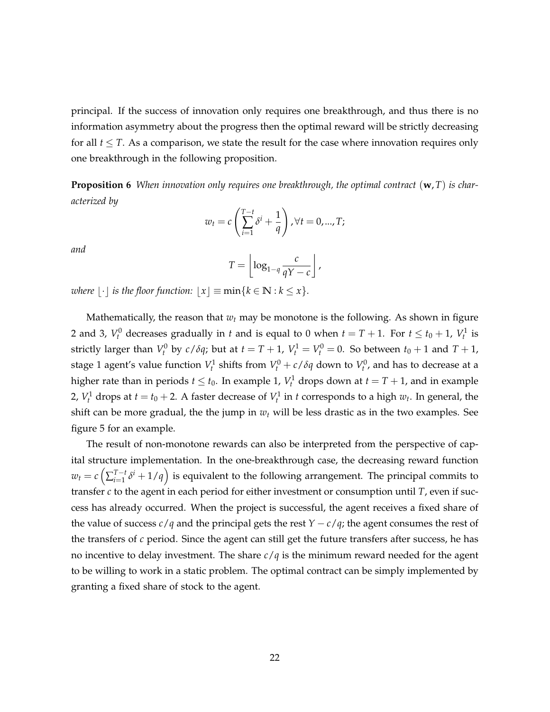principal. If the success of innovation only requires one breakthrough, and thus there is no information asymmetry about the progress then the optimal reward will be strictly decreasing for all  $t \leq T$ . As a comparison, we state the result for the case where innovation requires only one breakthrough in the following proposition.

**Proposition 6** *When innovation only requires one breakthrough, the optimal contract* (**w**,*T*) *is characterized by*

$$
w_t = c \left( \sum_{i=1}^{T-t} \delta^i + \frac{1}{q} \right), \forall t = 0, ..., T;
$$

*and*

$$
T=\left\lfloor \log_{1-q} \frac{c}{qY-c} \right\rfloor,
$$

*where*  $\lfloor \cdot \rfloor$  *is the floor function:*  $\lfloor x \rfloor \equiv \min\{k \in \mathbb{N} : k \leq x\}.$ 

Mathematically, the reason that *w<sup>t</sup>* may be monotone is the following. As shown in figure 2 and 3,  $V_t^0$  decreases gradually in *t* and is equal to 0 when  $t = T + 1$ . For  $t \le t_0 + 1$ ,  $V_t^1$  is strictly larger than  $V_t^0$  by  $c/\delta q$ ; but at  $t = T + 1$ ,  $V_t^1 = V_t^0 = 0$ . So between  $t_0 + 1$  and  $T + 1$ , stage 1 agent's value function  $V_t^1$  shifts from  $V_t^0 + c/\delta q$  down to  $V_t^0$ , and has to decrease at a higher rate than in periods  $t \leq t_0$ . In example 1,  $V_t^1$  drops down at  $t = T + 1$ , and in example 2,  $V_t^1$  drops at  $t = t_0 + 2$ . A faster decrease of  $V_t^1$  in  $t$  corresponds to a high  $w_t$ . In general, the shift can be more gradual, the the jump in *w<sup>t</sup>* will be less drastic as in the two examples. See figure 5 for an example.

The result of non-monotone rewards can also be interpreted from the perspective of capital structure implementation. In the one-breakthrough case, the decreasing reward function  $w_t = c \left( \sum_{i=1}^{T-t} \right)$  $\int_{i=1}^{T-t} \delta^i + 1/q$  is equivalent to the following arrangement. The principal commits to transfer *c* to the agent in each period for either investment or consumption until *T*, even if success has already occurred. When the project is successful, the agent receives a fixed share of the value of success  $c/q$  and the principal gets the rest  $Y - c/q$ ; the agent consumes the rest of the transfers of *c* period. Since the agent can still get the future transfers after success, he has no incentive to delay investment. The share *c*/*q* is the minimum reward needed for the agent to be willing to work in a static problem. The optimal contract can be simply implemented by granting a fixed share of stock to the agent.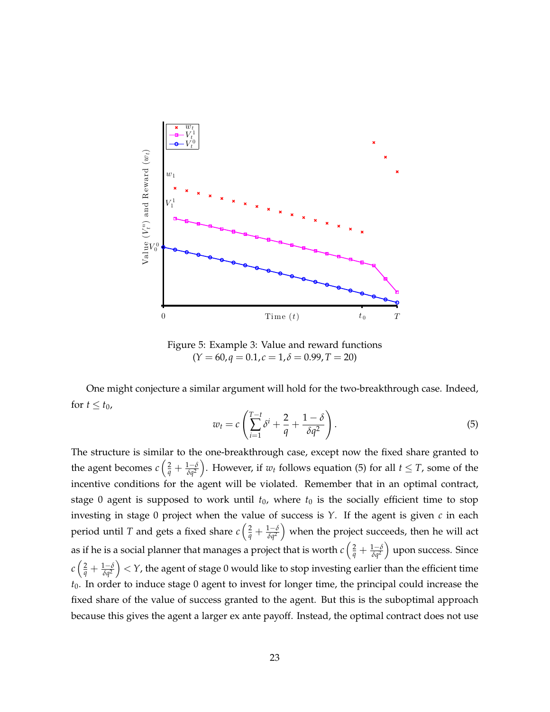

Figure 5: Example 3: Value and reward functions  $(Y = 60, q = 0.1, c = 1, \delta = 0.99, T = 20)$ 

One might conjecture a similar argument will hold for the two-breakthrough case. Indeed, for  $t \le t_0$ ,

$$
w_t = c \left( \sum_{i=1}^{T-t} \delta^i + \frac{2}{q} + \frac{1-\delta}{\delta q^2} \right).
$$
 (5)

The structure is similar to the one-breakthrough case, except now the fixed share granted to the agent becomes  $c\left(\frac{2}{q}+\frac{1-\delta}{\delta q^2}\right)$ . However, if  $w_t$  follows equation (5) for all  $t \leq T$ , some of the incentive conditions for the agent will be violated. Remember that in an optimal contract, stage 0 agent is supposed to work until  $t_0$ , where  $t_0$  is the socially efficient time to stop investing in stage 0 project when the value of success is *Y*. If the agent is given *c* in each period until  $T$  and gets a fixed share  $c\left(\frac{2}{q}+\frac{1-\delta}{\delta q^2}\right)$  when the project succeeds, then he will act as if he is a social planner that manages a project that is worth  $c\left(\frac{2}{q}+\frac{1-\delta}{\delta q^2}\right)$  upon success. Since  $c\left(\frac{2}{q}+\frac{1-\delta}{\delta q^2}\right)< Y$ , the agent of stage 0 would like to stop investing earlier than the efficient time *t*0. In order to induce stage 0 agent to invest for longer time, the principal could increase the fixed share of the value of success granted to the agent. But this is the suboptimal approach because this gives the agent a larger ex ante payoff. Instead, the optimal contract does not use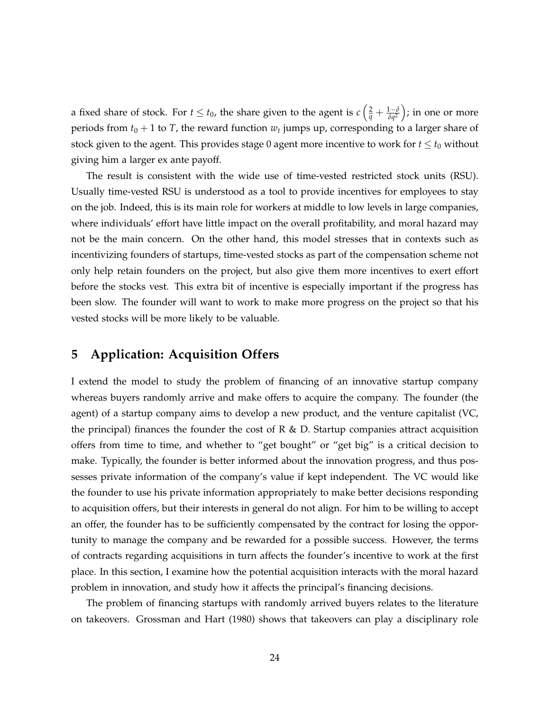a fixed share of stock. For  $t \le t_0$ , the share given to the agent is  $c\left(\frac{2}{q} + \frac{1-\delta}{\delta q^2}\right)$ ; in one or more periods from  $t_0 + 1$  to  $T$ , the reward function  $w_t$  jumps up, corresponding to a larger share of stock given to the agent. This provides stage 0 agent more incentive to work for  $t \leq t_0$  without giving him a larger ex ante payoff.

The result is consistent with the wide use of time-vested restricted stock units (RSU). Usually time-vested RSU is understood as a tool to provide incentives for employees to stay on the job. Indeed, this is its main role for workers at middle to low levels in large companies, where individuals' effort have little impact on the overall profitability, and moral hazard may not be the main concern. On the other hand, this model stresses that in contexts such as incentivizing founders of startups, time-vested stocks as part of the compensation scheme not only help retain founders on the project, but also give them more incentives to exert effort before the stocks vest. This extra bit of incentive is especially important if the progress has been slow. The founder will want to work to make more progress on the project so that his vested stocks will be more likely to be valuable.

### **5 Application: Acquisition Offers**

I extend the model to study the problem of financing of an innovative startup company whereas buyers randomly arrive and make offers to acquire the company. The founder (the agent) of a startup company aims to develop a new product, and the venture capitalist (VC, the principal) finances the founder the cost of R  $\&$  D. Startup companies attract acquisition offers from time to time, and whether to "get bought" or "get big" is a critical decision to make. Typically, the founder is better informed about the innovation progress, and thus possesses private information of the company's value if kept independent. The VC would like the founder to use his private information appropriately to make better decisions responding to acquisition offers, but their interests in general do not align. For him to be willing to accept an offer, the founder has to be sufficiently compensated by the contract for losing the opportunity to manage the company and be rewarded for a possible success. However, the terms of contracts regarding acquisitions in turn affects the founder's incentive to work at the first place. In this section, I examine how the potential acquisition interacts with the moral hazard problem in innovation, and study how it affects the principal's financing decisions.

The problem of financing startups with randomly arrived buyers relates to the literature on takeovers. Grossman and Hart (1980) shows that takeovers can play a disciplinary role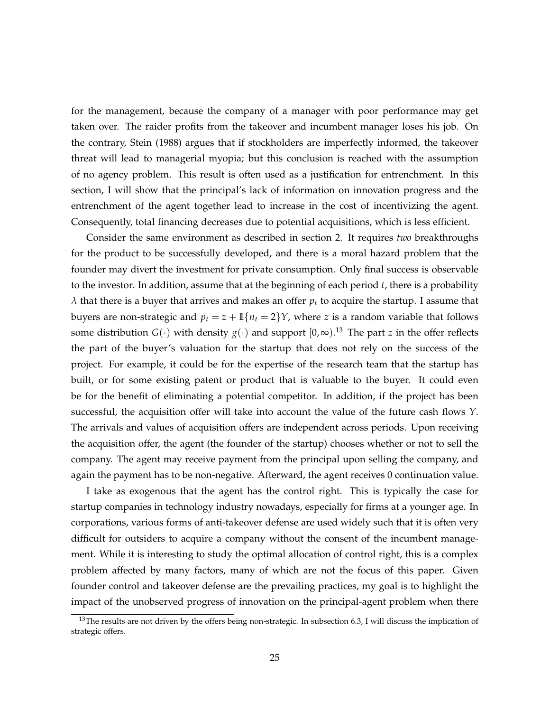for the management, because the company of a manager with poor performance may get taken over. The raider profits from the takeover and incumbent manager loses his job. On the contrary, Stein (1988) argues that if stockholders are imperfectly informed, the takeover threat will lead to managerial myopia; but this conclusion is reached with the assumption of no agency problem. This result is often used as a justification for entrenchment. In this section, I will show that the principal's lack of information on innovation progress and the entrenchment of the agent together lead to increase in the cost of incentivizing the agent. Consequently, total financing decreases due to potential acquisitions, which is less efficient.

Consider the same environment as described in section 2. It requires *two* breakthroughs for the product to be successfully developed, and there is a moral hazard problem that the founder may divert the investment for private consumption. Only final success is observable to the investor. In addition, assume that at the beginning of each period *t*, there is a probability *λ* that there is a buyer that arrives and makes an offer *p<sup>t</sup>* to acquire the startup. I assume that buyers are non-strategic and  $p_t = z + \mathbb{1}\{n_t = 2\}$ *Y*, where *z* is a random variable that follows some distribution  $G(\cdot)$  with density  $g(\cdot)$  and support  $[0,\infty)$ .<sup>13</sup> The part *z* in the offer reflects the part of the buyer's valuation for the startup that does not rely on the success of the project. For example, it could be for the expertise of the research team that the startup has built, or for some existing patent or product that is valuable to the buyer. It could even be for the benefit of eliminating a potential competitor. In addition, if the project has been successful, the acquisition offer will take into account the value of the future cash flows *Y*. The arrivals and values of acquisition offers are independent across periods. Upon receiving the acquisition offer, the agent (the founder of the startup) chooses whether or not to sell the company. The agent may receive payment from the principal upon selling the company, and again the payment has to be non-negative. Afterward, the agent receives 0 continuation value.

I take as exogenous that the agent has the control right. This is typically the case for startup companies in technology industry nowadays, especially for firms at a younger age. In corporations, various forms of anti-takeover defense are used widely such that it is often very difficult for outsiders to acquire a company without the consent of the incumbent management. While it is interesting to study the optimal allocation of control right, this is a complex problem affected by many factors, many of which are not the focus of this paper. Given founder control and takeover defense are the prevailing practices, my goal is to highlight the impact of the unobserved progress of innovation on the principal-agent problem when there

<sup>&</sup>lt;sup>13</sup>The results are not driven by the offers being non-strategic. In subsection 6.3, I will discuss the implication of strategic offers.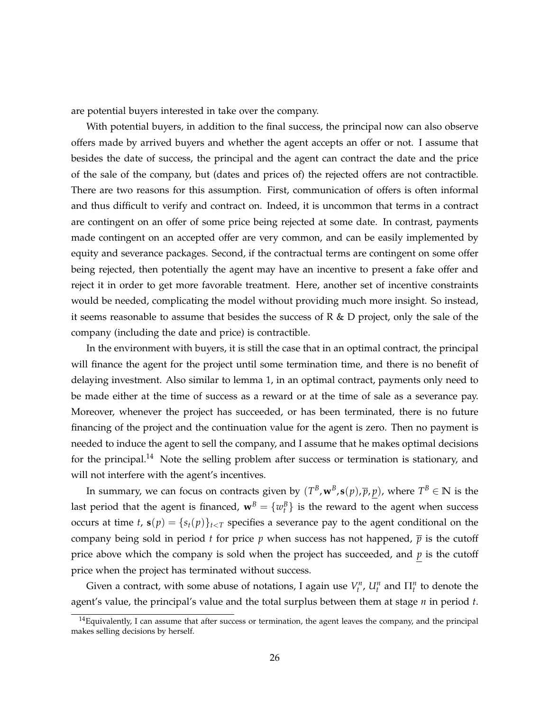are potential buyers interested in take over the company.

With potential buyers, in addition to the final success, the principal now can also observe offers made by arrived buyers and whether the agent accepts an offer or not. I assume that besides the date of success, the principal and the agent can contract the date and the price of the sale of the company, but (dates and prices of) the rejected offers are not contractible. There are two reasons for this assumption. First, communication of offers is often informal and thus difficult to verify and contract on. Indeed, it is uncommon that terms in a contract are contingent on an offer of some price being rejected at some date. In contrast, payments made contingent on an accepted offer are very common, and can be easily implemented by equity and severance packages. Second, if the contractual terms are contingent on some offer being rejected, then potentially the agent may have an incentive to present a fake offer and reject it in order to get more favorable treatment. Here, another set of incentive constraints would be needed, complicating the model without providing much more insight. So instead, it seems reasonable to assume that besides the success of R  $\&$  D project, only the sale of the company (including the date and price) is contractible.

In the environment with buyers, it is still the case that in an optimal contract, the principal will finance the agent for the project until some termination time, and there is no benefit of delaying investment. Also similar to lemma 1, in an optimal contract, payments only need to be made either at the time of success as a reward or at the time of sale as a severance pay. Moreover, whenever the project has succeeded, or has been terminated, there is no future financing of the project and the continuation value for the agent is zero. Then no payment is needed to induce the agent to sell the company, and I assume that he makes optimal decisions for the principal.<sup>14</sup> Note the selling problem after success or termination is stationary, and will not interfere with the agent's incentives.

In summary, we can focus on contracts given by  $(T^B, \mathbf{w}^B, \mathbf{s}(p), \overline{p}, p)$ , where  $T^B \in \mathbb{N}$  is the last period that the agent is financed,  $\mathbf{w}^B = \{w^B_t\}$  is the reward to the agent when success occurs at time *t*,  $\mathbf{s}(p) = \{s_t(p)\}_{t \leq T}$  specifies a severance pay to the agent conditional on the company being sold in period *t* for price *p* when success has not happened,  $\bar{p}$  is the cutoff price above which the company is sold when the project has succeeded, and *p* is the cutoff price when the project has terminated without success.

Given a contract, with some abuse of notations, I again use  $V_t^n$ ,  $U_t^n$  and  $\Pi_t^n$  to denote the agent's value, the principal's value and the total surplus between them at stage *n* in period *t*.

 $14$ Equivalently, I can assume that after success or termination, the agent leaves the company, and the principal makes selling decisions by herself.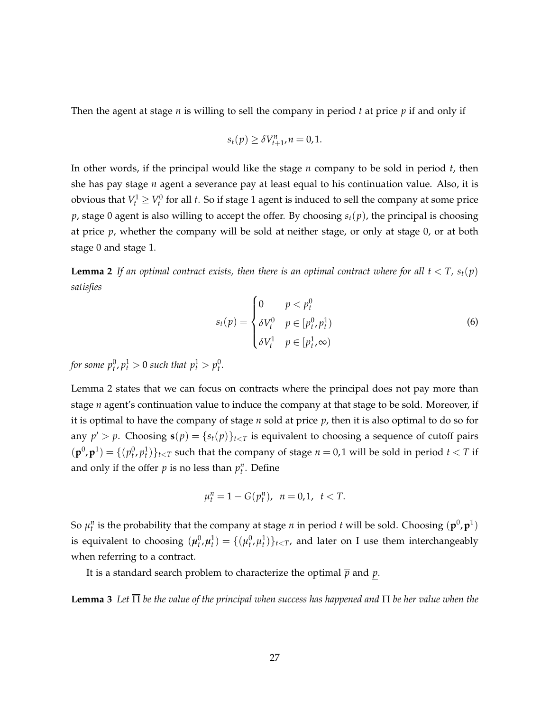Then the agent at stage *n* is willing to sell the company in period *t* at price *p* if and only if

$$
s_t(p) \geq \delta V_{t+1}^n, n = 0, 1.
$$

In other words, if the principal would like the stage *n* company to be sold in period *t*, then she has pay stage *n* agent a severance pay at least equal to his continuation value. Also, it is obvious that  $V_t^1 \geq V_t^0$  for all *t*. So if stage 1 agent is induced to sell the company at some price  $p$ , stage 0 agent is also willing to accept the offer. By choosing  $s_t(p)$ , the principal is choosing at price *p*, whether the company will be sold at neither stage, or only at stage 0, or at both stage 0 and stage 1.

**Lemma 2** If an optimal contract exists, then there is an optimal contract where for all  $t < T$ ,  $s_t(p)$ *satisfies*

$$
s_t(p) = \begin{cases} 0 & p < p_t^0 \\ \delta V_t^0 & p \in [p_t^0, p_t^1) \\ \delta V_t^1 & p \in [p_t^1, \infty) \end{cases} \tag{6}
$$

*for some*  $p_t^0, p_t^1 > 0$  *such that*  $p_t^1 > p_t^0$ .

Lemma 2 states that we can focus on contracts where the principal does not pay more than stage *n* agent's continuation value to induce the company at that stage to be sold. Moreover, if it is optimal to have the company of stage  $n$  sold at price  $p$ , then it is also optimal to do so for any  $p' > p$ . Choosing  $\mathbf{s}(p) = \{s_t(p)\}_{t \le T}$  is equivalent to choosing a sequence of cutoff pairs  $(\mathbf{p}^0, \mathbf{p}^1) = \{ (p_t^0, p_t^1) \}_{t \le T}$  such that the company of stage  $n = 0, 1$  will be sold in period  $t < T$  if and only if the offer  $p$  is no less than  $p_t^n$ . Define

$$
\mu_t^n = 1 - G(p_t^n), \ \ n = 0, 1, \ \ t < T.
$$

So  $\mu_t^n$  is the probability that the company at stage *n* in period *t* will be sold. Choosing  $(\mathbf{p}^0, \mathbf{p}^1)$ is equivalent to choosing  $(\mu_t^0, \mu_t^1) = \{(\mu_t^0, \mu_t^1)\}_{t < T}$ , and later on I use them interchangeably when referring to a contract.

It is a standard search problem to characterize the optimal  $\bar{p}$  and  $p$ .

**Lemma 3** Let  $\overline{\Pi}$  be the value of the principal when success has happened and  $\Pi$  be her value when the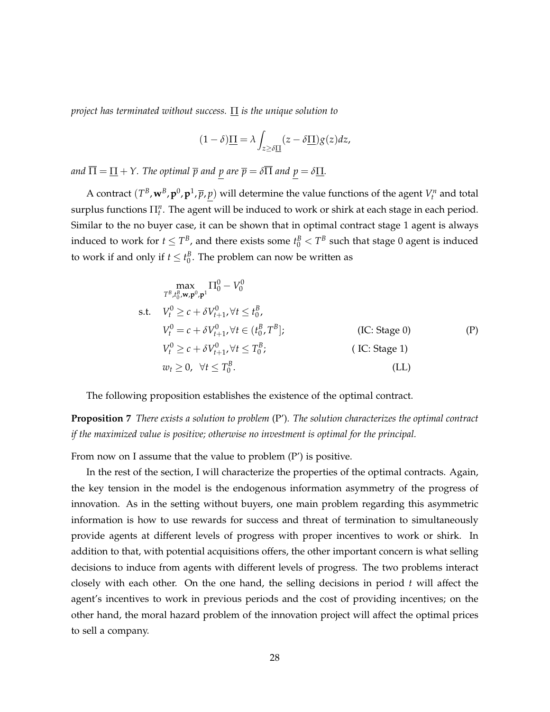*project has terminated without success.* Π *is the unique solution to*

$$
(1 - \delta)\underline{\Pi} = \lambda \int_{z \ge \delta \underline{\Pi}} (z - \delta \underline{\Pi}) g(z) dz,
$$

*and*  $\overline{\Pi} = \underline{\Pi} + Y$ . The optimal  $\overline{p}$  and  $p$  are  $\overline{p} = \delta \overline{\Pi}$  and  $p = \delta \underline{\Pi}$ .

A contract  $(T^B, w^B, p^0, p^1, \overline{p}, \underline{p})$  will determine the value functions of the agent  $V_t^n$  and total surplus functions Π*<sup>n</sup> t* . The agent will be induced to work or shirk at each stage in each period. Similar to the no buyer case, it can be shown that in optimal contract stage 1 agent is always induced to work for  $t \leq T^B$ , and there exists some  $t^B_0 < T^B$  such that stage 0 agent is induced to work if and only if  $t \leq t_0^B$ . The problem can now be written as

$$
\max_{T^{B}, t_{0}^{B}, \mathbf{w}, \mathbf{p}^{0}, \mathbf{p}^{1}} \Pi_{0}^{0} - V_{0}^{0}
$$
\ns.t.  $V_{t}^{0} \ge c + \delta V_{t+1}^{0}, \forall t \le t_{0}^{B},$   
\n $V_{t}^{0} = c + \delta V_{t+1}^{0}, \forall t \in (t_{0}^{B}, T^{B});$  (IC: Stage 0)  
\n $V_{t}^{0} \ge c + \delta V_{t+1}^{0}, \forall t \le T_{0}^{B},$  (IC: Stage 1)  
\n $w_{t} \ge 0, \forall t \le T_{0}^{B}.$  (LL)

The following proposition establishes the existence of the optimal contract.

**Proposition 7** *There exists a solution to problem* (P')*. The solution characterizes the optimal contract if the maximized value is positive; otherwise no investment is optimal for the principal.*

From now on I assume that the value to problem (P') is positive.

In the rest of the section, I will characterize the properties of the optimal contracts. Again, the key tension in the model is the endogenous information asymmetry of the progress of innovation. As in the setting without buyers, one main problem regarding this asymmetric information is how to use rewards for success and threat of termination to simultaneously provide agents at different levels of progress with proper incentives to work or shirk. In addition to that, with potential acquisitions offers, the other important concern is what selling decisions to induce from agents with different levels of progress. The two problems interact closely with each other. On the one hand, the selling decisions in period *t* will affect the agent's incentives to work in previous periods and the cost of providing incentives; on the other hand, the moral hazard problem of the innovation project will affect the optimal prices to sell a company.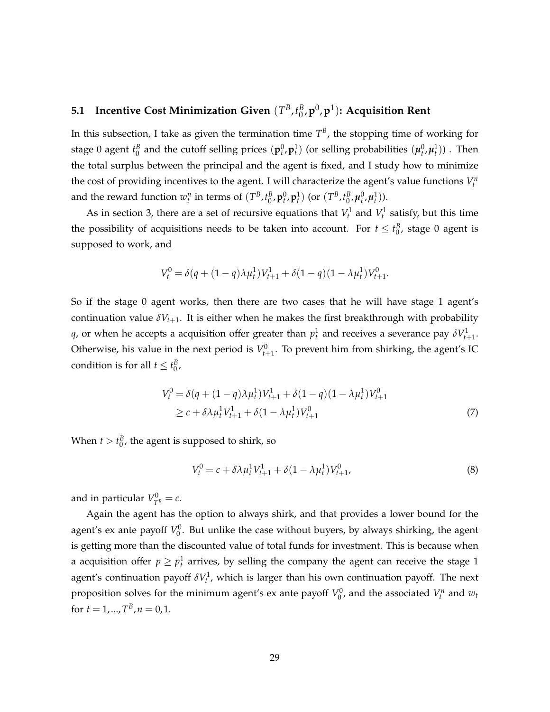#### **5.1 Incentive Cost Minimization Given**  $(T^B, t^B_0)$ 0 ,**p** 0 ,**p** 1 )**: Acquisition Rent**

In this subsection, I take as given the termination time  $T^B$ , the stopping time of working for stage 0 agent  $t_0^B$  and the cutoff selling prices  $(\bf{p}_t^0,\bf{p}_t^1)$  (or selling probabilities  $(\pmb{\mu}_t^0,\pmb{\mu}_t^1))$  . Then the total surplus between the principal and the agent is fixed, and I study how to minimize the cost of providing incentives to the agent. I will characterize the agent's value functions  $V_t^n$ and the reward function  $w_t^n$  in terms of  $(T^B, t_0^B, \mathbf{p}_t^0, \mathbf{p}_t^1)$  (or  $(T^B, t_0^B, \mu_t^0, \mu_t^1)$ ).

As in section 3, there are a set of recursive equations that  $V_t^1$  and  $V_t^1$  satisfy, but this time the possibility of acquisitions needs to be taken into account. For  $t \leq t_0^B$ , stage 0 agent is supposed to work, and

$$
V_t^0 = \delta(q + (1 - q)\lambda \mu_t^1) V_{t+1}^1 + \delta(1 - q)(1 - \lambda \mu_t^1) V_{t+1}^0.
$$

So if the stage 0 agent works, then there are two cases that he will have stage 1 agent's continuation value  $\delta V_{t+1}$ . It is either when he makes the first breakthrough with probability *q*, or when he accepts a acquisition offer greater than  $p_t^1$  and receives a severance pay  $\delta V_{t+1}^1$ . Otherwise, his value in the next period is  $V_{t+1}^0$ . To prevent him from shirking, the agent's IC condition is for all  $t \leq t_0^B$ ,

$$
V_t^0 = \delta(q + (1 - q)\lambda\mu_t^1)V_{t+1}^1 + \delta(1 - q)(1 - \lambda\mu_t^1)V_{t+1}^0
$$
  
\n
$$
\geq c + \delta\lambda\mu_t^1V_{t+1}^1 + \delta(1 - \lambda\mu_t^1)V_{t+1}^0
$$
\n(7)

When  $t > t_0^B$ , the agent is supposed to shirk, so

$$
V_t^0 = c + \delta \lambda \mu_t^1 V_{t+1}^1 + \delta (1 - \lambda \mu_t^1) V_{t+1}^0, \tag{8}
$$

and in particular  $V_{T^B}^0 = c$ .

Again the agent has the option to always shirk, and that provides a lower bound for the agent's ex ante payoff  $V_0^0$ . But unlike the case without buyers, by always shirking, the agent is getting more than the discounted value of total funds for investment. This is because when a acquisition offer  $p \geq p_t^1$  arrives, by selling the company the agent can receive the stage 1 agent's continuation payoff  $\delta V_t^1$ , which is larger than his own continuation payoff. The next proposition solves for the minimum agent's ex ante payoff  $V_0^0$ , and the associated  $V_t^n$  and  $w_t$ for  $t = 1, ..., T^B, n = 0, 1$ .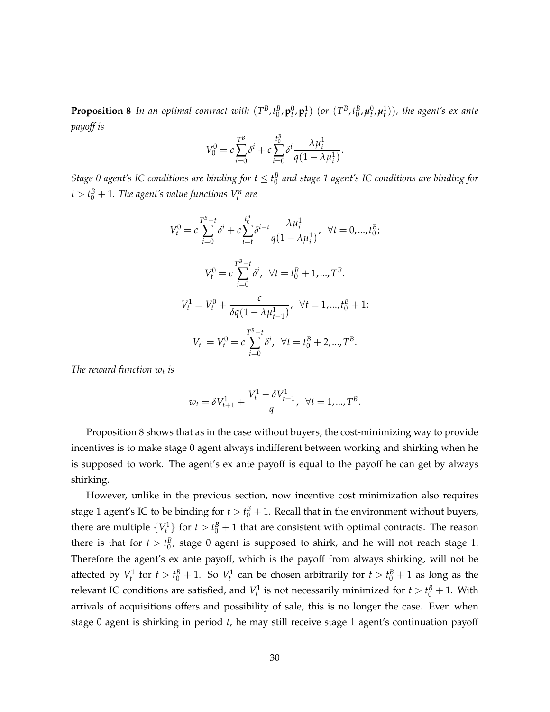**Proposition 8** In an optimal contract with  $(T^B,t^B_0,\mathbf{p}_t^0,\mathbf{p}_t^1)$  (or  $(T^B,t^B_0,\mu_t^0,\mu_t^1)$ ), the agent's ex ante *payoff is*

$$
V_0^0 = c \sum_{i=0}^{T^B} \delta^i + c \sum_{i=0}^{t_0^B} \delta^i \frac{\lambda \mu_i^1}{q(1 - \lambda \mu_i^1)}.
$$

*Stage 0 agent's IC conditions are binding for*  $t \leq t_0^B$  *and stage 1 agent's IC conditions are binding for*  $t > t_0^B + 1$ . The agent's value functions  $V_t^n$  are

$$
V_t^0 = c \sum_{i=0}^{T^B-t} \delta^i + c \sum_{i=t}^{t_0^B} \delta^{i-t} \frac{\lambda \mu_i^1}{q(1 - \lambda \mu_i^1)}, \quad \forall t = 0, ..., t_0^B;
$$
  

$$
V_t^0 = c \sum_{i=0}^{T^B-t} \delta^i, \quad \forall t = t_0^B + 1, ..., T^B.
$$
  

$$
V_t^1 = V_t^0 + \frac{c}{\delta q(1 - \lambda \mu_{t-1}^1)}, \quad \forall t = 1, ..., t_0^B + 1;
$$
  

$$
V_t^1 = V_t^0 = c \sum_{i=0}^{T^B-t} \delta^i, \quad \forall t = t_0^B + 2, ..., T^B.
$$

*The reward function w<sup>t</sup> is*

$$
w_t = \delta V_{t+1}^1 + \frac{V_t^1 - \delta V_{t+1}^1}{q}, \ \ \forall t = 1, ..., T^B.
$$

Proposition 8 shows that as in the case without buyers, the cost-minimizing way to provide incentives is to make stage 0 agent always indifferent between working and shirking when he is supposed to work. The agent's ex ante payoff is equal to the payoff he can get by always shirking.

However, unlike in the previous section, now incentive cost minimization also requires stage 1 agent's IC to be binding for  $t > t_0^B + 1$ . Recall that in the environment without buyers, there are multiple  ${V_t^1}$  for  $t > t_0^B + 1$  that are consistent with optimal contracts. The reason there is that for  $t > t_0^B$ , stage 0 agent is supposed to shirk, and he will not reach stage 1. Therefore the agent's ex ante payoff, which is the payoff from always shirking, will not be affected by  $V_t^1$  for  $t > t_0^B + 1$ . So  $V_t^1$  can be chosen arbitrarily for  $t > t_0^B + 1$  as long as the relevant IC conditions are satisfied, and  $V_t^1$  is not necessarily minimized for  $t > t_0^B + 1$ . With arrivals of acquisitions offers and possibility of sale, this is no longer the case. Even when stage 0 agent is shirking in period *t*, he may still receive stage 1 agent's continuation payoff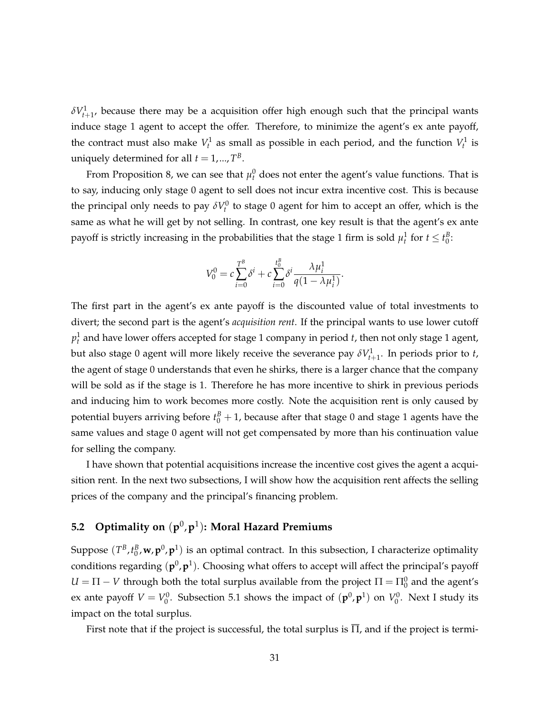$\delta V^1_{t+1}$ , because there may be a acquisition offer high enough such that the principal wants induce stage 1 agent to accept the offer. Therefore, to minimize the agent's ex ante payoff, the contract must also make  $V_t^1$  as small as possible in each period, and the function  $V_t^1$  is uniquely determined for all  $t = 1, ..., T^B$ .

From Proposition 8, we can see that  $\mu_t^0$  does not enter the agent's value functions. That is to say, inducing only stage 0 agent to sell does not incur extra incentive cost. This is because the principal only needs to pay  $\delta V_t^0$  to stage 0 agent for him to accept an offer, which is the same as what he will get by not selling. In contrast, one key result is that the agent's ex ante payoff is strictly increasing in the probabilities that the stage 1 firm is sold  $\mu_t^1$  for  $t \leq t_0^B$ :

$$
V_0^0 = c \sum_{i=0}^{T^B} \delta^i + c \sum_{i=0}^{t_0^B} \delta^i \frac{\lambda \mu_i^1}{q(1 - \lambda \mu_i^1)}.
$$

The first part in the agent's ex ante payoff is the discounted value of total investments to divert; the second part is the agent's *acquisition rent*. If the principal wants to use lower cutoff  $p_t^1$  and have lower offers accepted for stage 1 company in period *t*, then not only stage 1 agent, but also stage 0 agent will more likely receive the severance pay  $\delta V^1_{t+1}$ . In periods prior to *t*, the agent of stage 0 understands that even he shirks, there is a larger chance that the company will be sold as if the stage is 1. Therefore he has more incentive to shirk in previous periods and inducing him to work becomes more costly. Note the acquisition rent is only caused by potential buyers arriving before  $t_0^B + 1$ , because after that stage 0 and stage 1 agents have the same values and stage 0 agent will not get compensated by more than his continuation value for selling the company.

I have shown that potential acquisitions increase the incentive cost gives the agent a acquisition rent. In the next two subsections, I will show how the acquisition rent affects the selling prices of the company and the principal's financing problem.

### **5.2 Optimality on** (**p** 0 ,**p** 1 )**: Moral Hazard Premiums**

Suppose  $(T^B, t^B_0, w, p^0, p^1)$  is an optimal contract. In this subsection, I characterize optimality conditions regarding  $(\mathbf{p}^0, \mathbf{p}^1)$ . Choosing what offers to accept will affect the principal's payoff  $U = \Pi - V$  through both the total surplus available from the project  $\Pi = \Pi_0^0$  and the agent's ex ante payoff  $V = V_0^0$ . Subsection 5.1 shows the impact of  $(\mathbf{p}^0, \mathbf{p}^1)$  on  $V_0^0$ . Next I study its impact on the total surplus.

First note that if the project is successful, the total surplus is  $\overline{\Pi}$ , and if the project is termi-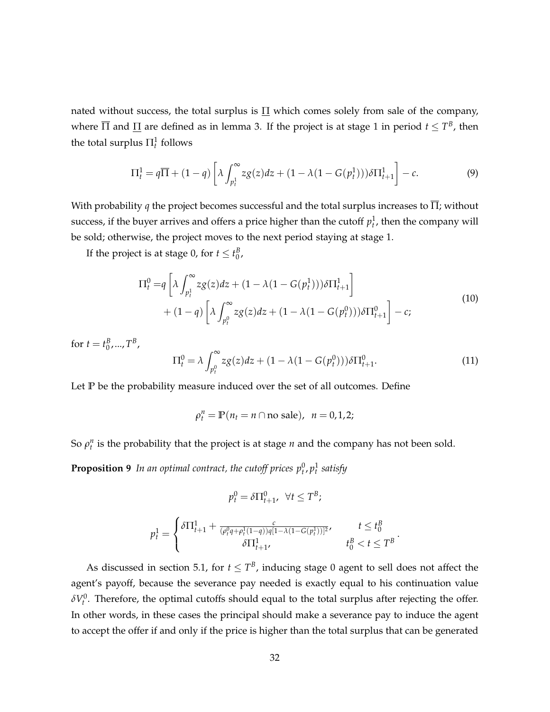nated without success, the total surplus is  $\Pi$  which comes solely from sale of the company, where  $\overline{\Pi}$  and  $\underline{\Pi}$  are defined as in lemma 3. If the project is at stage 1 in period  $t \leq T^B$ , then the total surplus  $\Pi_t^1$  follows

$$
\Pi_t^1 = q\overline{\Pi} + (1-q)\left[\lambda \int_{p_t^1}^{\infty} z g(z) dz + (1-\lambda(1-G(p_t^1))) \delta \Pi_{t+1}^1\right] - c.
$$
 (9)

With probability *q* the project becomes successful and the total surplus increases to  $\overline{\Pi}$ ; without success, if the buyer arrives and offers a price higher than the cutoff  $p_t^1$ , then the company will be sold; otherwise, the project moves to the next period staying at stage 1.

If the project is at stage 0, for  $t \le t_0^B$ ,

$$
\Pi_t^0 = q \left[ \lambda \int_{p_t^1}^{\infty} z g(z) dz + (1 - \lambda (1 - G(p_t^1))) \delta \Pi_{t+1}^1 \right] + (1 - q) \left[ \lambda \int_{p_t^0}^{\infty} z g(z) dz + (1 - \lambda (1 - G(p_t^0))) \delta \Pi_{t+1}^0 \right] - c;
$$
\n(10)

for  $t = t_0^B$ , ...,  $T^B$ ,

$$
\Pi_t^0 = \lambda \int_{p_t^0}^{\infty} z g(z) dz + (1 - \lambda (1 - G(p_t^0))) \delta \Pi_{t+1}^0.
$$
 (11)

Let **P** be the probability measure induced over the set of all outcomes. Define

$$
\rho_t^n = \mathbb{P}(n_t = n \cap \text{no sale}), \ \ n = 0, 1, 2;
$$

So  $\rho_t^n$  is the probability that the project is at stage *n* and the company has not been sold.

**Proposition 9** In an optimal contract, the cutoff prices  $p_t^0, p_t^1$  satisfy

$$
p_t^0 = \delta \Pi_{t+1}^0, \ \ \forall t \leq T^B;
$$

$$
p_t^1 = \begin{cases} \delta \Pi_{t+1}^1 + \frac{c}{(\rho_t^0 q + \rho_t^1 (1-q))q[1-\lambda(1-G(p_t^1))]^2}, & t \leq t_0^B \\ \delta \Pi_{t+1}^1, & t_0^B < t \leq T^B \end{cases}.
$$

As discussed in section 5.1, for  $t \leq T^B$ , inducing stage 0 agent to sell does not affect the agent's payoff, because the severance pay needed is exactly equal to his continuation value  $\delta V_t^0$ . Therefore, the optimal cutoffs should equal to the total surplus after rejecting the offer. In other words, in these cases the principal should make a severance pay to induce the agent to accept the offer if and only if the price is higher than the total surplus that can be generated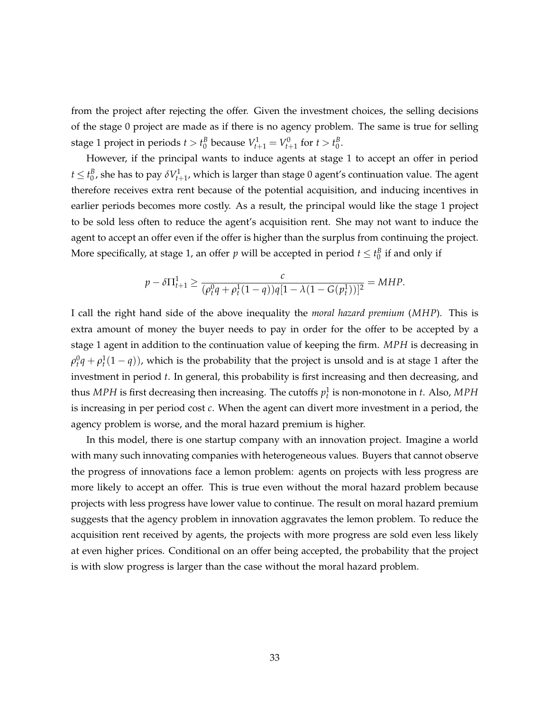from the project after rejecting the offer. Given the investment choices, the selling decisions of the stage 0 project are made as if there is no agency problem. The same is true for selling stage 1 project in periods  $t > t_0^B$  because  $V_{t+1}^1 = V_{t+1}^0$  for  $t > t_0^B$ .

However, if the principal wants to induce agents at stage 1 to accept an offer in period  $t \leq t_0^B$ , she has to pay  $\delta V^1_{t+1}$ , which is larger than stage 0 agent's continuation value. The agent therefore receives extra rent because of the potential acquisition, and inducing incentives in earlier periods becomes more costly. As a result, the principal would like the stage 1 project to be sold less often to reduce the agent's acquisition rent. She may not want to induce the agent to accept an offer even if the offer is higher than the surplus from continuing the project. More specifically, at stage 1, an offer  $p$  will be accepted in period  $t \leq t_0^B$  if and only if

$$
p - \delta \Pi_{t+1}^1 \ge \frac{c}{(\rho_t^0 q + \rho_t^1 (1-q))q[1 - \lambda (1 - G(p_t^1))]^2} = MHP.
$$

I call the right hand side of the above inequality the *moral hazard premium* (*MHP*). This is extra amount of money the buyer needs to pay in order for the offer to be accepted by a stage 1 agent in addition to the continuation value of keeping the firm. *MPH* is decreasing in  $\rho_t^0q + \rho_t^1(1-q))$ , which is the probability that the project is unsold and is at stage 1 after the investment in period *t*. In general, this probability is first increasing and then decreasing, and thus *MPH* is first decreasing then increasing. The cutoffs  $p_t^1$  is non-monotone in *t*. Also, *MPH* is increasing in per period cost *c*. When the agent can divert more investment in a period, the agency problem is worse, and the moral hazard premium is higher.

In this model, there is one startup company with an innovation project. Imagine a world with many such innovating companies with heterogeneous values. Buyers that cannot observe the progress of innovations face a lemon problem: agents on projects with less progress are more likely to accept an offer. This is true even without the moral hazard problem because projects with less progress have lower value to continue. The result on moral hazard premium suggests that the agency problem in innovation aggravates the lemon problem. To reduce the acquisition rent received by agents, the projects with more progress are sold even less likely at even higher prices. Conditional on an offer being accepted, the probability that the project is with slow progress is larger than the case without the moral hazard problem.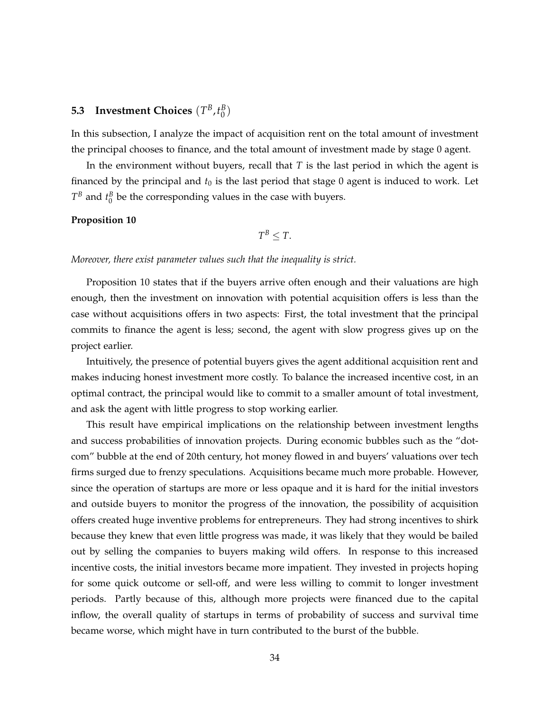#### **5.3** Investment Choices  $(T^B, t^B_0)$  $\binom{B}{0}$

In this subsection, I analyze the impact of acquisition rent on the total amount of investment the principal chooses to finance, and the total amount of investment made by stage 0 agent.

In the environment without buyers, recall that *T* is the last period in which the agent is financed by the principal and  $t_0$  is the last period that stage 0 agent is induced to work. Let  $T^B$  and  $t_0^B$  be the corresponding values in the case with buyers.

#### **Proposition 10**

$$
T^B \leq T.
$$

*Moreover, there exist parameter values such that the inequality is strict.*

Proposition 10 states that if the buyers arrive often enough and their valuations are high enough, then the investment on innovation with potential acquisition offers is less than the case without acquisitions offers in two aspects: First, the total investment that the principal commits to finance the agent is less; second, the agent with slow progress gives up on the project earlier.

Intuitively, the presence of potential buyers gives the agent additional acquisition rent and makes inducing honest investment more costly. To balance the increased incentive cost, in an optimal contract, the principal would like to commit to a smaller amount of total investment, and ask the agent with little progress to stop working earlier.

This result have empirical implications on the relationship between investment lengths and success probabilities of innovation projects. During economic bubbles such as the "dotcom" bubble at the end of 20th century, hot money flowed in and buyers' valuations over tech firms surged due to frenzy speculations. Acquisitions became much more probable. However, since the operation of startups are more or less opaque and it is hard for the initial investors and outside buyers to monitor the progress of the innovation, the possibility of acquisition offers created huge inventive problems for entrepreneurs. They had strong incentives to shirk because they knew that even little progress was made, it was likely that they would be bailed out by selling the companies to buyers making wild offers. In response to this increased incentive costs, the initial investors became more impatient. They invested in projects hoping for some quick outcome or sell-off, and were less willing to commit to longer investment periods. Partly because of this, although more projects were financed due to the capital inflow, the overall quality of startups in terms of probability of success and survival time became worse, which might have in turn contributed to the burst of the bubble.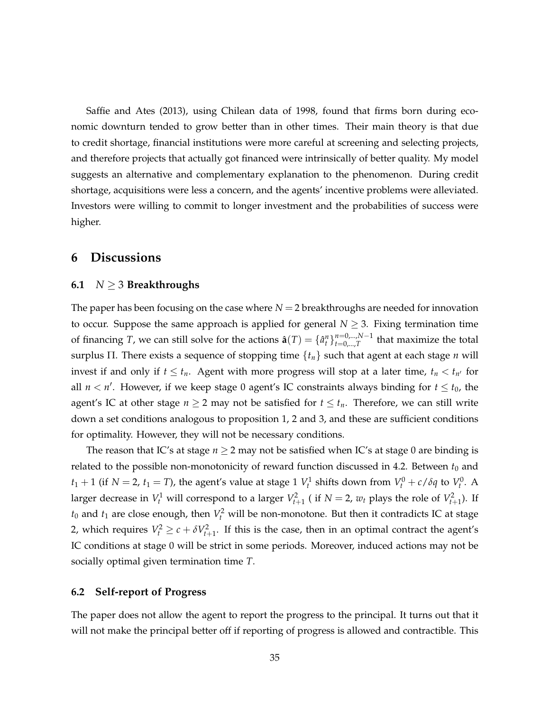Saffie and Ates (2013), using Chilean data of 1998, found that firms born during economic downturn tended to grow better than in other times. Their main theory is that due to credit shortage, financial institutions were more careful at screening and selecting projects, and therefore projects that actually got financed were intrinsically of better quality. My model suggests an alternative and complementary explanation to the phenomenon. During credit shortage, acquisitions were less a concern, and the agents' incentive problems were alleviated. Investors were willing to commit to longer investment and the probabilities of success were higher.

### **6 Discussions**

### **6.1** *N* ≥ 3 **Breakthroughs**

The paper has been focusing on the case where *N* = 2 breakthroughs are needed for innovation to occur. Suppose the same approach is applied for general  $N \geq 3$ . Fixing termination time of financing *T*, we can still solve for the actions  $\hat{\bf{a}}(T) = \{\hat{a}_t^n\}_{t=0,\dots,T}^{n=0,\dots,N-1}$  $\sum_{t=0,\dots,T}^{n=0,\dots,N-1}$  that maximize the total surplus Π. There exists a sequence of stopping time {*tn*} such that agent at each stage *n* will invest if and only if  $t \leq t_n$ . Agent with more progress will stop at a later time,  $t_n < t_{n'}$  for all  $n < n'$ . However, if we keep stage 0 agent's IC constraints always binding for  $t \le t_0$ , the agent's IC at other stage  $n \geq 2$  may not be satisfied for  $t \leq t_n$ . Therefore, we can still write down a set conditions analogous to proposition 1, 2 and 3, and these are sufficient conditions for optimality. However, they will not be necessary conditions.

The reason that IC's at stage  $n \geq 2$  may not be satisfied when IC's at stage 0 are binding is related to the possible non-monotonicity of reward function discussed in 4.2. Between  $t_0$  and  $t_1 + 1$  (if  $N = 2$ ,  $t_1 = T$ ), the agent's value at stage 1  $V_t^1$  shifts down from  $V_t^0 + c/\delta q$  to  $V_t^0$ . A larger decrease in  $V_t^1$  will correspond to a larger  $V_{t+1}^2$  ( if  $N = 2$ ,  $w_t$  plays the role of  $V_{t+1}^2$ ). If  $t_0$  and  $t_1$  are close enough, then  $V_t^2$  will be non-monotone. But then it contradicts IC at stage 2, which requires  $V_t^2 \ge c + \delta V_{t+1}^2$ . If this is the case, then in an optimal contract the agent's IC conditions at stage 0 will be strict in some periods. Moreover, induced actions may not be socially optimal given termination time *T*.

### **6.2 Self-report of Progress**

The paper does not allow the agent to report the progress to the principal. It turns out that it will not make the principal better off if reporting of progress is allowed and contractible. This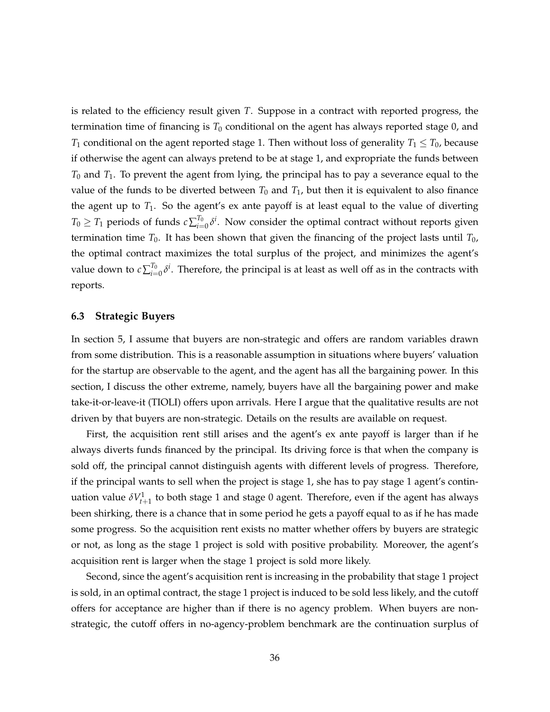is related to the efficiency result given *T*. Suppose in a contract with reported progress, the termination time of financing is *T*<sup>0</sup> conditional on the agent has always reported stage 0, and *T*<sub>1</sub> conditional on the agent reported stage 1. Then without loss of generality  $T_1 \leq T_0$ , because if otherwise the agent can always pretend to be at stage 1, and expropriate the funds between *T*<sup>0</sup> and *T*1. To prevent the agent from lying, the principal has to pay a severance equal to the value of the funds to be diverted between  $T_0$  and  $T_1$ , but then it is equivalent to also finance the agent up to  $T_1$ . So the agent's ex ante payoff is at least equal to the value of diverting  $T_0 \geq T_1$  periods of funds  $c \sum_{i=1}^{T_0}$  $I_{i=0}^{\tau_0}$   $\delta^i$ . Now consider the optimal contract without reports given termination time  $T_0$ . It has been shown that given the financing of the project lasts until  $T_0$ , the optimal contract maximizes the total surplus of the project, and minimizes the agent's value down to  $c\sum_{i=1}^{T_0}$  $I_{i=0}^{\tau_0}$ δ<sup>*i*</sup>. Therefore, the principal is at least as well off as in the contracts with reports.

### **6.3 Strategic Buyers**

In section 5, I assume that buyers are non-strategic and offers are random variables drawn from some distribution. This is a reasonable assumption in situations where buyers' valuation for the startup are observable to the agent, and the agent has all the bargaining power. In this section, I discuss the other extreme, namely, buyers have all the bargaining power and make take-it-or-leave-it (TIOLI) offers upon arrivals. Here I argue that the qualitative results are not driven by that buyers are non-strategic. Details on the results are available on request.

First, the acquisition rent still arises and the agent's ex ante payoff is larger than if he always diverts funds financed by the principal. Its driving force is that when the company is sold off, the principal cannot distinguish agents with different levels of progress. Therefore, if the principal wants to sell when the project is stage 1, she has to pay stage 1 agent's continuation value  $\delta V^1_{t+1}$  to both stage 1 and stage 0 agent. Therefore, even if the agent has always been shirking, there is a chance that in some period he gets a payoff equal to as if he has made some progress. So the acquisition rent exists no matter whether offers by buyers are strategic or not, as long as the stage 1 project is sold with positive probability. Moreover, the agent's acquisition rent is larger when the stage 1 project is sold more likely.

Second, since the agent's acquisition rent is increasing in the probability that stage 1 project is sold, in an optimal contract, the stage 1 project is induced to be sold less likely, and the cutoff offers for acceptance are higher than if there is no agency problem. When buyers are nonstrategic, the cutoff offers in no-agency-problem benchmark are the continuation surplus of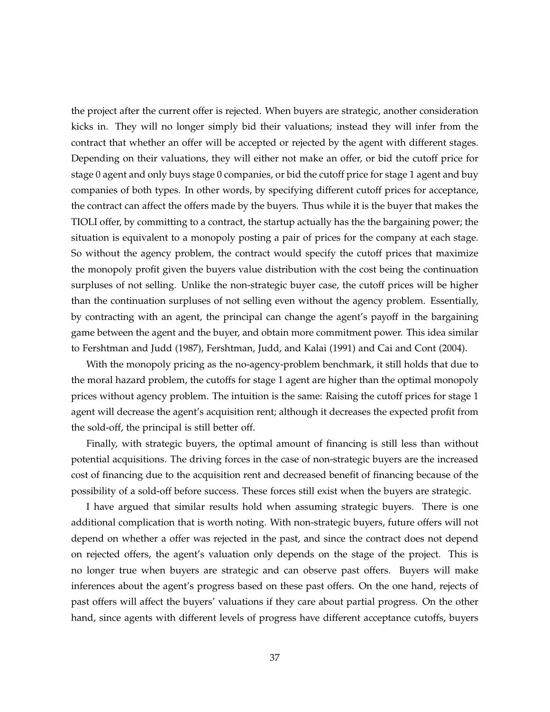the project after the current offer is rejected. When buyers are strategic, another consideration kicks in. They will no longer simply bid their valuations; instead they will infer from the contract that whether an offer will be accepted or rejected by the agent with different stages. Depending on their valuations, they will either not make an offer, or bid the cutoff price for stage 0 agent and only buys stage 0 companies, or bid the cutoff price for stage 1 agent and buy companies of both types. In other words, by specifying different cutoff prices for acceptance, the contract can affect the offers made by the buyers. Thus while it is the buyer that makes the TIOLI offer, by committing to a contract, the startup actually has the the bargaining power; the situation is equivalent to a monopoly posting a pair of prices for the company at each stage. So without the agency problem, the contract would specify the cutoff prices that maximize the monopoly profit given the buyers value distribution with the cost being the continuation surpluses of not selling. Unlike the non-strategic buyer case, the cutoff prices will be higher than the continuation surpluses of not selling even without the agency problem. Essentially, by contracting with an agent, the principal can change the agent's payoff in the bargaining game between the agent and the buyer, and obtain more commitment power. This idea similar to Fershtman and Judd (1987), Fershtman, Judd, and Kalai (1991) and Cai and Cont (2004).

With the monopoly pricing as the no-agency-problem benchmark, it still holds that due to the moral hazard problem, the cutoffs for stage 1 agent are higher than the optimal monopoly prices without agency problem. The intuition is the same: Raising the cutoff prices for stage 1 agent will decrease the agent's acquisition rent; although it decreases the expected profit from the sold-off, the principal is still better off.

Finally, with strategic buyers, the optimal amount of financing is still less than without potential acquisitions. The driving forces in the case of non-strategic buyers are the increased cost of financing due to the acquisition rent and decreased benefit of financing because of the possibility of a sold-off before success. These forces still exist when the buyers are strategic.

I have argued that similar results hold when assuming strategic buyers. There is one additional complication that is worth noting. With non-strategic buyers, future offers will not depend on whether a offer was rejected in the past, and since the contract does not depend on rejected offers, the agent's valuation only depends on the stage of the project. This is no longer true when buyers are strategic and can observe past offers. Buyers will make inferences about the agent's progress based on these past offers. On the one hand, rejects of past offers will affect the buyers' valuations if they care about partial progress. On the other hand, since agents with different levels of progress have different acceptance cutoffs, buyers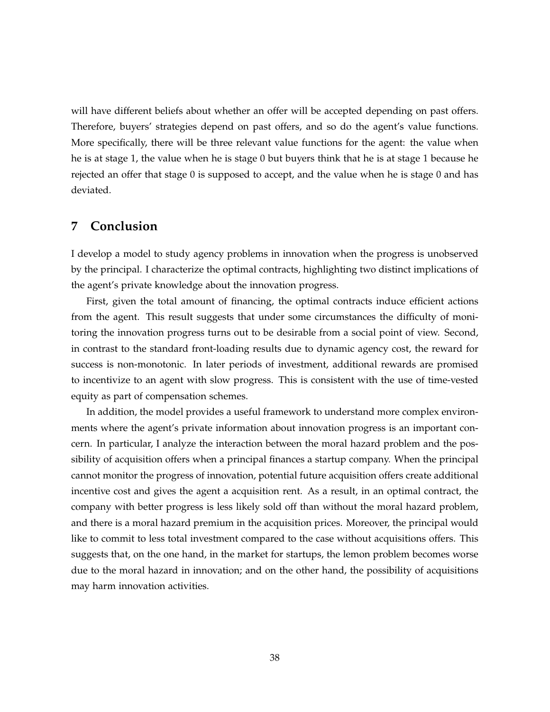will have different beliefs about whether an offer will be accepted depending on past offers. Therefore, buyers' strategies depend on past offers, and so do the agent's value functions. More specifically, there will be three relevant value functions for the agent: the value when he is at stage 1, the value when he is stage 0 but buyers think that he is at stage 1 because he rejected an offer that stage 0 is supposed to accept, and the value when he is stage 0 and has deviated.

### **7 Conclusion**

I develop a model to study agency problems in innovation when the progress is unobserved by the principal. I characterize the optimal contracts, highlighting two distinct implications of the agent's private knowledge about the innovation progress.

First, given the total amount of financing, the optimal contracts induce efficient actions from the agent. This result suggests that under some circumstances the difficulty of monitoring the innovation progress turns out to be desirable from a social point of view. Second, in contrast to the standard front-loading results due to dynamic agency cost, the reward for success is non-monotonic. In later periods of investment, additional rewards are promised to incentivize to an agent with slow progress. This is consistent with the use of time-vested equity as part of compensation schemes.

In addition, the model provides a useful framework to understand more complex environments where the agent's private information about innovation progress is an important concern. In particular, I analyze the interaction between the moral hazard problem and the possibility of acquisition offers when a principal finances a startup company. When the principal cannot monitor the progress of innovation, potential future acquisition offers create additional incentive cost and gives the agent a acquisition rent. As a result, in an optimal contract, the company with better progress is less likely sold off than without the moral hazard problem, and there is a moral hazard premium in the acquisition prices. Moreover, the principal would like to commit to less total investment compared to the case without acquisitions offers. This suggests that, on the one hand, in the market for startups, the lemon problem becomes worse due to the moral hazard in innovation; and on the other hand, the possibility of acquisitions may harm innovation activities.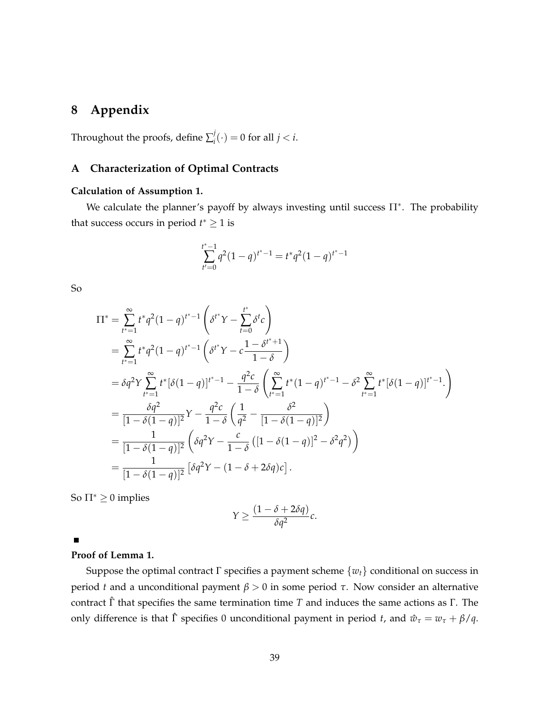### **8 Appendix**

Throughout the proofs, define  $\sum_i^j$  $j_i^j(\cdot) = 0$  for all  $j < i$ .

### **A Characterization of Optimal Contracts**

### **Calculation of Assumption 1.**

We calculate the planner's payoff by always investing until success  $\Pi^*$ . The probability that success occurs in period  $t^* \geq 1$  is

$$
\sum_{t'=0}^{t^*-1} q^2 (1-q)^{t^*-1} = t^* q^2 (1-q)^{t^*-1}
$$

So

$$
\Pi^* = \sum_{t^* = 1}^{\infty} t^* q^2 (1 - q)^{t^* - 1} \left( \delta^{t^*} Y - \sum_{t=0}^{t^*} \delta^t c \right)
$$
  
\n
$$
= \sum_{t^* = 1}^{\infty} t^* q^2 (1 - q)^{t^* - 1} \left( \delta^{t^*} Y - c \frac{1 - \delta^{t^* + 1}}{1 - \delta} \right)
$$
  
\n
$$
= \delta q^2 Y \sum_{t^* = 1}^{\infty} t^* [\delta (1 - q)]^{t^* - 1} - \frac{q^2 c}{1 - \delta} \left( \sum_{t^* = 1}^{\infty} t^* (1 - q)^{t^* - 1} - \delta^2 \sum_{t^* = 1}^{\infty} t^* [\delta (1 - q)]^{t^* - 1} \right)
$$
  
\n
$$
= \frac{\delta q^2}{[1 - \delta (1 - q)]^2} Y - \frac{q^2 c}{1 - \delta} \left( \frac{1}{q^2} - \frac{\delta^2}{[1 - \delta (1 - q)]^2} \right)
$$
  
\n
$$
= \frac{1}{[1 - \delta (1 - q)]^2} \left( \delta q^2 Y - \frac{c}{1 - \delta} \left( [1 - \delta (1 - q)]^2 - \delta^2 q^2 \right) \right)
$$
  
\n
$$
= \frac{1}{[1 - \delta (1 - q)]^2} \left[ \delta q^2 Y - (1 - \delta + 2 \delta q) c \right].
$$

So  $\Pi^* \geq 0$  implies

$$
Y \geq \frac{(1-\delta+2\delta q)}{\delta q^2}c.
$$

 $\blacksquare$ 

### **Proof of Lemma 1.**

Suppose the optimal contract Γ specifies a payment scheme {*wt*} conditional on success in period *t* and a unconditional payment *β* > 0 in some period *τ*. Now consider an alternative contract  $\hat{\Gamma}$  that specifies the same termination time *T* and induces the same actions as  $\Gamma$ . The only difference is that  $\hat{\Gamma}$  specifies 0 unconditional payment in period *t*, and  $\hat{w}_{\tau} = w_{\tau} + \beta/q$ .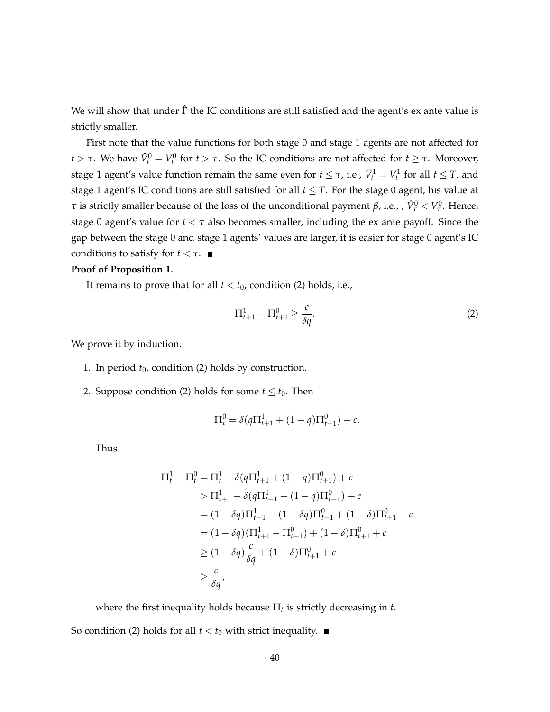We will show that under  $\hat{\Gamma}$  the IC conditions are still satisfied and the agent's ex ante value is strictly smaller.

First note that the value functions for both stage 0 and stage 1 agents are not affected for *t* > *τ*. We have  $\hat{V}_t^0 = V_t^0$  for *t* > *τ*. So the IC conditions are not affected for *t*  $\geq$  *τ*. Moreover, stage 1 agent's value function remain the same even for  $t \leq \tau$ , i.e.,  $\hat{V}^1_t = V^1_t$  for all  $t \leq T$ , and stage 1 agent's IC conditions are still satisfied for all *t* ≤ *T*. For the stage 0 agent, his value at *τ* is strictly smaller because of the loss of the unconditional payment *β*, i.e., ,  $\hat{V}^0_\tau < V^0_\tau$ . Hence, stage 0 agent's value for *t* < *τ* also becomes smaller, including the ex ante payoff. Since the gap between the stage 0 and stage 1 agents' values are larger, it is easier for stage 0 agent's IC conditions to satisfy for  $t < \tau$ .

### **Proof of Proposition 1.**

It remains to prove that for all  $t < t_0$ , condition (2) holds, i.e.,

$$
\Pi_{t+1}^1 - \Pi_{t+1}^0 \ge \frac{c}{\delta q}.\tag{2}
$$

We prove it by induction.

- 1. In period  $t_0$ , condition (2) holds by construction.
- 2. Suppose condition (2) holds for some  $t \leq t_0$ . Then

$$
\Pi_t^0 = \delta(q\Pi_{t+1}^1 + (1-q)\Pi_{t+1}^0) - c.
$$

Thus

$$
\Pi_{t}^{1} - \Pi_{t}^{0} = \Pi_{t}^{1} - \delta(q\Pi_{t+1}^{1} + (1-q)\Pi_{t+1}^{0}) + c
$$
  
>  $\Pi_{t+1}^{1} - \delta(q\Pi_{t+1}^{1} + (1-q)\Pi_{t+1}^{0}) + c$   
=  $(1 - \delta q)\Pi_{t+1}^{1} - (1 - \delta q)\Pi_{t+1}^{0} + (1 - \delta)\Pi_{t+1}^{0} + c$   
=  $(1 - \delta q)(\Pi_{t+1}^{1} - \Pi_{t+1}^{0}) + (1 - \delta)\Pi_{t+1}^{0} + c$   
 $\geq (1 - \delta q)\frac{c}{\delta q} + (1 - \delta)\Pi_{t+1}^{0} + c$   
 $\geq \frac{c}{\delta q},$ 

where the first inequality holds because Π*<sup>t</sup>* is strictly decreasing in *t*.

So condition (2) holds for all  $t < t_0$  with strict inequality.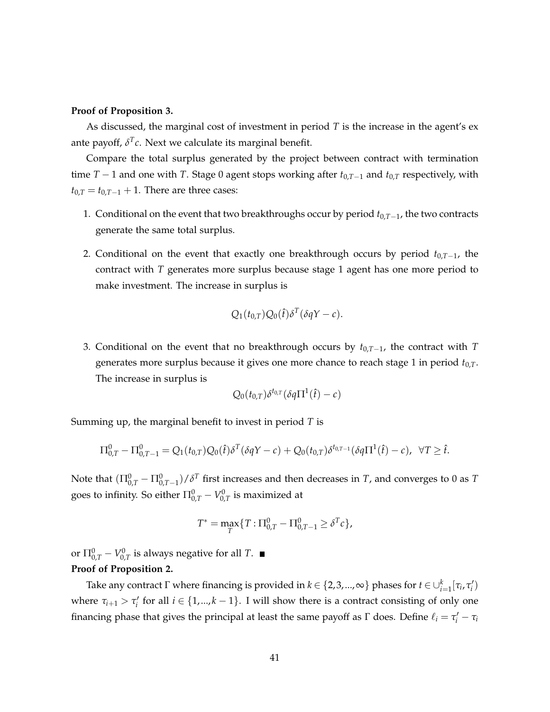#### **Proof of Proposition 3.**

As discussed, the marginal cost of investment in period *T* is the increase in the agent's ex ante payoff,  $\delta^T c$ . Next we calculate its marginal benefit.

Compare the total surplus generated by the project between contract with termination time *T* − 1 and one with *T*. Stage 0 agent stops working after *t*0,*T*−<sup>1</sup> and *t*0,*<sup>T</sup>* respectively, with  $t_{0,T} = t_{0,T-1} + 1$ . There are three cases:

- 1. Conditional on the event that two breakthroughs occur by period *t*0,*T*−1, the two contracts generate the same total surplus.
- 2. Conditional on the event that exactly one breakthrough occurs by period *t*0,*T*−1, the contract with *T* generates more surplus because stage 1 agent has one more period to make investment. The increase in surplus is

$$
Q_1(t_{0,T})Q_0(\hat{t})\delta^T(\delta qY-c).
$$

3. Conditional on the event that no breakthrough occurs by *t*0,*T*−1, the contract with *T* generates more surplus because it gives one more chance to reach stage 1 in period *t*0,*T*. The increase in surplus is

$$
Q_0(t_{0,T})\delta^{t_{0,T}}(\delta q\Pi^1(\hat{t})-c)
$$

Summing up, the marginal benefit to invest in period *T* is

$$
\Pi_{0,T}^0 - \Pi_{0,T-1}^0 = Q_1(t_{0,T})Q_0(\hat{t})\delta^T(\delta qY - c) + Q_0(t_{0,T})\delta^{t_{0,T-1}}(\delta q\Pi^1(\hat{t}) - c), \ \ \forall T \geq \hat{t}.
$$

Note that  $(\Pi^0_{0,T}-\Pi^0_{0,T-1})/\delta^T$  first increases and then decreases in  $T$ , and converges to 0 as  $T$ goes to infinity. So either  $\Pi^0_{0, T} - V^0_{0, T}$  is maximized at

$$
T^* = \max_T \{ T : \Pi_{0,T}^0 - \Pi_{0,T-1}^0 \ge \delta^T c \},
$$

or  $\Pi^0_{0,T} - V^0_{0,T}$  is always negative for all  $T.$ **Proof of Proposition 2.**

Take any contract  $\Gamma$  where financing is provided in  $k \in \{2, 3, ..., \infty\}$  phases for  $t \in \cup_{i=1}^k [\tau_i, \tau'_i)$ where  $\tau_{i+1} > \tau_i'$  for all  $i \in \{1, ..., k-1\}$ . I will show there is a contract consisting of only one financing phase that gives the principal at least the same payoff as  $\Gamma$  does. Define  $\ell_i = \tau'_i - \tau_i$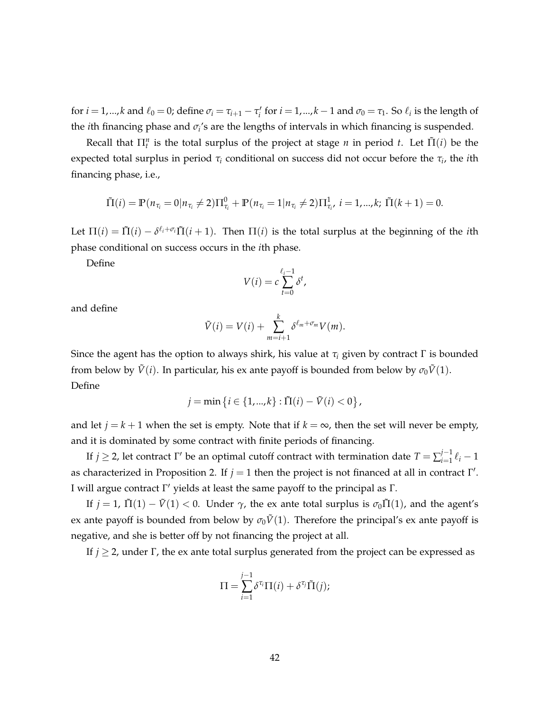for  $i = 1,...,k$  and  $\ell_0 = 0$ ; define  $\sigma_i = \tau_{i+1} - \tau'_i$  for  $i = 1,...,k-1$  and  $\sigma_0 = \tau_1$ . So  $\ell_i$  is the length of the *i*th financing phase and *σ<sup>i</sup>* 's are the lengths of intervals in which financing is suspended.

Recall that  $\Pi_t^n$  is the total surplus of the project at stage *n* in period *t*. Let  $\tilde{\Pi}(i)$  be the expected total surplus in period *τ<sup>i</sup>* conditional on success did not occur before the *τ<sup>i</sup>* , the *i*th financing phase, i.e.,

$$
\tilde{\Pi}(i) = \mathbb{P}(n_{\tau_i} = 0 | n_{\tau_i} \neq 2) \Pi_{\tau_i}^0 + \mathbb{P}(n_{\tau_i} = 1 | n_{\tau_i} \neq 2) \Pi_{\tau_i}^1, i = 1,...,k; \ \tilde{\Pi}(k+1) = 0.
$$

Let  $\Pi(i) = \tilde{\Pi}(i) - \delta^{\ell_i+\sigma_i}\tilde{\Pi}(i+1)$ . Then  $\Pi(i)$  is the total surplus at the beginning of the *i*th phase conditional on success occurs in the *i*th phase.

Define

$$
V(i) = c \sum_{t=0}^{\ell_i - 1} \delta^t,
$$

and define

$$
\tilde{V}(i) = V(i) + \sum_{m=i+1}^{k} \delta^{\ell_m + \sigma_m} V(m).
$$

Since the agent has the option to always shirk, his value at  $\tau_i$  given by contract  $\Gamma$  is bounded from below by  $\tilde{V}(i)$ . In particular, his ex ante payoff is bounded from below by  $\sigma_0 \tilde{V}(1)$ . Define

$$
j = \min\left\{i \in \{1, ..., k\} : \tilde{\Pi}(i) - \tilde{V}(i) < 0\right\},\
$$

and let *j* = *k* + 1 when the set is empty. Note that if *k* =  $\infty$ , then the set will never be empty, and it is dominated by some contract with finite periods of financing.

If  $j \geq 2$ , let contract Γ' be an optimal cutoff contract with termination date  $T = \sum_{i=1}^{j-1}$  $\int_{i=1}^{j-1} \ell_i - 1$ as characterized in Proposition 2. If  $j = 1$  then the project is not financed at all in contract  $\Gamma'$ . I will argue contract Γ' yields at least the same payoff to the principal as Γ.

If  $j = 1$ ,  $\tilde{\Pi}(1) - \tilde{V}(1) < 0$ . Under  $\gamma$ , the ex ante total surplus is  $\sigma_0 \tilde{\Pi}(1)$ , and the agent's ex ante payoff is bounded from below by  $\sigma_0 \tilde{V}(1)$ . Therefore the principal's ex ante payoff is negative, and she is better off by not financing the project at all.

If  $j \geq 2$ , under Γ, the ex ante total surplus generated from the project can be expressed as

$$
\Pi = \sum_{i=1}^{j-1} \delta^{\tau_i} \Pi(i) + \delta^{\tau_j} \tilde{\Pi}(j);
$$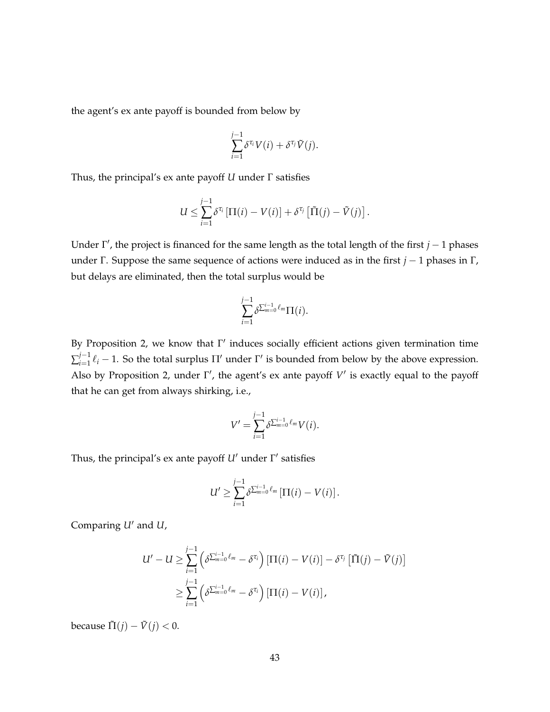the agent's ex ante payoff is bounded from below by

$$
\sum_{i=1}^{j-1} \delta^{\tau_i} V(i) + \delta^{\tau_j} \tilde{V}(j).
$$

Thus, the principal's ex ante payoff *U* under Γ satisfies

$$
U \leq \sum_{i=1}^{j-1} \delta^{\tau_i} \left[ \Pi(i) - V(i) \right] + \delta^{\tau_j} \left[ \tilde{\Pi}(j) - \tilde{V}(j) \right].
$$

Under  $\Gamma'$ , the project is financed for the same length as the total length of the first *j* − 1 phases under Γ. Suppose the same sequence of actions were induced as in the first *j* − 1 phases in Γ, but delays are eliminated, then the total surplus would be

$$
\sum_{i=1}^{j-1} \delta^{\sum_{m=0}^{i-1} \ell_m} \Pi(i).
$$

By Proposition 2, we know that  $\Gamma'$  induces socially efficient actions given termination time  $\sum_{i=1}^{j-1}$  $\prod_{i=1}^{J-1}$   $\ell_i$  – 1. So the total surplus Π' under Γ' is bounded from below by the above expression. Also by Proposition 2, under  $\Gamma'$ , the agent's ex ante payoff  $V'$  is exactly equal to the payoff that he can get from always shirking, i.e.,

$$
V' = \sum_{i=1}^{j-1} \delta^{\sum_{m=0}^{i-1} \ell_m} V(i).
$$

Thus, the principal's ex ante payoff *U'* under Γ' satisfies

$$
U' \geq \sum_{i=1}^{j-1} \delta^{\sum_{m=0}^{i-1} \ell_m} \left[ \Pi(i) - V(i) \right].
$$

Comparing *U'* and *U*,

$$
U'-U \geq \sum_{i=1}^{j-1} \left( \delta^{\sum_{m=0}^{i-1} \ell_m} - \delta^{\tau_i} \right) \left[ \Pi(i) - V(i) \right] - \delta^{\tau_j} \left[ \tilde{\Pi}(j) - \tilde{V}(j) \right]
$$
  

$$
\geq \sum_{i=1}^{j-1} \left( \delta^{\sum_{m=0}^{i-1} \ell_m} - \delta^{\tau_i} \right) \left[ \Pi(i) - V(i) \right],
$$

because  $\tilde{\Pi}(j) - \tilde{V}(j) < 0$ .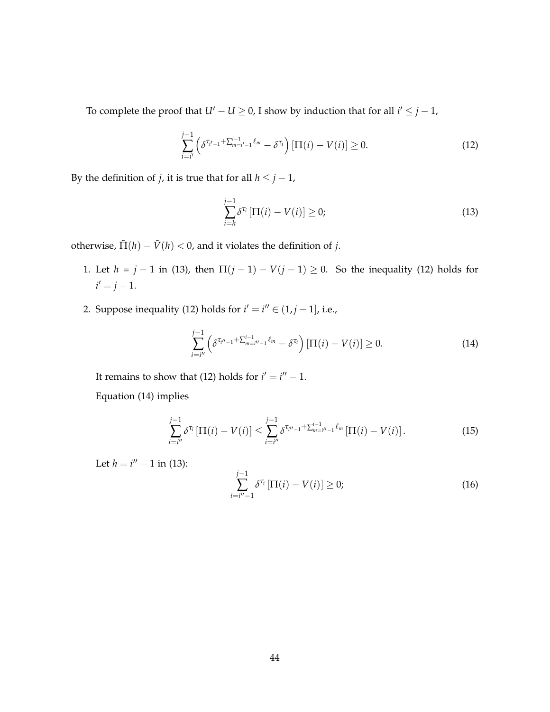To complete the proof that  $U' - U \geq 0$ , I show by induction that for all  $i' \leq j - 1$ ,

$$
\sum_{i=i'}^{j-1} \left( \delta^{\tau_{i'-1} + \sum_{m=i'-1}^{i-1} \ell_m} - \delta^{\tau_i} \right) [\Pi(i) - V(i)] \ge 0. \tag{12}
$$

By the definition of *j*, it is true that for all  $h \leq j - 1$ ,

$$
\sum_{i=h}^{j-1} \delta^{\tau_i} \left[ \Pi(i) - V(i) \right] \ge 0; \tag{13}
$$

otherwise,  $\tilde{\Pi}(h) - \tilde{V}(h) < 0$ , and it violates the definition of *j*.

- 1. Let *h* = *j* − 1 in (13), then  $\Pi(j 1) V(j 1) \ge 0$ . So the inequality (12) holds for  $i' = j - 1.$
- 2. Suppose inequality (12) holds for  $i' = i'' \in (1, j 1]$ , i.e.,

$$
\sum_{i=i''}^{j-1} \left( \delta^{\tau_{i''-1} + \sum_{m=i''-1}^{i-1} \ell_m} - \delta^{\tau_i} \right) [\Pi(i) - V(i)] \ge 0.
$$
 (14)

It remains to show that (12) holds for  $i' = i'' - 1$ .

Equation (14) implies

$$
\sum_{i=i''}^{j-1} \delta^{\tau_i} \left[ \Pi(i) - V(i) \right] \le \sum_{i=i''}^{j-1} \delta^{\tau_{i''-1} + \sum_{m=i''-1}^{i-1} \ell_m} \left[ \Pi(i) - V(i) \right]. \tag{15}
$$

Let  $h = i'' - 1$  in (13):

$$
\sum_{i=i''-1}^{j-1} \delta^{\tau_i} \left[ \Pi(i) - V(i) \right] \ge 0; \tag{16}
$$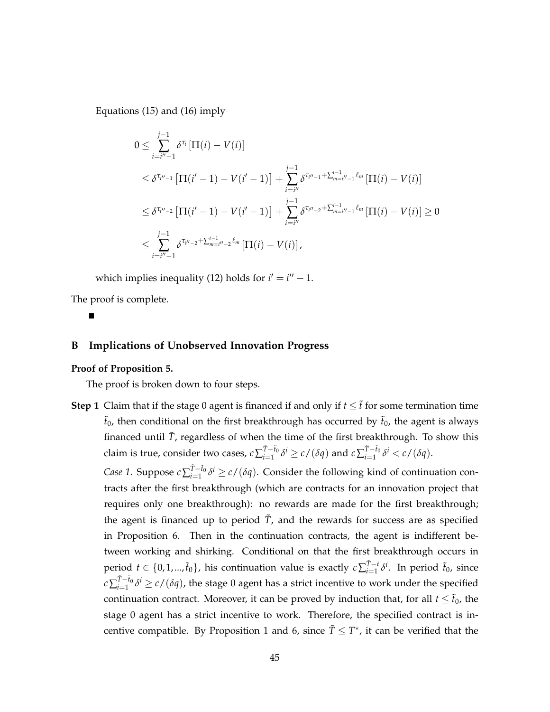Equations (15) and (16) imply

$$
0 \leq \sum_{i=i''-1}^{j-1} \delta^{\tau_i} [\Pi(i) - V(i)]
$$
  
\n
$$
\leq \delta^{\tau_{i''-1}} [\Pi(i'-1) - V(i'-1)] + \sum_{i=i''}^{j-1} \delta^{\tau_{i''-1} + \sum_{m=i''-1}^{i-1} \ell_m} [\Pi(i) - V(i)]
$$
  
\n
$$
\leq \delta^{\tau_{i''-2}} [\Pi(i'-1) - V(i'-1)] + \sum_{i=i''}^{j-1} \delta^{\tau_{i''-2} + \sum_{m=i''-1}^{i-1} \ell_m} [\Pi(i) - V(i)] \geq 0
$$
  
\n
$$
\leq \sum_{i=i''-1}^{j-1} \delta^{\tau_{i''-2} + \sum_{m=i''-2}^{i-1} \ell_m} [\Pi(i) - V(i)],
$$

which implies inequality (12) holds for  $i' = i'' - 1$ .

The proof is complete.

### **B Implications of Unobserved Innovation Progress**

### **Proof of Proposition 5.**

The proof is broken down to four steps.

**Step 1** Claim that if the stage 0 agent is financed if and only if  $t \leq \tilde{t}$  for some termination time  $\tilde{t}_0$ , then conditional on the first breakthrough has occurred by  $\tilde{t}_0$ , the agent is always financed until  $\tilde{T}$ , regardless of when the time of the first breakthrough. To show this  $\operatorname{claim}$  is true, consider two cases,  $\operatorname{c}\sum_{i=1}^{\tilde{T}-\tilde{t}_0}$  $\int_{i=1}^{\tilde{T}-\tilde{t}_0} \delta^i \geq c/(\delta q)$  and  $c \sum_{i=1}^{\tilde{T}-\tilde{t}_0}$  $\sum_{i=1}^{T-t_0} \delta^i < c/(\delta q).$ 

*Case 1*. Suppose  $c$  ∑ $\tilde{T}-\tilde{t}_0$ <sup> $\tilde{T}-\tilde{t}_0$ </sup>  $\int_{i=1}^{T-t_0}$  *δ*<sup>*i*</sup> ≥ *c*/(*δq*). Consider the following kind of continuation contracts after the first breakthrough (which are contracts for an innovation project that requires only one breakthrough): no rewards are made for the first breakthrough; the agent is financed up to period  $\tilde{T}$ , and the rewards for success are as specified in Proposition 6. Then in the continuation contracts, the agent is indifferent between working and shirking. Conditional on that the first breakthrough occurs in period  $t \in \{0, 1, ..., \tilde{t}_0\}$ , his continuation value is exactly  $c \sum_{i=1}^{\tilde{T}-t}$  $\int_{i=1}^{T-t} \delta^i$ . In period  $\tilde{t}_0$ , since  $c$   $\sum_{i=1}^{\tilde{T}-\tilde{t}_0}$  $I_{i=1}^{T-t_0}$  *δ*<sup>*i*</sup>  $\geq$  *c*/(*δq*), the stage 0 agent has a strict incentive to work under the specified continuation contract. Moreover, it can be proved by induction that, for all  $t \leq \tilde{t}_0$ , the stage 0 agent has a strict incentive to work. Therefore, the specified contract is incentive compatible. By Proposition 1 and 6, since  $\tilde{T} \leq T^*$ , it can be verified that the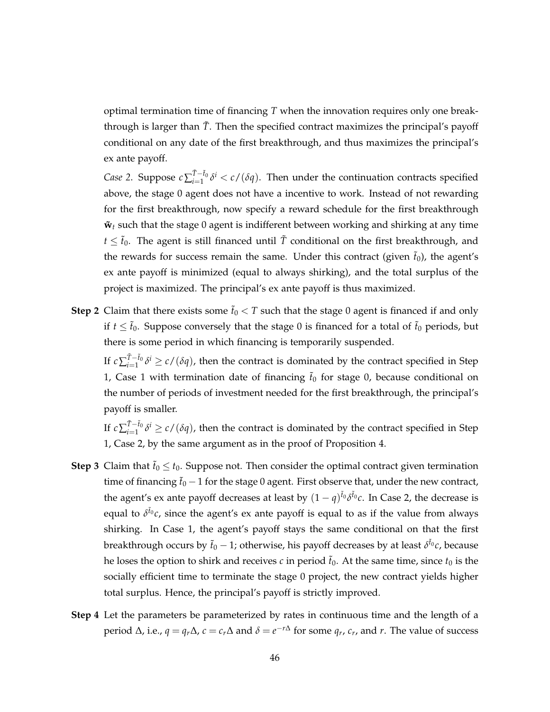optimal termination time of financing *T* when the innovation requires only one breakthrough is larger than  $\tilde{T}$ . Then the specified contract maximizes the principal's payoff conditional on any date of the first breakthrough, and thus maximizes the principal's ex ante payoff.

*Case* 2. Suppose  $c\sum_{i=1}^{T-f_0}$  $I_{i=1}^{T-t_0}$ δ<sup>*i*</sup> < *c*/(δ*q*). Then under the continuation contracts specified above, the stage 0 agent does not have a incentive to work. Instead of not rewarding for the first breakthrough, now specify a reward schedule for the first breakthrough  **such that the stage 0 agent is indifferent between working and shirking at any time**  $t \leq \tilde{t}_0$ . The agent is still financed until  $\tilde{T}$  conditional on the first breakthrough, and the rewards for success remain the same. Under this contract (given  $\tilde{t}_0$ ), the agent's ex ante payoff is minimized (equal to always shirking), and the total surplus of the project is maximized. The principal's ex ante payoff is thus maximized.

**Step 2** Claim that there exists some  $\tilde{t}_0 < T$  such that the stage 0 agent is financed if and only if  $t \leq \tilde{t}_0$ . Suppose conversely that the stage 0 is financed for a total of  $\tilde{t}_0$  periods, but there is some period in which financing is temporarily suspended.

If  $c \sum_{i=1}^{\tilde{T}-\tilde{t}_0}$  $\int_{i=1}^{T-t_0} \delta^i \ge c/(\delta q)$ , then the contract is dominated by the contract specified in Step 1, Case 1 with termination date of financing  $\tilde{t}_0$  for stage 0, because conditional on the number of periods of investment needed for the first breakthrough, the principal's payoff is smaller.

If  $c \sum_{i=1}^{\tilde{T}-\tilde{t}_0}$  $I_{i=1}^{T-t_0} \delta^i \ge c/(\delta q)$ , then the contract is dominated by the contract specified in Step 1, Case 2, by the same argument as in the proof of Proposition 4.

- **Step 3** Claim that  $\tilde{t}_0 \leq t_0$ . Suppose not. Then consider the optimal contract given termination time of financing  $\tilde{t}_0$  − 1 for the stage 0 agent. First observe that, under the new contract, the agent's ex ante payoff decreases at least by  $(1-q)^{\tilde{t}_0}\delta^{\tilde{t}_0}c$ . In Case 2, the decrease is equal to *δ* ˜*t*<sup>0</sup> *c*, since the agent's ex ante payoff is equal to as if the value from always shirking. In Case 1, the agent's payoff stays the same conditional on that the first breakthrough occurs by ˜*t*<sup>0</sup> − 1; otherwise, his payoff decreases by at least *δ* ˜*t*<sup>0</sup> *c*, because he loses the option to shirk and receives  $c$  in period  $\tilde{t}_0$ . At the same time, since  $t_0$  is the socially efficient time to terminate the stage 0 project, the new contract yields higher total surplus. Hence, the principal's payoff is strictly improved.
- **Step 4** Let the parameters be parameterized by rates in continuous time and the length of a  $\phi$  period Δ, i.e., *q* = *q*<sup>*r*</sup>Δ, *c* = *c*<sup>*r*</sup>Δ and *δ* = *e*<sup>−*r*Δ</sup> for some *q<sub>r</sub>*, *c<sub>r</sub>*, and *r*. The value of success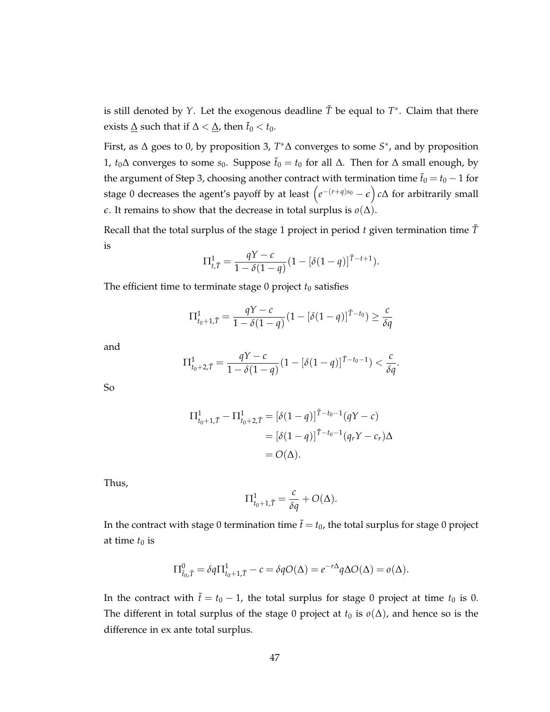is still denoted by *Y*. Let the exogenous deadline  $\tilde{T}$  be equal to  $T^*$ . Claim that there exists <u>∆</u> such that if  $\Delta < \Delta$ , then  $\tilde{t}_0 < t_0$ .

First, as ∆ goes to 0, by proposition 3, *T* <sup>∗</sup>∆ converges to some *S* ∗ , and by proposition 1, *t*<sub>0</sub>∆ converges to some *s*<sub>0</sub>. Suppose  $\tilde{t}_0 = t_0$  for all Δ. Then for Δ small enough, by the argument of Step 3, choosing another contract with termination time  $\tilde{t}_0 = t_0 - 1$  for stage 0 decreases the agent's payoff by at least  $\left(e^{-(r+q)s_0}-\epsilon\right)c\Delta$  for arbitrarily small *e*. It remains to show that the decrease in total surplus is  $o(\Delta)$ .

Recall that the total surplus of the stage 1 project in period  $t$  given termination time  $\tilde{T}$ is

$$
\Pi_{t,\tilde{T}}^1 = \frac{qY - c}{1 - \delta(1 - q)} (1 - [\delta(1 - q)]^{\tilde{T} - t + 1}).
$$

The efficient time to terminate stage  $0$  project  $t_0$  satisfies

$$
\Pi_{t_0+1,\tilde{T}}^1 = \frac{qY - c}{1 - \delta(1-q)} (1 - [\delta(1-q)]^{\tilde{T}-t_0}) \ge \frac{c}{\delta q}
$$

and

$$
\Pi_{t_0+2,\tilde{T}}^1 = \frac{qY - c}{1 - \delta(1 - q)} (1 - [\delta(1 - q)]^{\tilde{T} - t_0 - 1}) < \frac{c}{\delta q}.
$$

So

$$
\Pi_{t_0+1,\tilde{T}}^1 - \Pi_{t_0+2,\tilde{T}}^1 = [\delta(1-q)]^{\tilde{T}-t_0-1}(qY-c)
$$
  
=  $[\delta(1-q)]^{\tilde{T}-t_0-1}(q_rY-c_r)\Delta$   
=  $O(\Delta)$ .

Thus,

$$
\Pi^1_{t_0+1,\tilde{T}} = \frac{c}{\delta q} + O(\Delta).
$$

In the contract with stage 0 termination time  $\tilde{t} = t_0$ , the total surplus for stage 0 project at time  $t_0$  is

$$
\Pi^0_{\tilde{t}_0,\tilde{T}} = \delta q \Pi^1_{t_0+1,\tilde{T}} - c = \delta q O(\Delta) = e^{-r\Delta} q \Delta O(\Delta) = o(\Delta).
$$

In the contract with  $\tilde{t} = t_0 - 1$ , the total surplus for stage 0 project at time  $t_0$  is 0. The different in total surplus of the stage 0 project at  $t_0$  is  $o(\Delta)$ , and hence so is the difference in ex ante total surplus.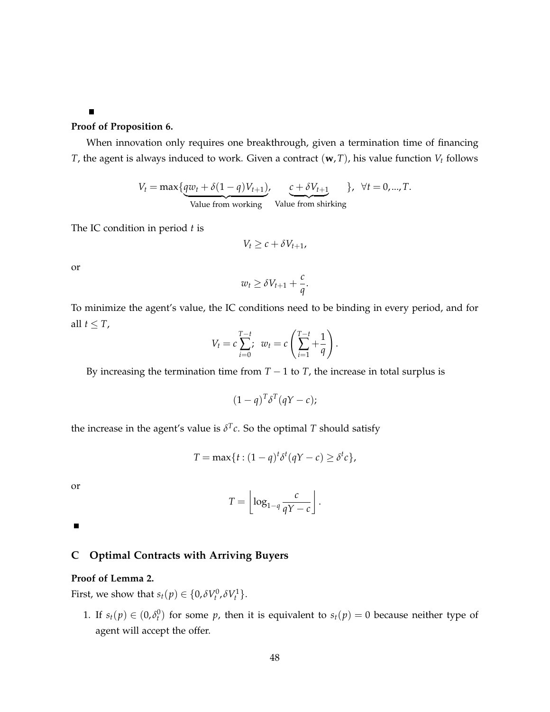$\blacksquare$ 

### **Proof of Proposition 6.**

When innovation only requires one breakthrough, given a termination time of financing *T*, the agent is always induced to work. Given a contract (**w**,*T*), his value function *V<sup>t</sup>* follows

$$
V_t = \max\{ \underbrace{qw_t + \delta(1-q)V_{t+1}}_{\text{Value from working}} \}, \quad \underbrace{c + \delta V_{t+1}}_{\text{Value from shifting}} \}, \quad \forall t = 0, ..., T.
$$

The IC condition in period *t* is

$$
V_t \geq c + \delta V_{t+1},
$$

or

$$
w_t \geq \delta V_{t+1} + \frac{c}{q}.
$$

To minimize the agent's value, the IC conditions need to be binding in every period, and for all  $t \leq T$ ,

$$
V_t = c \sum_{i=0}^{T-t} ; \ w_t = c \left( \sum_{i=1}^{T-t} + \frac{1}{q} \right).
$$

By increasing the termination time from  $T - 1$  to  $T$ , the increase in total surplus is

$$
(1-q)^T \delta^T (qY-c);
$$

the increase in the agent's value is  $\delta^T c$ . So the optimal *T* should satisfy

$$
T = \max\{t : (1 - q)^t \delta^t (qY - c) \ge \delta^t c\},\
$$

or

$$
T = \left\lfloor \log_{1-q} \frac{c}{qY - c} \right\rfloor.
$$

 $\blacksquare$ 

### **C Optimal Contracts with Arriving Buyers**

### **Proof of Lemma 2.**

First, we show that  $s_t(p) \in \{0, \delta V_t^0, \delta V_t^1\}.$ 

1. If  $s_t(p) \in (0, \delta_t^0)$  for some *p*, then it is equivalent to  $s_t(p) = 0$  because neither type of agent will accept the offer.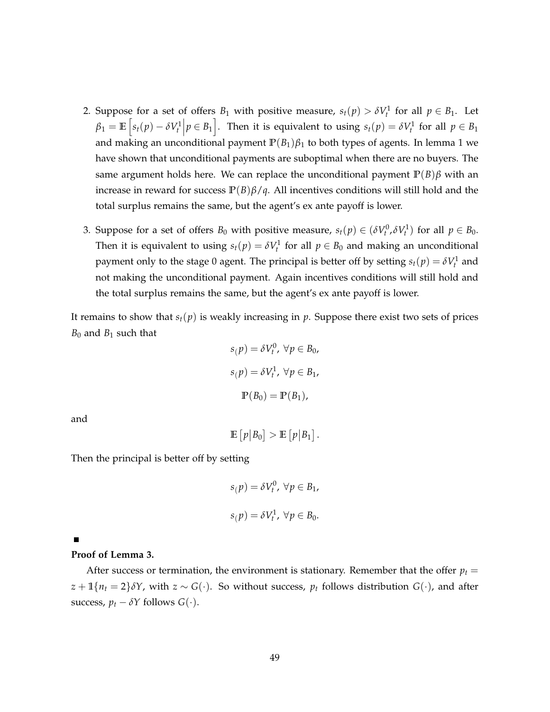- 2. Suppose for a set of offers  $B_1$  with positive measure,  $s_t(p) > \delta V_t^1$  for all  $p \in B_1$ . Let  $\beta_1 = \mathbb{E}\left[s_t(p) - \delta V_t^1 \middle| p \in B_1\right]$ . Then it is equivalent to using  $s_t(p) = \delta V_t^1$  for all  $p \in B_1$ and making an unconditional payment  $\mathbb{P}(B_1)\beta_1$  to both types of agents. In lemma 1 we have shown that unconditional payments are suboptimal when there are no buyers. The same argument holds here. We can replace the unconditional payment  $\mathbb{P}(B)\beta$  with an increase in reward for success  $P(B)\beta/q$ . All incentives conditions will still hold and the total surplus remains the same, but the agent's ex ante payoff is lower.
- 3. Suppose for a set of offers  $B_0$  with positive measure,  $s_t(p) \in (\delta V_t^0, \delta V_t^1)$  for all  $p \in B_0$ . Then it is equivalent to using  $s_t(p) = \delta V_t^1$  for all  $p \in B_0$  and making an unconditional payment only to the stage 0 agent. The principal is better off by setting  $s_t(p) = \delta V_t^1$  and not making the unconditional payment. Again incentives conditions will still hold and the total surplus remains the same, but the agent's ex ante payoff is lower.

It remains to show that  $s_t(p)$  is weakly increasing in p. Suppose there exist two sets of prices  $B_0$  and  $B_1$  such that

$$
s(p) = \delta V_t^0, \forall p \in B_0,
$$
  

$$
s(p) = \delta V_t^1, \forall p \in B_1,
$$
  

$$
\mathbb{P}(B_0) = \mathbb{P}(B_1),
$$

and

 $\mathbb{E}\left[p|B_0\right] > \mathbb{E}\left[p|B_1\right].$ 

Then the principal is better off by setting

$$
s(p) = \delta V_t^0, \ \forall p \in B_1,
$$
  

$$
s(p) = \delta V_t^1, \ \forall p \in B_0.
$$

#### **Proof of Lemma 3.**

After success or termination, the environment is stationary. Remember that the offer  $p_t =$  $z + \mathbb{1}\{n_t = 2\}\delta Y$ , with  $z \sim G(\cdot)$ . So without success,  $p_t$  follows distribution  $G(\cdot)$ , and after success,  $p_t - \delta Y$  follows  $G(\cdot)$ .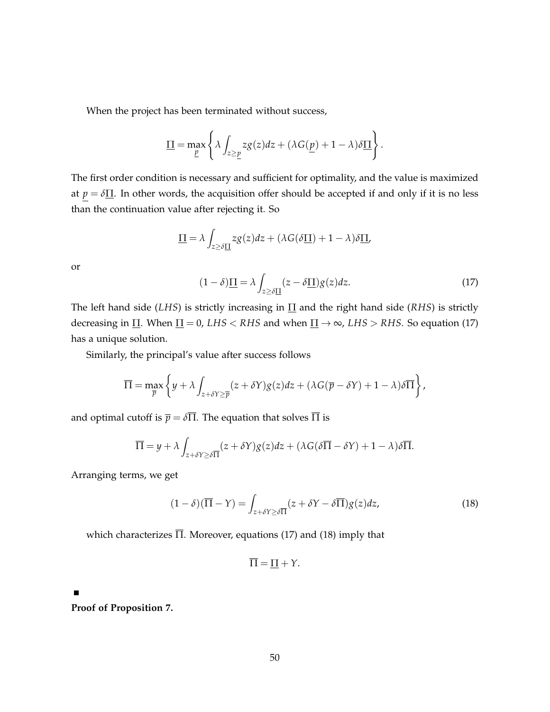When the project has been terminated without success,

$$
\underline{\Pi} = \max_{\underline{p}} \left\{ \lambda \int_{z \geq \underline{p}} z g(z) dz + (\lambda G(\underline{p}) + 1 - \lambda) \delta \underline{\Pi} \right\}.
$$

The first order condition is necessary and sufficient for optimality, and the value is maximized at  $p = \delta \Pi$ . In other words, the acquisition offer should be accepted if and only if it is no less than the continuation value after rejecting it. So

$$
\underline{\Pi} = \lambda \int_{z \geq \delta \underline{\Pi}} z g(z) dz + (\lambda G(\delta \underline{\Pi}) + 1 - \lambda) \delta \underline{\Pi},
$$

or

$$
(1 - \delta)\underline{\Pi} = \lambda \int_{z \ge \delta \underline{\Pi}} (z - \delta \underline{\Pi}) g(z) dz.
$$
 (17)

The left hand side (*LHS*) is strictly increasing in Π and the right hand side (*RHS*) is strictly decreasing in  $\Pi$ . When  $\Pi = 0$ , *LHS* < *RHS* and when  $\Pi \rightarrow \infty$ , *LHS* > *RHS*. So equation (17) has a unique solution.

Similarly, the principal's value after success follows

$$
\overline{\Pi} = \max_{\overline{p}} \left\{ y + \lambda \int_{z + \delta Y \geq \overline{p}} (z + \delta Y) g(z) dz + (\lambda G(\overline{p} - \delta Y) + 1 - \lambda) \delta \overline{\Pi} \right\},\,
$$

and optimal cutoff is  $\bar{p} = \delta \bar{\Pi}$ . The equation that solves  $\bar{\Pi}$  is

$$
\overline{\Pi} = y + \lambda \int_{z + \delta Y \ge \delta \overline{\Pi}} (z + \delta Y) g(z) dz + (\lambda G (\delta \overline{\Pi} - \delta Y) + 1 - \lambda) \delta \overline{\Pi}.
$$

Arranging terms, we get

$$
(1 - \delta)(\overline{\Pi} - Y) = \int_{z + \delta Y \ge \delta \overline{\Pi}} (z + \delta Y - \delta \overline{\Pi}) g(z) dz,
$$
\n(18)

which characterizes  $\overline{\Pi}$ . Moreover, equations (17) and (18) imply that

$$
\overline{\Pi} = \underline{\Pi} + Y.
$$

**Proof of Proposition 7.**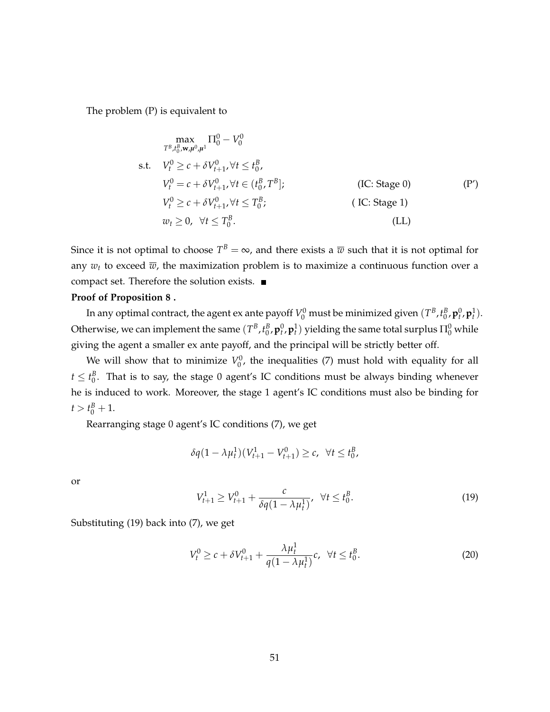The problem (P) is equivalent to

$$
\max_{T^{B}, t_{0}^{B}, \mathbf{w}, \mu^{0}, \mu^{1}} \Pi_{0}^{0} - V_{0}^{0}
$$
\ns.t.  $V_{t}^{0} \ge c + \delta V_{t+1}^{0}, \forall t \le t_{0}^{B},$   
\n $V_{t}^{0} = c + \delta V_{t+1}^{0}, \forall t \in (t_{0}^{B}, T^{B});$  (IC: Stage 0)  
\n $V_{t}^{0} \ge c + \delta V_{t+1}^{0}, \forall t \le T_{0}^{B},$  (IC: Stage 1)  
\n $w_{t} \ge 0, \forall t \le T_{0}^{B}.$  (LL)

Since it is not optimal to choose  $T^B = \infty$ , and there exists a  $\overline{w}$  such that it is not optimal for any  $w_t$  to exceed  $\overline{w}$ , the maximization problem is to maximize a continuous function over a compact set. Therefore the solution exists.

### **Proof of Proposition 8 .**

In any optimal contract, the agent ex ante payoff  $V_0^0$  must be minimized given  $(T^B, t^B_0, {\bf p}_t^0, {\bf p}_t^1).$ Otherwise, we can implement the same  $(T^B, t^B_0, {\bf p}^0_t, {\bf p}^1_t)$  yielding the same total surplus  $\Pi^0_0$  while giving the agent a smaller ex ante payoff, and the principal will be strictly better off.

We will show that to minimize  $V_0^0$ , the inequalities (7) must hold with equality for all  $t \leq t_0^B$ . That is to say, the stage 0 agent's IC conditions must be always binding whenever he is induced to work. Moreover, the stage 1 agent's IC conditions must also be binding for  $t > t_0^B + 1.$ 

Rearranging stage 0 agent's IC conditions (7), we get

$$
\delta q (1 - \lambda \mu_t^1) (V_{t+1}^1 - V_{t+1}^0) \ge c, \ \ \forall t \le t_0^B,
$$

or

$$
V_{t+1}^1 \ge V_{t+1}^0 + \frac{c}{\delta q (1 - \lambda \mu_t^1)}, \ \ \forall t \le t_0^B. \tag{19}
$$

Substituting (19) back into (7), we get

$$
V_t^0 \ge c + \delta V_{t+1}^0 + \frac{\lambda \mu_t^1}{q(1 - \lambda \mu_t^1)} c, \ \forall t \le t_0^B.
$$
 (20)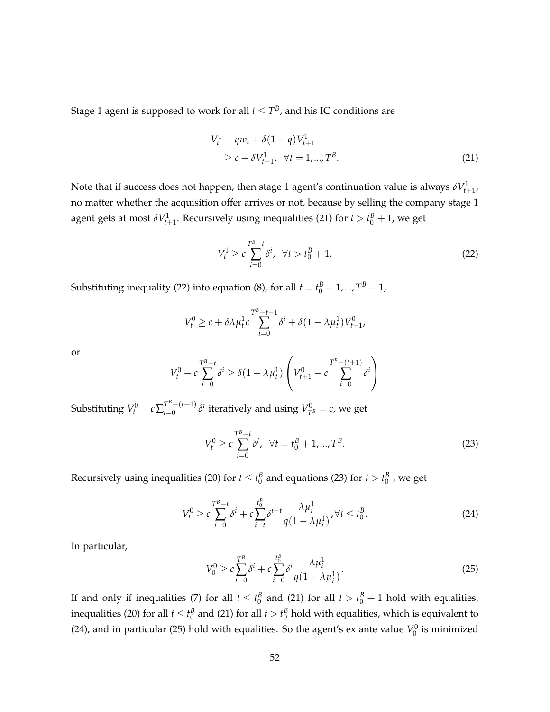Stage 1 agent is supposed to work for all  $t\leq T^B$ , and his IC conditions are

$$
V_t^1 = qw_t + \delta(1 - q)V_{t+1}^1
$$
  
\n
$$
\geq c + \delta V_{t+1}^1, \quad \forall t = 1, ..., T^B.
$$
 (21)

Note that if success does not happen, then stage 1 agent's continuation value is always  $\delta V^1_{t+1}$ , no matter whether the acquisition offer arrives or not, because by selling the company stage 1 agent gets at most  $\delta V^1_{t+1}$ . Recursively using inequalities (21) for  $t > t_0^B + 1$ , we get

$$
V_t^1 \ge c \sum_{i=0}^{T^B - t} \delta^i, \ \ \forall t > t_0^B + 1. \tag{22}
$$

Substituting inequality (22) into equation (8), for all  $t = t_0^B + 1, ..., T^B - 1$ ,

$$
V_t^0 \ge c + \delta \lambda \mu_t^1 c \sum_{i=0}^{T^B - t - 1} \delta^i + \delta (1 - \lambda \mu_t^1) V_{t+1}^0,
$$

or

$$
V_t^0 - c \sum_{i=0}^{T^B - t} \delta^i \ge \delta (1 - \lambda \mu_t^1) \left( V_{t+1}^0 - c \sum_{i=0}^{T^B - (t+1)} \delta^i \right)
$$

Substituting  $V_t^0 - c \sum_{i=0}^{T^B-(t+1)}$  $\int_{t=0}^{T^{D}-(t+1)} \delta^{i}$  iteratively and using  $V_{T^{B}}^{0} = c$ , we get

$$
V_t^0 \ge c \sum_{i=0}^{T^B - t} \delta^i, \ \ \forall t = t_0^B + 1, ..., T^B.
$$

Recursively using inequalities (20) for  $t \le t_0^B$  and equations (23) for  $t > t_0^B$  , we get

$$
V_t^0 \ge c \sum_{i=0}^{T^B - t} \delta^i + c \sum_{i=t}^{t_0^B} \delta^{i-t} \frac{\lambda \mu_i^1}{q(1 - \lambda \mu_i^1)}, \forall t \le t_0^B.
$$
 (24)

In particular,

$$
V_0^0 \ge c \sum_{i=0}^{T^B} \delta^i + c \sum_{i=0}^{t_0^B} \delta^i \frac{\lambda \mu_i^1}{q(1 - \lambda \mu_i^1)}.
$$
 (25)

If and only if inequalities (7) for all  $t \leq t_0^B$  and (21) for all  $t > t_0^B + 1$  hold with equalities, inequalities (20) for all  $t \le t_0^B$  and (21) for all  $t > t_0^B$  hold with equalities, which is equivalent to (24), and in particular (25) hold with equalities. So the agent's ex ante value  $V_0^0$  is minimized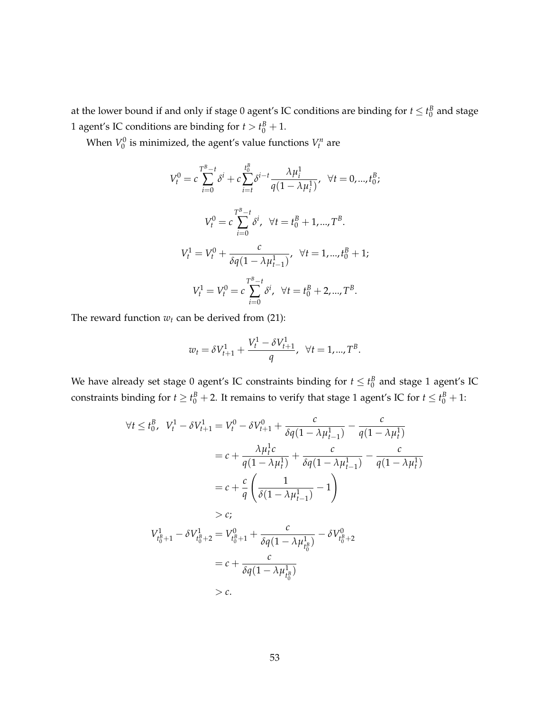at the lower bound if and only if stage 0 agent's IC conditions are binding for  $t \leq t_0^B$  and stage 1 agent's IC conditions are binding for  $t > t_0^B + 1$ .

When  $V_0^0$  is minimized, the agent's value functions  $V_t^n$  are

$$
V_t^0 = c \sum_{i=0}^{T^B - t} \delta^i + c \sum_{i=t}^{t_0^B} \delta^{i-t} \frac{\lambda \mu_i^1}{q(1 - \lambda \mu_i^1)}, \quad \forall t = 0, ..., t_0^B;
$$
  

$$
V_t^0 = c \sum_{i=0}^{T^B - t} \delta^i, \quad \forall t = t_0^B + 1, ..., T^B.
$$
  

$$
V_t^1 = V_t^0 + \frac{c}{\delta q(1 - \lambda \mu_{t-1}^1)}, \quad \forall t = 1, ..., t_0^B + 1;
$$
  

$$
V_t^1 = V_t^0 = c \sum_{i=0}^{T^B - t} \delta^i, \quad \forall t = t_0^B + 2, ..., T^B.
$$

The reward function  $w_t$  can be derived from (21):

$$
w_t = \delta V_{t+1}^1 + \frac{V_t^1 - \delta V_{t+1}^1}{q}, \ \ \forall t = 1, ..., T^B.
$$

We have already set stage  $0$  agent's IC constraints binding for  $t \leq t_0^B$  and stage  $1$  agent's IC constraints binding for  $t \ge t_0^B + 2$ . It remains to verify that stage 1 agent's IC for  $t \le t_0^B + 1$ :

$$
\forall t \le t_0^B, \quad V_t^1 - \delta V_{t+1}^1 = V_t^0 - \delta V_{t+1}^0 + \frac{c}{\delta q (1 - \lambda \mu_{t-1}^1)} - \frac{c}{q (1 - \lambda \mu_t^1)}
$$
  
\n
$$
= c + \frac{\lambda \mu_t^1 c}{q (1 - \lambda \mu_t^1)} + \frac{c}{\delta q (1 - \lambda \mu_{t-1}^1)} - \frac{c}{q (1 - \lambda \mu_t^1)}
$$
  
\n
$$
= c + \frac{c}{q} \left( \frac{1}{\delta (1 - \lambda \mu_{t-1}^1)} - 1 \right)
$$
  
\n
$$
> c;
$$
  
\n
$$
V_{t_0^B + 1}^1 - \delta V_{t_0^B + 2}^1 = V_{t_0^B + 1}^0 + \frac{c}{\delta q (1 - \lambda \mu_{t_0^B}^1)} - \delta V_{t_0^B + 2}^0
$$
  
\n
$$
= c + \frac{c}{\delta q (1 - \lambda \mu_{t_0^B}^1)}
$$
  
\n
$$
> c.
$$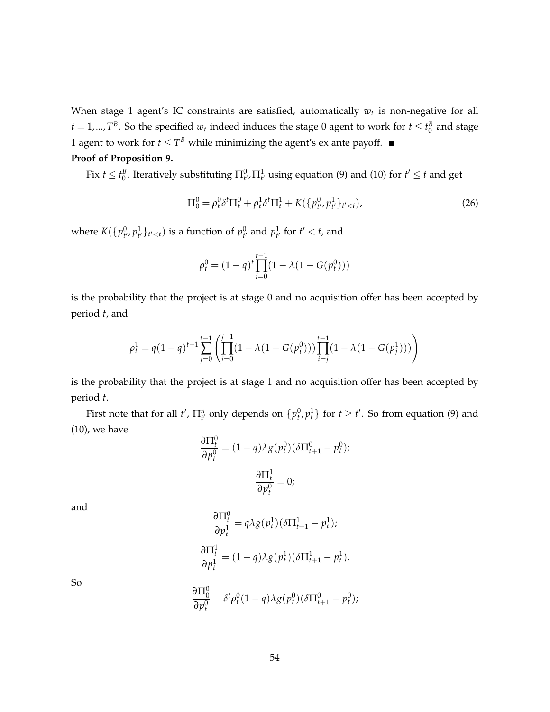When stage 1 agent's IC constraints are satisfied, automatically *w<sup>t</sup>* is non-negative for all  $t = 1,..., T^B$ . So the specified  $w_t$  indeed induces the stage 0 agent to work for  $t \le t_0^B$  and stage 1 agent to work for  $t \leq T^B$  while minimizing the agent's ex ante payoff.

### **Proof of Proposition 9.**

Fix  $t \le t_0^B$ . Iteratively substituting  $\Pi_{t'}^0$ ,  $\Pi_{t'}^1$  using equation (9) and (10) for  $t' \le t$  and get

$$
\Pi_0^0 = \rho_t^0 \delta^t \Pi_t^0 + \rho_t^1 \delta^t \Pi_t^1 + K(\{p_{t'}^0, p_{t'}^1\}_{t' < t}),
$$
\n(26)

where  $K(\{p_{t'}^0, p_{t'}^1\}_{t' is a function of  $p_{t'}^0$  and  $p_{t'}^1$  for  $t' < t$ , and$ 

$$
\rho_t^0 = (1 - q)^t \prod_{i=0}^{t-1} (1 - \lambda (1 - G(p_t^0)))
$$

is the probability that the project is at stage 0 and no acquisition offer has been accepted by period *t*, and

$$
\rho_t^1 = q(1-q)^{t-1} \sum_{j=0}^{t-1} \left( \prod_{i=0}^{j-1} (1 - \lambda(1 - G(p_i^0))) \prod_{i=j}^{t-1} (1 - \lambda(1 - G(p_j^1))) \right)
$$

is the probability that the project is at stage 1 and no acquisition offer has been accepted by period *t*.

First note that for all  $t'$ ,  $\prod_{t'}^n$  only depends on  $\{p_t^0, p_t^1\}$  for  $t \ge t'$ . So from equation (9) and (10), we have

$$
\frac{\partial \Pi_t^0}{\partial p_t^0} = (1 - q)\lambda g(p_t^0)(\delta \Pi_{t+1}^0 - p_t^0);
$$

$$
\frac{\partial \Pi_t^1}{\partial p_t^0} = 0;
$$

and

$$
\frac{\partial \Pi_t^0}{\partial p_t^1} = q \lambda g(p_t^1) (\delta \Pi_{t+1}^1 - p_t^1);
$$
  

$$
\frac{\partial \Pi_t^1}{\partial p_t^1} = (1 - q) \lambda g(p_t^1) (\delta \Pi_{t+1}^1 - p_t^1).
$$

So

$$
\frac{\partial \Pi_0^0}{\partial p_t^0} = \delta^t \rho_t^0 (1-q) \lambda g(p_t^0) (\delta \Pi_{t+1}^0 - p_t^0);
$$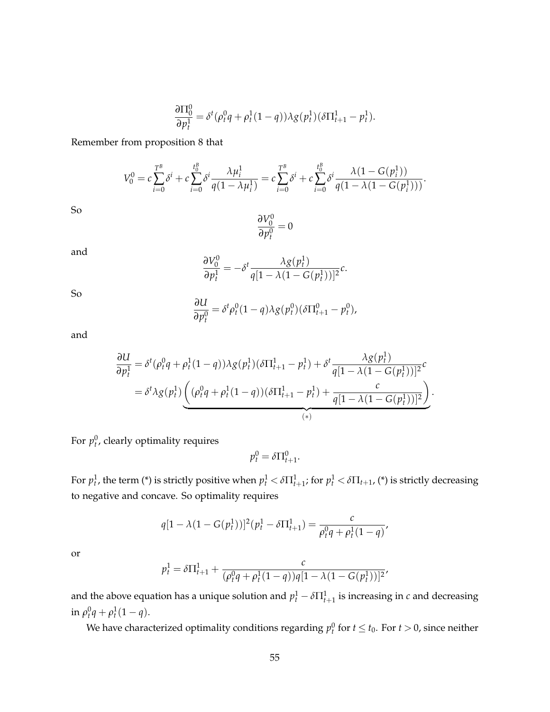$$
\frac{\partial \Pi_0^0}{\partial p_t^1} = \delta^t (\rho_t^0 q + \rho_t^1 (1-q)) \lambda g(p_t^1) (\delta \Pi_{t+1}^1 - p_t^1).
$$

Remember from proposition 8 that

$$
V_0^0 = c \sum_{i=0}^{T^B} \delta^i + c \sum_{i=0}^{t_0^B} \delta^i \frac{\lambda \mu_i^1}{q(1 - \lambda \mu_i^1)} = c \sum_{i=0}^{T^B} \delta^i + c \sum_{i=0}^{t_0^B} \delta^i \frac{\lambda (1 - G(p_i^1))}{q(1 - \lambda (1 - G(p_i^1)))}.
$$

So

$$
\frac{\partial V_0^0}{\partial p_t^0} = 0
$$

and

$$
\frac{\partial V_0^0}{\partial p_t^1} = -\delta^t \frac{\lambda g(p_t^1)}{q[1 - \lambda(1 - G(p_t^1))]^2}c.
$$

So

$$
\frac{\partial U}{\partial p_t^0} = \delta^t \rho_t^0 (1-q) \lambda g(p_t^0) (\delta \Pi_{t+1}^0 - p_t^0),
$$

and

$$
\frac{\partial U}{\partial p_t^1} = \delta^t (\rho_t^0 q + \rho_t^1 (1-q)) \lambda g(p_t^1) (\delta \Pi_{t+1}^1 - p_t^1) + \delta^t \frac{\lambda g(p_t^1)}{q[1 - \lambda (1 - G(p_t^1))]^2} c
$$
  
=  $\delta^t \lambda g(p_t^1) \underbrace{ (\rho_t^0 q + \rho_t^1 (1-q)) (\delta \Pi_{t+1}^1 - p_t^1) + \frac{c}{q[1 - \lambda (1 - G(p_t^1))]^2}}_{(*)}.$ 

For  $p_t^0$ , clearly optimality requires

$$
p_t^0 = \delta \Pi_{t+1}^0.
$$

For  $p_t^1$ , the term (\*) is strictly positive when  $p_t^1 < \delta \Pi_{t+1}^1$ ; for  $p_t^1 < \delta \Pi_{t+1}$ , (\*) is strictly decreasing to negative and concave. So optimality requires

$$
q[1 - \lambda(1 - G(p_t^1))]^2 (p_t^1 - \delta \Pi_{t+1}^1) = \frac{c}{\rho_t^0 q + \rho_t^1 (1 - q)},
$$

or

$$
p_t^1 = \delta \Pi_{t+1}^1 + \frac{c}{(\rho_t^0 q + \rho_t^1 (1-q))q[1-\lambda(1-G(p_t^1))]^2}
$$

and the above equation has a unique solution and  $p_t^1 - \delta \Pi_{t+1}^1$  is increasing in  $c$  and decreasing  $\inf_{t} \rho_{t}^{0} q + \rho_{t}^{1} (1 - q).$ 

We have characterized optimality conditions regarding  $p_t^0$  for  $t \leq t_0$ . For  $t > 0$ , since neither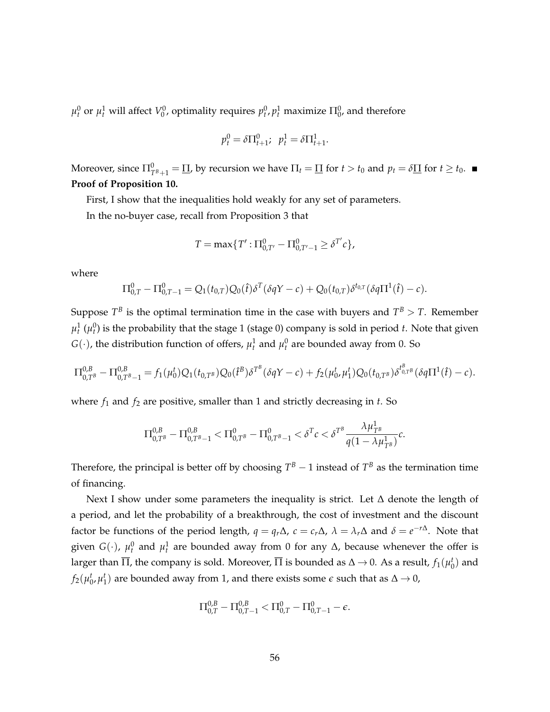$\mu_t^0$  or  $\mu_t^1$  will affect  $V_0^0$ , optimality requires  $p_t^0, p_t^1$  maximize  $\Pi_0^0$ , and therefore

$$
p_t^0 = \delta \Pi_{t+1}^0; \ \ p_t^1 = \delta \Pi_{t+1}^1.
$$

Moreover, since  $\Pi_{T^B+1}^0 = \Pi$ , by recursion we have  $\Pi_t = \Pi$  for  $t > t_0$  and  $p_t = \delta \Pi$  for  $t \ge t_0$ . **Proof of Proposition 10.**

First, I show that the inequalities hold weakly for any set of parameters.

In the no-buyer case, recall from Proposition 3 that

$$
T = \max\{T' : \Pi_{0,T'}^0 - \Pi_{0,T'-1}^0 \ge \delta^{T'} c\},\
$$

where

$$
\Pi_{0,T}^0 - \Pi_{0,T-1}^0 = Q_1(t_{0,T})Q_0(\hat{t})\delta^T(\delta qY - c) + Q_0(t_{0,T})\delta^{t_{0,T}}(\delta q\Pi^1(\hat{t}) - c).
$$

Suppose  $T^B$  is the optimal termination time in the case with buyers and  $T^B > T$ . Remember  $\mu_t^1$   $(\mu_t^0)$  is the probability that the stage 1 (stage 0) company is sold in period *t*. Note that given  $G(\cdot)$ , the distribution function of offers,  $\mu_t^1$  and  $\mu_t^0$  are bounded away from 0. So

$$
\Pi_{0,T^B}^{0,B} - \Pi_{0,T^B-1}^{0,B} = f_1(\mu_0^t) Q_1(t_{0,T^B}) Q_0(\hat{t}^B) \delta^{T^B} (\delta qY - c) + f_2(\mu_0^t, \mu_1^t) Q_0(t_{0,T^B}) \delta^{t_{0,T^B}^B} (\delta q \Pi^1(\hat{t}) - c).
$$

where *f*<sup>1</sup> and *f*<sup>2</sup> are positive, smaller than 1 and strictly decreasing in *t*. So

$$
\Pi_{0,T^B}^{0,B} - \Pi_{0,T^B-1}^{0,B} < \Pi_{0,T^B}^0 - \Pi_{0,T^B-1}^0 < \delta^T c < \delta^{T^B} \frac{\lambda \mu_{T^B}^1}{q(1 - \lambda \mu_{T^B}^1)} c.
$$

Therefore, the principal is better off by choosing  $T^B - 1$  instead of  $T^B$  as the termination time of financing.

Next I show under some parameters the inequality is strict. Let ∆ denote the length of a period, and let the probability of a breakthrough, the cost of investment and the discount factor be functions of the period length,  $q = q_r\Delta$ ,  $c = c_r\Delta$ ,  $\lambda = \lambda_r\Delta$  and  $\delta = e^{-r\Delta}$ . Note that given  $G(\cdot)$ ,  $\mu_t^0$  and  $\mu_t^1$  are bounded away from 0 for any  $\Delta$ , because whenever the offer is larger than  $\overline{\Pi}$ , the company is sold. Moreover,  $\overline{\Pi}$  is bounded as  $\Delta\to 0.$  As a result,  $f_1(\mu_0^t)$  and  $f_2(\mu_0^t, \mu_1^t)$  are bounded away from 1, and there exists some  $\epsilon$  such that as  $\Delta \to 0$ ,

$$
\Pi_{0,T}^{0,B}-\Pi_{0,T-1}^{0,B}<\Pi_{0,T}^{0}-\Pi_{0,T-1}^{0}-\epsilon.
$$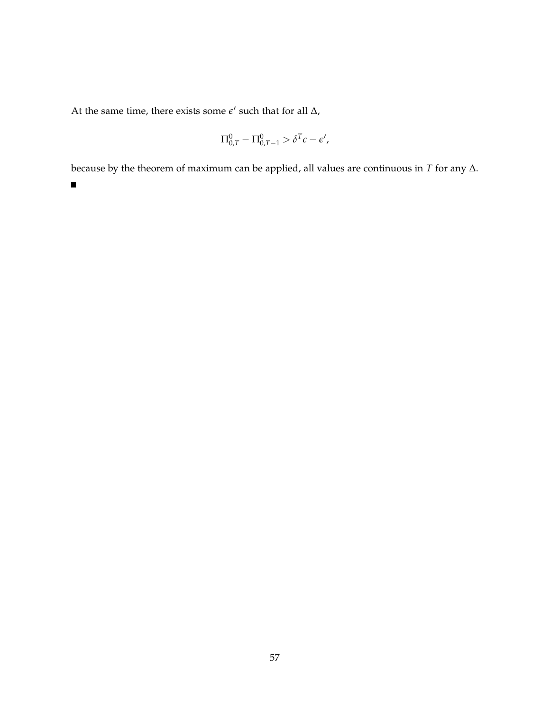At the same time, there exists some  $\epsilon'$  such that for all  $\Delta$ ,

$$
\Pi_{0,T}^0 - \Pi_{0,T-1}^0 > \delta^T c - \epsilon',
$$

because by the theorem of maximum can be applied, all values are continuous in *T* for any ∆.

 $\blacksquare$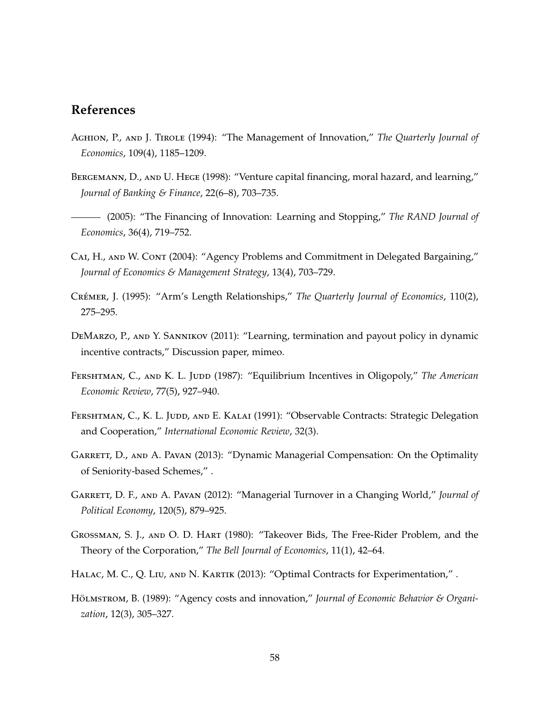### **References**

- Aghion, P., and J. Tirole (1994): "The Management of Innovation," *The Quarterly Journal of Economics*, 109(4), 1185–1209.
- BERGEMANN, D., AND U. HEGE (1998): "Venture capital financing, moral hazard, and learning," *Journal of Banking & Finance*, 22(6–8), 703–735.
- (2005): "The Financing of Innovation: Learning and Stopping," *The RAND Journal of Economics*, 36(4), 719–752.
- CAI, H., AND W. CONT (2004): "Agency Problems and Commitment in Delegated Bargaining," *Journal of Economics & Management Strategy*, 13(4), 703–729.
- CRÉMER, J. (1995): "Arm's Length Relationships," *The Quarterly Journal of Economics*, 110(2), 275–295.
- DeMarzo, P., and Y. Sannikov (2011): "Learning, termination and payout policy in dynamic incentive contracts," Discussion paper, mimeo.
- FERSHTMAN, C., AND K. L. JUDD (1987): "Equilibrium Incentives in Oligopoly," The American *Economic Review*, 77(5), 927–940.
- FERSHTMAN, C., K. L. JUDD, AND E. KALAI (1991): "Observable Contracts: Strategic Delegation and Cooperation," *International Economic Review*, 32(3).
- GARRETT, D., AND A. PAVAN (2013): "Dynamic Managerial Compensation: On the Optimality of Seniority-based Schemes," .
- Garrett, D. F., and A. Pavan (2012): "Managerial Turnover in a Changing World," *Journal of Political Economy*, 120(5), 879–925.
- Grossman, S. J., and O. D. Hart (1980): "Takeover Bids, The Free-Rider Problem, and the Theory of the Corporation," *The Bell Journal of Economics*, 11(1), 42–64.
- HALAC, M. C., Q. LIU, AND N. KARTIK (2013): "Optimal Contracts for Experimentation,".
- HÖLMSTROM, B. (1989): "Agency costs and innovation," *Journal of Economic Behavior & Organization*, 12(3), 305–327.